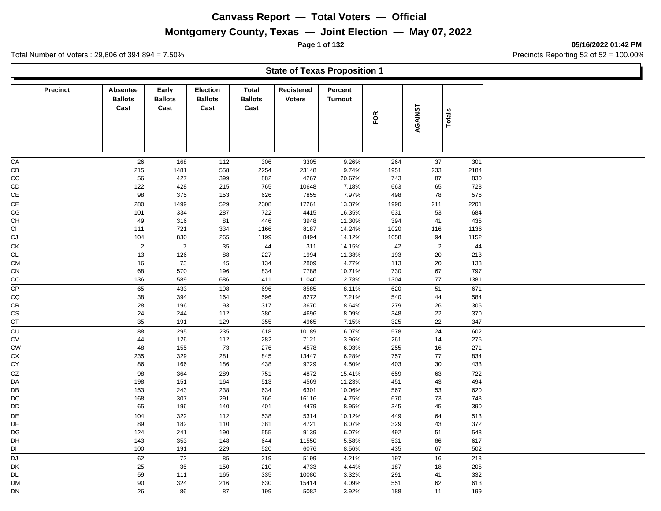## **Montgomery County, Texas — Joint Election — May 07, 2022**

**Page 1 of 132 05/16/2022 01:42 PM**

Ъ

Total Number of Voters : 29,606 of 394,894 = 7.50% Precincts Reporting 52 of 52 = 100.00%

|                 | <b>State of Texas Proposition 1</b> |                                 |                                           |                                 |                             |                           |            |          |               |  |  |
|-----------------|-------------------------------------|---------------------------------|-------------------------------------------|---------------------------------|-----------------------------|---------------------------|------------|----------|---------------|--|--|
| <b>Precinct</b> | Absentee<br><b>Ballots</b><br>Cast  | Early<br><b>Ballots</b><br>Cast | <b>Election</b><br><b>Ballots</b><br>Cast | Total<br><b>Ballots</b><br>Cast | Registered<br><b>Voters</b> | Percent<br><b>Turnout</b> | FOR        | AGAINST  | <b>Totals</b> |  |  |
|                 |                                     |                                 |                                           |                                 |                             |                           |            |          |               |  |  |
| СA              | 26                                  | 168                             | 112                                       | 306                             | 3305                        | 9.26%                     | 264        | 37       | 301           |  |  |
| CВ              | 215                                 | 1481                            | 558                                       | 2254                            | 23148                       | 9.74%                     | 1951       | 233      | 2184          |  |  |
| CС              | 56                                  | 427                             | 399                                       | 882                             | 4267                        | 20.67%                    | 743        | 87       | 830           |  |  |
| CD              | 122                                 | 428                             | 215                                       | 765                             | 10648                       | 7.18%                     | 663        | 65       | 728           |  |  |
| СE              | 98                                  | 375                             | 153                                       | 626                             | 7855                        | 7.97%                     | 498        | 78       | 576           |  |  |
| СF              | 280                                 | 1499                            | 529                                       | 2308                            | 17261                       | 13.37%                    | 1990       | 211      | 2201          |  |  |
| СG              | 101                                 | 334                             | 287                                       | 722                             | 4415                        | 16.35%                    | 631        | 53       | 684           |  |  |
| CН              | 49                                  | 316                             | 81                                        | 446                             | 3948                        | 11.30%                    | 394        | 41       | 435           |  |  |
| СI              | 111                                 | 721                             | 334                                       | 1166                            | 8187                        | 14.24%                    | 1020       | 116      | 1136          |  |  |
| CJ              | 104                                 | 830                             | 265                                       | 1199                            | 8494                        | 14.12%                    | 1058       | 94       | 1152          |  |  |
| СK              | 2                                   | $\overline{7}$                  | 35                                        | 44                              | 311                         | 14.15%                    | 42         | 2        | 44            |  |  |
| СL              | 13                                  | 126                             | 88                                        | 227                             | 1994                        | 11.38%                    | 193        | 20       | 213           |  |  |
| CМ              | 16                                  | 73                              | 45                                        | 134                             | 2809                        | 4.77%                     | 113        | 20       | 133           |  |  |
| СN              | 68                                  | 570                             | 196                                       | 834                             | 7788                        | 10.71%                    | 730        | 67       | 797           |  |  |
| CO              | 136                                 | 589                             | 686                                       | 1411                            | 11040                       | 12.78%                    | 1304       | 77       | 1381          |  |  |
| СP              | 65                                  | 433                             | 198                                       | 696                             | 8585                        | 8.11%                     | 620        | 51       | 671           |  |  |
| CQ              | 38                                  | 394                             | 164                                       | 596                             | 8272                        | 7.21%                     | 540        | 44       | 584           |  |  |
| СR              | 28                                  | 196                             | 93                                        | 317                             | 3670                        | 8.64%                     | 279        | 26       | 305           |  |  |
| СS              | 24                                  | 244                             | 112                                       | 380                             | 4696                        | 8.09%                     | 348        | 22       | 370           |  |  |
| СT              | 35                                  | 191                             | 129                                       | 355                             | 4965                        | 7.15%                     | 325        | 22       | 347           |  |  |
| CU              | 88                                  | 295                             | 235                                       | 618                             | 10189                       | 6.07%                     | 578        | 24       | 602           |  |  |
| СV              | 44                                  | 126                             | 112                                       | 282                             | 7121                        | 3.96%                     | 261        | 14       | 275           |  |  |
| СW              | 48                                  | 155                             | 73                                        | 276                             | 4578                        | 6.03%                     | 255        | 16       | 271           |  |  |
| СX<br>СY        | 235<br>86                           | 329<br>166                      | 281<br>186                                | 845<br>438                      | 13447<br>9729               | 6.28%<br>4.50%            | 757<br>403 | 77<br>30 | 834<br>433    |  |  |
| CZ              | 98                                  | 364                             |                                           | 751                             | 4872                        | 15.41%                    | 659        | 63       | 722           |  |  |
| DA              | 198                                 |                                 | 289<br>164                                | 513                             | 4569                        | 11.23%                    | 451        | 43       | 494           |  |  |
| DB              | 153                                 | 151<br>243                      | 238                                       | 634                             | 6301                        | 10.06%                    | 567        | 53       | 620           |  |  |
| DC              | 168                                 | 307                             | 291                                       | 766                             | 16116                       | 4.75%                     | 670        | 73       | 743           |  |  |
| DD              | 65                                  | 196                             | 140                                       | 401                             | 4479                        | 8.95%                     | 345        | 45       | 390           |  |  |
| DE              | 104                                 | 322                             | 112                                       | 538                             | 5314                        | 10.12%                    | 449        | 64       | 513           |  |  |
| DF              | 89                                  | 182                             | 110                                       | 381                             | 4721                        | 8.07%                     | 329        | 43       | 372           |  |  |
| DG              | 124                                 | 241                             | 190                                       | 555                             | 9139                        | 6.07%                     | 492        | 51       | 543           |  |  |
| DH              | 143                                 | 353                             | 148                                       | 644                             | 11550                       | 5.58%                     | 531        | 86       | 617           |  |  |
| DI              | 100                                 | 191                             | 229                                       | 520                             | 6076                        | 8.56%                     | 435        | 67       | 502           |  |  |
| DJ              | 62                                  | 72                              | 85                                        | 219                             | 5199                        | 4.21%                     | 197        | 16       | 213           |  |  |
| DK              | 25                                  | 35                              | 150                                       | 210                             | 4733                        | 4.44%                     | 187        | 18       | 205           |  |  |
| DL              | 59                                  | 111                             | 165                                       | 335                             | 10080                       | 3.32%                     | 291        | 41       | 332           |  |  |
| DМ              | 90                                  | 324                             | 216                                       | 630                             | 15414                       | 4.09%                     | 551        | 62       | 613           |  |  |

DN 26 86 87 199 5082 3.92% 188 11 199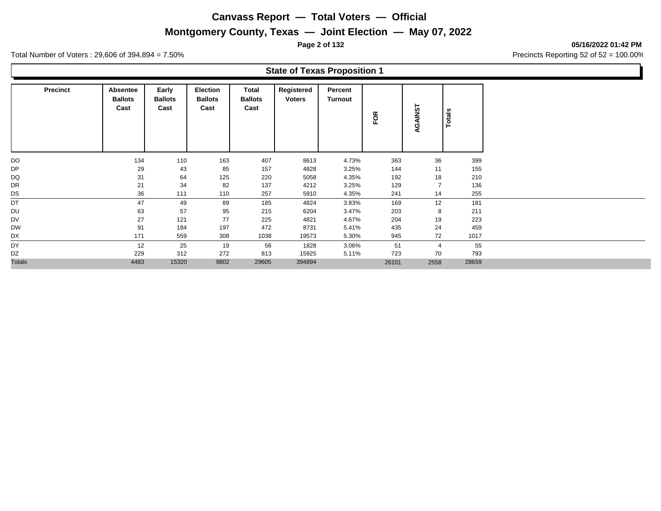## **Montgomery County, Texas — Joint Election — May 07, 2022**

**Page 2 of 132 05/16/2022 01:42 PM**

Total Number of Voters : 29,606 of 394,894 = 7.50% Precincts Reporting 52 of 52 = 100.00%

|                 |                                    |                                 |                                           |                                 | <b>State of Texas Proposition 1</b> |                           |     |                   |        |
|-----------------|------------------------------------|---------------------------------|-------------------------------------------|---------------------------------|-------------------------------------|---------------------------|-----|-------------------|--------|
| <b>Precinct</b> | Absentee<br><b>Ballots</b><br>Cast | Early<br><b>Ballots</b><br>Cast | <b>Election</b><br><b>Ballots</b><br>Cast | Total<br><b>Ballots</b><br>Cast | Registered<br><b>Voters</b>         | Percent<br><b>Turnout</b> | FOR | <b>AINST</b><br>ୁ | Totals |
| DO              | 134                                | 110                             | 163                                       | 407                             | 8613                                | 4.73%                     | 363 | 36                | 399    |
| DР              | 29                                 | 43                              | 85                                        | 157                             | 4828                                | 3.25%                     | 144 | 11                | 155    |
| DQ              | 31                                 | 64                              | 125                                       | 220                             | 5058                                | 4.35%                     | 192 | 18                | 210    |
| DR              | 21                                 | 34                              | 82                                        | 137                             | 4212                                | 3.25%                     | 129 | 7                 | 136    |
| DS              | 36                                 | 111                             | 110                                       | 257                             | 5910                                | 4.35%                     | 241 | 14                | 255    |
| DT              | 47                                 | 49                              | 89                                        | 185                             | 4824                                | 3.83%                     | 169 | 12                | 181    |
| DU              | 63                                 | 57                              | 95                                        | 215                             | 6204                                | 3.47%                     | 203 | 8                 | 211    |
| DV              | 27                                 | 121                             | 77                                        | 225                             | 4821                                | 4.67%                     | 204 | 19                | 223    |
| DW              | 91                                 | 184                             | 197                                       | 472                             | 8731                                | 5.41%                     | 435 | 24                | 459    |

DX 171 559 308 1038 19573 5.30% 945 72 1017 DY 12 25 19 56 1828 3.06% 51 4 55 DZ 229 312 272 813 15925 5.11% 723 70 793

Totals 4483 15320 9802 29605 394894 26101 2558 28659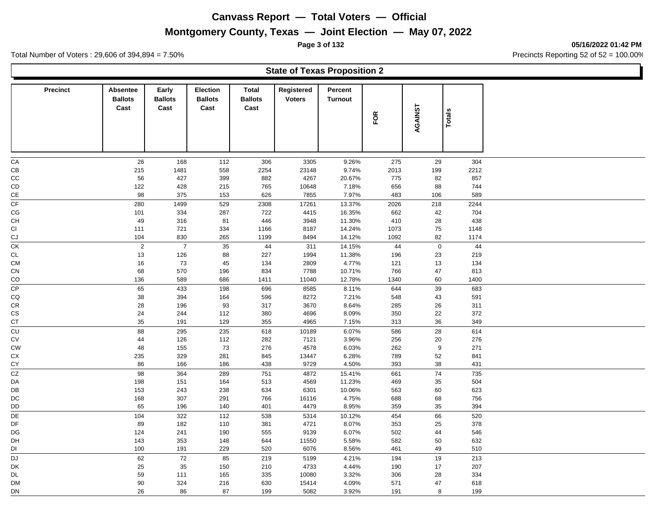## **Montgomery County, Texas — Joint Election — May 07, 2022**

**Page 3 of 132 05/16/2022 01:42 PM**

Total Number of Voters : 29,606 of 394,894 = 7.50% Precincts Reporting 52 of 52 = 100.00%

|                 |                                    |                                 |                                    |                                        | <b>State of Texas Proposition 2</b> |                           |             |           |               |  |
|-----------------|------------------------------------|---------------------------------|------------------------------------|----------------------------------------|-------------------------------------|---------------------------|-------------|-----------|---------------|--|
| <b>Precinct</b> | Absentee<br><b>Ballots</b><br>Cast | Early<br><b>Ballots</b><br>Cast | Election<br><b>Ballots</b><br>Cast | <b>Total</b><br><b>Ballots</b><br>Cast | Registered<br><b>Voters</b>         | Percent<br><b>Turnout</b> | FOR         | AGAINST   | <b>Totals</b> |  |
| ${\sf CA}$      | 26                                 | 168                             | 112                                | 306                                    | 3305                                | 9.26%                     | 275         | 29        | 304           |  |
| CВ              | 215                                | 1481                            | 558                                | 2254                                   | 23148                               | 9.74%                     | 2013        | 199       | 2212          |  |
| CC              | 56                                 | 427                             | 399                                | 882                                    | 4267                                | 20.67%                    | 775         | 82        | 857           |  |
| CD              | 122                                | 428                             | 215                                | 765                                    | 10648                               | 7.18%                     | 656         | 88        | 744           |  |
| $\mathsf{CE}$   | 98                                 | 375                             | 153                                | 626                                    | 7855                                | 7.97%                     | 483         | 106       | 589           |  |
| CF              | 280                                | 1499                            | 529                                | 2308                                   | 17261                               | 13.37%                    | 2026        | 218       | 2244          |  |
| CG              | 101                                | 334                             | 287                                | 722                                    | 4415                                | 16.35%                    | 662         | 42        | 704           |  |
| CH              | 49                                 | 316                             | 81                                 | 446                                    | 3948                                | 11.30%                    | 410         | 28        | 438           |  |
| СI              | 111                                | 721                             | 334                                | 1166                                   | 8187                                | 14.24%                    | 1073        | 75        | 1148          |  |
| CJ              | 104                                | 830                             | 265                                | 1199                                   | 8494                                | 14.12%                    | 1092        | 82        | 1174          |  |
| СK              | $\sqrt{2}$                         | $\overline{7}$                  | 35                                 | 44                                     | 311                                 | 14.15%                    | 44          | $\pmb{0}$ | 44            |  |
| <b>CL</b>       | 13                                 | 126                             | 88                                 | 227                                    | 1994                                | 11.38%                    | 196         | 23        | 219           |  |
| <b>CM</b>       | 16                                 | 73                              | $\sqrt{45}$                        | 134                                    | 2809                                | 4.77%                     | 121         | 13        | 134           |  |
| CN<br>CO        | 68<br>136                          | 570<br>589                      | 196<br>686                         | 834<br>1411                            | 7788<br>11040                       | 10.71%<br>12.78%          | 766<br>1340 | 47<br>60  | 813<br>1400   |  |
| CP              |                                    |                                 |                                    |                                        |                                     |                           |             |           |               |  |
| CQ              | 65<br>38                           | 433<br>394                      | 198<br>164                         | 696<br>596                             | 8585<br>8272                        | 8.11%<br>7.21%            | 644<br>548  | 39<br>43  | 683<br>591    |  |
| CR              | 28                                 | 196                             | 93                                 | 317                                    | 3670                                | 8.64%                     | 285         | 26        | 311           |  |
| СS              | 24                                 | 244                             | 112                                | 380                                    | 4696                                | 8.09%                     | 350         | 22        | 372           |  |
| СT              | 35                                 | 191                             | 129                                | 355                                    | 4965                                | 7.15%                     | 313         | 36        | 349           |  |
| CU              | 88                                 | 295                             | 235                                | 618                                    | 10189                               | 6.07%                     | 586         | 28        | 614           |  |
| СV              | 44                                 | 126                             | 112                                | 282                                    | 7121                                | 3.96%                     | 256         | 20        | 276           |  |
| <b>CW</b>       | 48                                 | 155                             | 73                                 | 276                                    | 4578                                | 6.03%                     | 262         | 9         | 271           |  |
| СX              | 235                                | 329                             | 281                                | 845                                    | 13447                               | 6.28%                     | 789         | 52        | 841           |  |
| СY              | 86                                 | 166                             | 186                                | 438                                    | 9729                                | 4.50%                     | 393         | 38        | 431           |  |
| CZ              | 98                                 | 364                             | 289                                | 751                                    | 4872                                | 15.41%                    | 661         | 74        | 735           |  |
| DA              | 198                                | 151                             | 164                                | 513                                    | 4569                                | 11.23%                    | 469         | 35        | 504           |  |
| DB              | 153                                | 243                             | 238                                | 634                                    | 6301                                | 10.06%                    | 563         | 60        | 623           |  |
| $_{\rm DC}$     | 168                                | 307                             | 291                                | 766                                    | 16116                               | 4.75%                     | 688         | 68        | 756           |  |
| DD              | 65                                 | 196                             | 140                                | 401                                    | 4479                                | 8.95%                     | 359         | 35        | 394           |  |
| DE              | 104                                | 322                             | 112                                | 538                                    | 5314                                | 10.12%                    | 454         | 66        | 520           |  |
| DF              | 89                                 | 182                             | 110                                | 381                                    | 4721                                | 8.07%                     | 353         | 25        | 378           |  |
| DG              | 124                                | 241                             | 190                                | 555                                    | 9139                                | 6.07%                     | 502         | 44        | 546           |  |
| DH              | 143                                | 353                             | 148                                | 644                                    | 11550                               | 5.58%                     | 582         | 50        | 632           |  |
| DI              | 100                                | 191                             | 229                                | 520                                    | 6076                                | 8.56%                     | 461         | 49        | 510           |  |
| DJ              | 62                                 | 72                              | 85                                 | 219                                    | 5199                                | 4.21%                     | 194         | 19        | 213           |  |
| DK              | 25                                 | 35                              | 150                                | 210                                    | 4733                                | 4.44%                     | 190         | 17        | 207           |  |
| DL              | 59<br>90                           | 111<br>324                      | 165<br>216                         | 335<br>630                             | 10080<br>15414                      | 3.32%<br>4.09%            | 306<br>571  | 28<br>47  | 334<br>618    |  |
| DM<br>DN        | 26                                 | 86                              | 87                                 | 199                                    | 5082                                | 3.92%                     | 191         | 8         | 199           |  |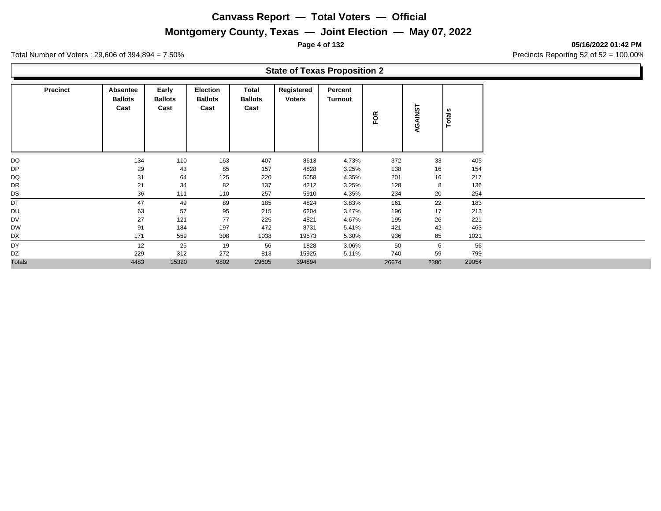## **Montgomery County, Texas — Joint Election — May 07, 2022**

**Page 4 of 132 05/16/2022 01:42 PM**

Total Number of Voters : 29,606 of 394,894 = 7.50% Precincts Reporting 52 of 52 = 100.00%

### **State of Texas Proposition 2**

| <b>Precinct</b> | Absentee<br><b>Ballots</b><br>Cast | Early<br><b>Ballots</b><br>Cast | Election<br><b>Ballots</b><br>Cast | Total<br><b>Ballots</b><br>Cast | Registered<br><b>Voters</b> | Percent<br>Turnout | FOR   | AGAINST | Totals |
|-----------------|------------------------------------|---------------------------------|------------------------------------|---------------------------------|-----------------------------|--------------------|-------|---------|--------|
| DO              | 134                                | 110                             | 163                                | 407                             | 8613                        | 4.73%              | 372   | 33      | 405    |
| <b>DP</b>       | 29                                 | 43                              | 85                                 | 157                             | 4828                        | 3.25%              | 138   | 16      | 154    |
| DQ              | 31                                 | 64                              | 125                                | 220                             | 5058                        | 4.35%              | 201   | 16      | 217    |
| DR              | 21                                 | 34                              | 82                                 | 137                             | 4212                        | 3.25%              | 128   | 8       | 136    |
| DS              | 36                                 | 111                             | 110                                | 257                             | 5910                        | 4.35%              | 234   | 20      | 254    |
| DT              | 47                                 | 49                              | 89                                 | 185                             | 4824                        | 3.83%              | 161   | 22      | 183    |
| DU              | 63                                 | 57                              | 95                                 | 215                             | 6204                        | 3.47%              | 196   | 17      | 213    |
| DV              | 27                                 | 121                             | 77                                 | 225                             | 4821                        | 4.67%              | 195   | 26      | 221    |
| <b>DW</b>       | 91                                 | 184                             | 197                                | 472                             | 8731                        | 5.41%              | 421   | 42      | 463    |
| DX              | 171                                | 559                             | 308                                | 1038                            | 19573                       | 5.30%              | 936   | 85      | 1021   |
| DY              | 12                                 | 25                              | 19                                 | 56                              | 1828                        | 3.06%              | 50    | 6       | 56     |
| DZ              | 229                                | 312                             | 272                                | 813                             | 15925                       | 5.11%              | 740   | 59      | 799    |
| <b>Totals</b>   | 4483                               | 15320                           | 9802                               | 29605                           | 394894                      |                    | 26674 | 2380    | 29054  |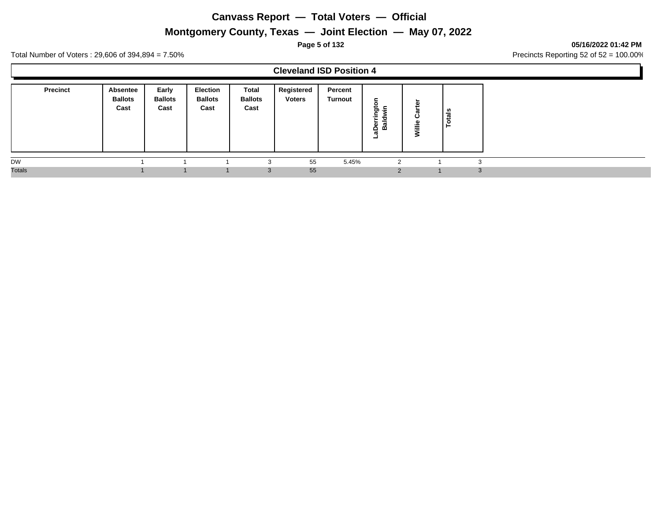## **Montgomery County, Texas — Joint Election — May 07, 2022**

#### **Page 5 of 132 05/16/2022 01:42 PM**

Total Number of Voters : 29,606 of 394,894 = 7.50% Precincts Reporting 52 of 52 = 100.00%

### **Cleveland ISD Position 4**

| <b>Precinct</b> | Absentee<br><b>Ballots</b><br>Cast | Early<br><b>Ballots</b><br>Cast | Election<br><b>Ballots</b><br>Cast | <b>Total</b><br><b>Ballots</b><br>Cast | Registered<br><b>Voters</b> | Percent<br><b>Turnout</b> | с<br>≖<br>ರಾ<br>$\overline{\phantom{a}}$<br>$\sim$<br>пı<br>മ<br>o<br>σ<br>- | =<br>=<br>═ | ៖<br>- |
|-----------------|------------------------------------|---------------------------------|------------------------------------|----------------------------------------|-----------------------------|---------------------------|------------------------------------------------------------------------------|-------------|--------|
| <b>DW</b>       |                                    |                                 |                                    |                                        | 55                          | 5.45%                     |                                                                              |             | ◠      |
| <b>Totals</b>   |                                    |                                 |                                    | 3                                      | 55                          |                           | $\Omega$                                                                     |             | - 3    |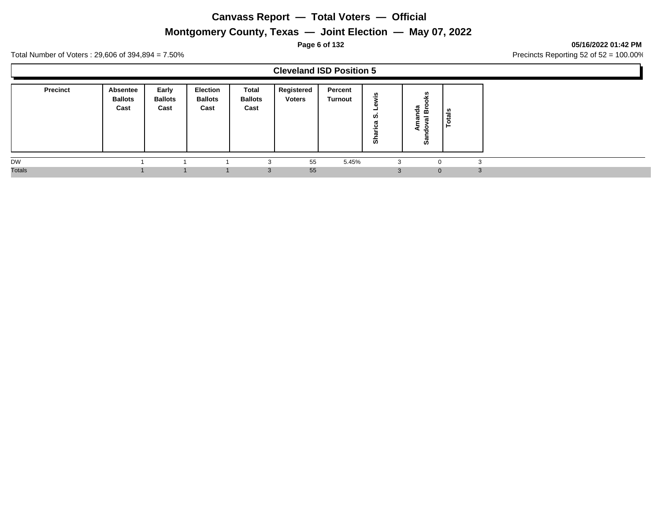## **Montgomery County, Texas — Joint Election — May 07, 2022**

#### **Page 6 of 132 05/16/2022 01:42 PM**

Total Number of Voters : 29,606 of 394,894 = 7.50% Precincts Reporting 52 of 52 = 100.00%

### **Cleveland ISD Position 5**

| <b>Precinct</b> | <b>Absentee</b><br><b>Ballots</b><br>Cast | Early<br><b>Ballots</b><br>Cast | <b>Election</b><br><b>Ballots</b><br>Cast | Total<br><b>Ballots</b><br>Cast | Registered<br><b>Voters</b> | Percent<br><b>Turnout</b> | w<br>$\overline{\phantom{0}}$<br><b>U)</b><br>ੱਕ | 용<br>$-$<br>മ<br>-<br>အီ | ័ត<br>ت<br>c<br>- |
|-----------------|-------------------------------------------|---------------------------------|-------------------------------------------|---------------------------------|-----------------------------|---------------------------|--------------------------------------------------|--------------------------|-------------------|
| <b>DW</b>       |                                           |                                 |                                           | ×.                              | 55                          | 5.45%                     | ົ                                                | υ                        | $\sqrt{2}$<br>ю   |
| <b>Totals</b>   |                                           |                                 |                                           | 3                               | 55                          |                           |                                                  | $\mathbf{0}$             | $\sim$<br>J.      |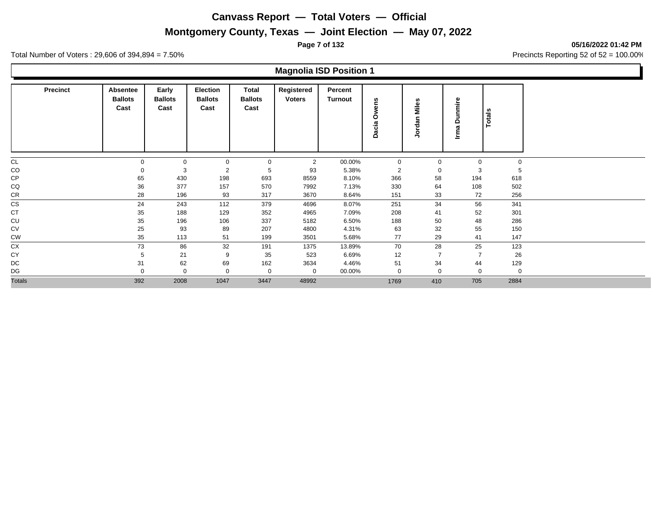## **Montgomery County, Texas — Joint Election — May 07, 2022**

**Page 7 of 132 05/16/2022 01:42 PM**

Total Number of Voters : 29,606 of 394,894 = 7.50% Precincts Reporting 52 of 52 = 100.00%

### **Magnolia ISD Position 1**

| <b>Precinct</b> | <b>Absentee</b><br><b>Ballots</b><br>Cast | Early<br><b>Ballots</b><br>Cast | <b>Election</b><br><b>Ballots</b><br>Cast | Total<br><b>Ballots</b><br>Cast | Registered<br><b>Voters</b> | Percent<br><b>Turnout</b> | ens<br>⋧<br>Ò<br>Dacia | Miles<br>lordan<br>∍ | Dunmire<br>lma | <b>Totals</b> |
|-----------------|-------------------------------------------|---------------------------------|-------------------------------------------|---------------------------------|-----------------------------|---------------------------|------------------------|----------------------|----------------|---------------|
| <b>CL</b>       | $\mathbf 0$                               | $\mathbf 0$                     | $\mathbf 0$                               | $\mathbf 0$                     | 2                           | 00.00%                    | $\mathbf 0$            | $\mathbf 0$          | $\mathbf 0$    | $\mathbf 0$   |
| CO              | 0                                         | 3                               | 2                                         | 5                               | 93                          | 5.38%                     | 2                      | 0                    | 3              | 5             |
| CP              | 65                                        | 430                             | 198                                       | 693                             | 8559                        | 8.10%                     | 366                    | 58                   | 194            | 618           |
| CQ              | 36                                        | 377                             | 157                                       | 570                             | 7992                        | 7.13%                     | 330                    | 64                   | 108            | 502           |
| CR              | 28                                        | 196                             | 93                                        | 317                             | 3670                        | 8.64%                     | 151                    | 33                   | 72             | 256           |
| <b>CS</b>       | 24                                        | 243                             | 112                                       | 379                             | 4696                        | 8.07%                     | 251                    | 34                   | 56             | 341           |
| CT              | 35                                        | 188                             | 129                                       | 352                             | 4965                        | 7.09%                     | 208                    | 41                   | 52             | 301           |
| CU              | 35                                        | 196                             | 106                                       | 337                             | 5182                        | 6.50%                     | 188                    | 50                   | 48             | 286           |
| <b>CV</b>       | 25                                        | 93                              | 89                                        | 207                             | 4800                        | 4.31%                     | 63                     | 32                   | 55             | 150           |
| <b>CW</b>       | 35                                        | 113                             | 51                                        | 199                             | 3501                        | 5.68%                     | 77                     | 29                   | 41             | 147           |
| <b>CX</b>       | 73                                        | 86                              | 32                                        | 191                             | 1375                        | 13.89%                    | 70                     | 28                   | 25             | 123           |
| CY              | 5                                         | 21                              | 9                                         | 35                              | 523                         | 6.69%                     | 12                     | $\overline{7}$       | $\overline{7}$ | 26            |
| DC              | 31                                        | 62                              | 69                                        | 162                             | 3634                        | 4.46%                     | 51                     | 34                   | 44             | 129           |
| DG              | $\Omega$                                  | $\Omega$                        | $\Omega$                                  | $\mathbf 0$                     | $\mathbf 0$                 | 00.00%                    | $\mathbf{0}$           | $\mathbf 0$          | 0              | $\mathbf 0$   |
| <b>Totals</b>   | 392                                       | 2008                            | 1047                                      | 3447                            | 48992                       |                           | 1769                   | 410                  | 705            | 2884          |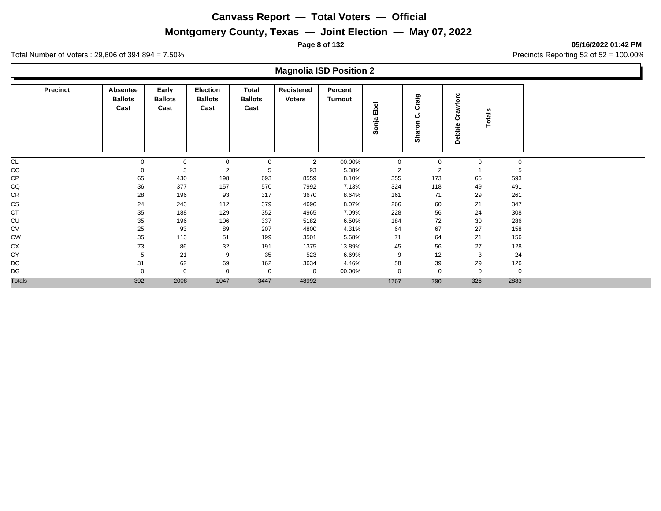## **Montgomery County, Texas — Joint Election — May 07, 2022**

**Page 8 of 132 05/16/2022 01:42 PM**

Total Number of Voters : 29,606 of 394,894 = 7.50% Precincts Reporting 52 of 52 = 100.00%

### **Magnolia ISD Position 2**

| <b>Precinct</b> | Absentee<br><b>Ballots</b><br>Cast | Early<br><b>Ballots</b><br>Cast | <b>Election</b><br><b>Ballots</b><br>Cast | Total<br><b>Ballots</b><br>Cast | Registered<br><b>Voters</b> | Percent<br>Turnout | Ebel<br>Sonja  | raig<br>Ω<br>ပ<br>Sharon | Crawford<br>Debbie | <b>Totals</b> |
|-----------------|------------------------------------|---------------------------------|-------------------------------------------|---------------------------------|-----------------------------|--------------------|----------------|--------------------------|--------------------|---------------|
| <b>CL</b>       | $\mathbf 0$                        | $\mathbf{0}$                    | $\mathbf 0$                               | $\mathbf 0$                     | $\overline{2}$              | 00.00%             | $\mathbf 0$    | 0                        | $\mathbf 0$        | $\mathbf 0$   |
| CO              | $\Omega$                           | 3                               | $\overline{2}$                            | 5                               | 93                          | 5.38%              | $\overline{2}$ | $\overline{2}$           |                    |               |
| CP              | 65                                 | 430                             | 198                                       | 693                             | 8559                        | 8.10%              | 355            | 173                      | 65                 | 593           |
| CQ              | 36                                 | 377                             | 157                                       | 570                             | 7992                        | 7.13%              | 324            | 118                      | 49                 | 491           |
| CR              | 28                                 | 196                             | 93                                        | 317                             | 3670                        | 8.64%              | 161            | 71                       | 29                 | 261           |
| <b>CS</b>       | 24                                 | 243                             | 112                                       | 379                             | 4696                        | 8.07%              | 266            | 60                       | 21                 | 347           |
| <b>CT</b>       | 35                                 | 188                             | 129                                       | 352                             | 4965                        | 7.09%              | 228            | 56                       | 24                 | 308           |
| CU              | 35                                 | 196                             | 106                                       | 337                             | 5182                        | 6.50%              | 184            | 72                       | 30                 | 286           |
| CV              | 25                                 | 93                              | 89                                        | 207                             | 4800                        | 4.31%              | 64             | 67                       | 27                 | 158           |
| <b>CW</b>       | 35                                 | 113                             | 51                                        | 199                             | 3501                        | 5.68%              | 71             | 64                       | 21                 | 156           |
| <b>CX</b>       | 73                                 | 86                              | 32                                        | 191                             | 1375                        | 13.89%             | 45             | 56                       | 27                 | 128           |
| CY              | 5                                  | 21                              | 9                                         | 35                              | 523                         | 6.69%              | 9              | 12                       | 3                  | 24            |
| DC              | 31                                 | 62                              | 69                                        | 162                             | 3634                        | 4.46%              | 58             | 39                       | 29                 | 126           |
| DG              | $\Omega$                           | $\mathbf{0}$                    | $\mathbf{0}$                              | $\mathbf 0$                     | $\Omega$                    | 00.00%             | $\Omega$       | $\mathbf 0$              | $\mathbf 0$        | $\mathbf 0$   |
| <b>Totals</b>   | 392                                | 2008                            | 1047                                      | 3447                            | 48992                       |                    | 1767           | 790                      | 326                | 2883          |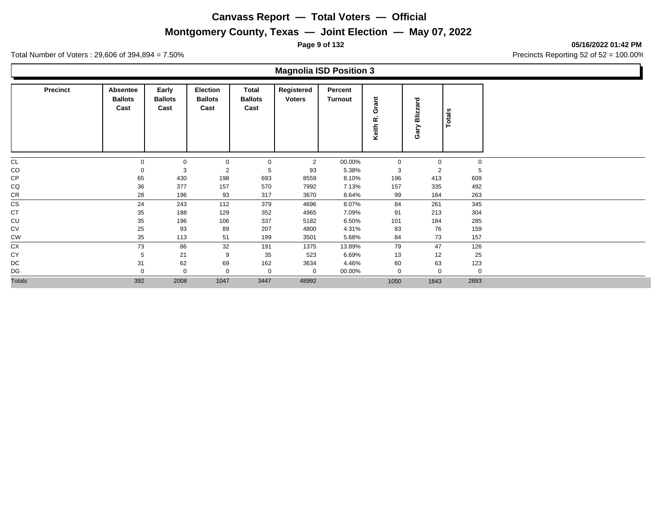## **Montgomery County, Texas — Joint Election — May 07, 2022**

**Page 9 of 132 05/16/2022 01:42 PM**

Total Number of Voters : 29,606 of 394,894 = 7.50% Precincts Reporting 52 of 52 = 100.00%

### **Magnolia ISD Position 3**

| <b>Precinct</b> | Absentee<br><b>Ballots</b><br>Cast | Early<br><b>Ballots</b><br>Cast | Election<br><b>Ballots</b><br>Cast | Total<br><b>Ballots</b><br>Cast | Registered<br><b>Voters</b> | Percent<br><b>Turnout</b> | Grant<br>œ<br>Keith | Blizzard<br>Gary | <b>Totals</b> |
|-----------------|------------------------------------|---------------------------------|------------------------------------|---------------------------------|-----------------------------|---------------------------|---------------------|------------------|---------------|
| <b>CL</b>       |                                    | $\mathbf 0$                     | $\Omega$                           | $\mathbf 0$                     | 2                           | 00.00%                    | $\mathbf 0$         | $\Omega$         | $\mathbf 0$   |
| CO              |                                    | 3                               | $\overline{2}$                     | 5                               | 93                          | 5.38%                     | 3                   | 2                | 5             |
| CP              | 65                                 | 430                             | 198                                | 693                             | 8559                        | 8.10%                     | 196                 | 413              | 609           |
| CQ              | 36                                 | 377                             | 157                                | 570                             | 7992                        | 7.13%                     | 157                 | 335              | 492           |
| CR              | 28                                 | 196                             | 93                                 | 317                             | 3670                        | 8.64%                     | 99                  | 164              | 263           |
| <b>CS</b>       | 24                                 | 243                             | 112                                | 379                             | 4696                        | 8.07%                     | 84                  | 261              | 345           |
| <b>CT</b>       | 35                                 | 188                             | 129                                | 352                             | 4965                        | 7.09%                     | 91                  | 213              | 304           |
| CU              | 35                                 | 196                             | 106                                | 337                             | 5182                        | 6.50%                     | 101                 | 184              | 285           |
| <b>CV</b>       | 25                                 | 93                              | 89                                 | 207                             | 4800                        | 4.31%                     | 83                  | 76               | 159           |
| CW              | 35                                 | 113                             | 51                                 | 199                             | 3501                        | 5.68%                     | 84                  | 73               | 157           |
| CX              | 73                                 | 86                              | 32                                 | 191                             | 1375                        | 13.89%                    | 79                  | 47               | 126           |
| CY              | 5                                  | 21                              | 9                                  | 35                              | 523                         | 6.69%                     | 13                  | 12               | 25            |
| DC              | 31                                 | 62                              | 69                                 | 162                             | 3634                        | 4.46%                     | 60                  | 63               | 123           |
| DG              |                                    | $\mathbf 0$                     | $\Omega$                           | $\mathbf 0$                     | 0                           | 00.00%                    | $\mathbf 0$         | $\mathbf 0$      | 0             |
| <b>Totals</b>   | 392                                | 2008                            | 1047                               | 3447                            | 48992                       |                           | 1050                | 1843             | 2893          |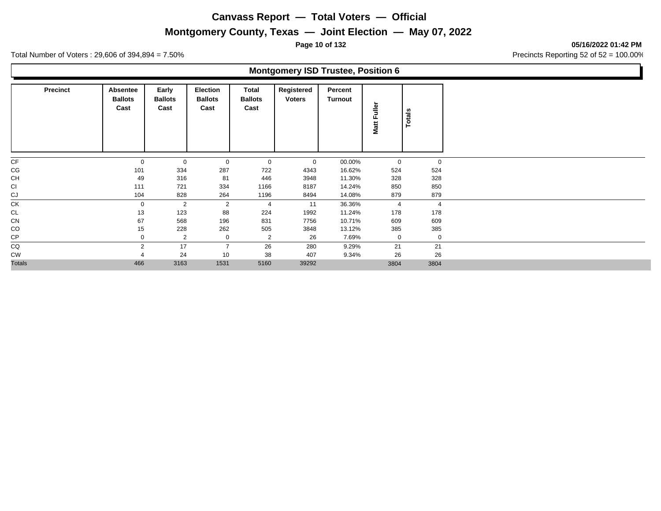## **Montgomery County, Texas — Joint Election — May 07, 2022**

**Page 10 of 132 05/16/2022 01:42 PM**

Total Number of Voters : 29,606 of 394,894 = 7.50% Precincts Reporting 52 of 52 = 100.00%

### **Montgomery ISD Trustee, Position 6**

| <b>Precinct</b> | Absentee<br><b>Ballots</b><br>Cast | Early<br><b>Ballots</b><br>Cast | Election<br><b>Ballots</b><br>Cast | Total<br><b>Ballots</b><br>Cast | Registered<br><b>Voters</b> | Percent<br>Turnout | Matt Fuller    | Totals         |
|-----------------|------------------------------------|---------------------------------|------------------------------------|---------------------------------|-----------------------------|--------------------|----------------|----------------|
| CF              | $\mathbf 0$                        | $\mathbf 0$                     | 0                                  | 0                               | $\mathbf 0$                 | 00.00%             | 0              | $\mathbf 0$    |
| CG              | 101                                | 334                             | 287                                | 722                             | 4343                        | 16.62%             | 524            | 524            |
| CH              | 49                                 | 316                             | 81                                 | 446                             | 3948                        | 11.30%             | 328            | 328            |
| CI              | 111                                | 721                             | 334                                | 1166                            | 8187                        | 14.24%             | 850            | 850            |
| CJ              | 104                                | 828                             | 264                                | 1196                            | 8494                        | 14.08%             | 879            | 879            |
| CK              | $\mathbf 0$                        | $\overline{2}$                  | 2                                  | 4                               | 11                          | 36.36%             | $\overline{4}$ | $\overline{4}$ |
| CL              | 13                                 | 123                             | 88                                 | 224                             | 1992                        | 11.24%             | 178            | 178            |
| CN              | 67                                 | 568                             | 196                                | 831                             | 7756                        | 10.71%             | 609            | 609            |
| CO              | 15                                 | 228                             | 262                                | 505                             | 3848                        | 13.12%             | 385            | 385            |
| CP              | $\Omega$                           | $\overline{2}$                  | 0                                  | 2                               | 26                          | 7.69%              | $\mathbf 0$    | $\mathbf 0$    |
| CQ              | 2                                  | 17                              | $\overline{7}$                     | 26                              | 280                         | 9.29%              | 21             | 21             |
| <b>CW</b>       |                                    | 24                              | 10                                 | 38                              | 407                         | 9.34%              | 26             | 26             |
| <b>Totals</b>   | 466                                | 3163                            | 1531                               | 5160                            | 39292                       |                    | 3804           | 3804           |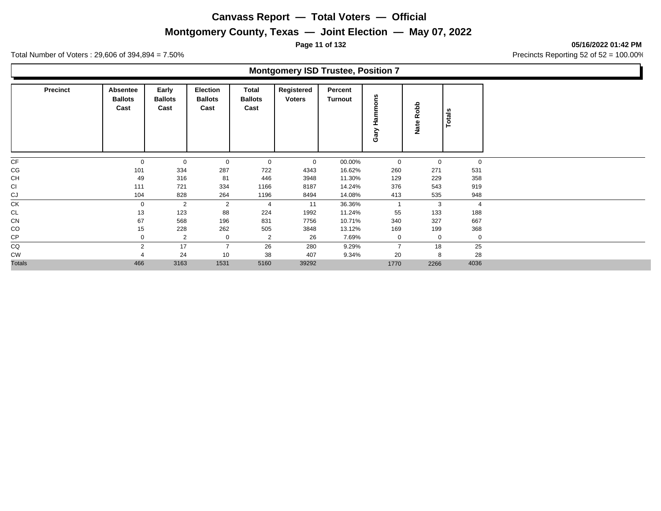## **Montgomery County, Texas — Joint Election — May 07, 2022**

**Page 11 of 132 05/16/2022 01:42 PM**

Total Number of Voters : 29,606 of 394,894 = 7.50% Precincts Reporting 52 of 52 = 100.00%

### **Montgomery ISD Trustee, Position 7**

| <b>Precinct</b> | Absentee<br><b>Ballots</b><br>Cast | Early<br><b>Ballots</b><br>Cast | Election<br><b>Ballots</b><br>Cast | Total<br><b>Ballots</b><br>Cast | Registered<br><b>Voters</b> | Percent<br>Turnout | ۴s<br>$\circ$<br>m<br>I<br>Gary | Robb<br>Nate | <b>Totals</b>  |
|-----------------|------------------------------------|---------------------------------|------------------------------------|---------------------------------|-----------------------------|--------------------|---------------------------------|--------------|----------------|
| CF              | $\mathbf 0$                        | $\mathbf 0$                     | 0                                  | 0                               | $\mathbf 0$                 | 00.00%             | 0                               | 0            | $\mathbf{0}$   |
| CG              | 101                                | 334                             | 287                                | 722                             | 4343                        | 16.62%             | 260                             | 271          | 531            |
| <b>CH</b>       | 49                                 | 316                             | 81                                 | 446                             | 3948                        | 11.30%             | 129                             | 229          | 358            |
| CI              | 111                                | 721                             | 334                                | 1166                            | 8187                        | 14.24%             | 376                             | 543          | 919            |
| CJ              | 104                                | 828                             | 264                                | 1196                            | 8494                        | 14.08%             | 413                             | 535          | 948            |
| <b>CK</b>       | $\mathbf 0$                        | $\overline{2}$                  | 2                                  | $\overline{4}$                  | 11                          | 36.36%             | -1                              | 3            | $\overline{4}$ |
| CL              | 13                                 | 123                             | 88                                 | 224                             | 1992                        | 11.24%             | 55                              | 133          | 188            |
| CN              | 67                                 | 568                             | 196                                | 831                             | 7756                        | 10.71%             | 340                             | 327          | 667            |
| CO              | 15                                 | 228                             | 262                                | 505                             | 3848                        | 13.12%             | 169                             | 199          | 368            |
| CP              | $\Omega$                           | $\overline{2}$                  | 0                                  | $\overline{2}$                  | 26                          | 7.69%              | 0                               | $\mathbf 0$  | $\mathbf 0$    |
| CQ              | $\overline{2}$                     | 17                              | $\overline{7}$                     | 26                              | 280                         | 9.29%              | $\overline{7}$                  | 18           | 25             |
| <b>CW</b>       |                                    | 24                              | 10                                 | 38                              | 407                         | 9.34%              | 20                              | 8            | 28             |
| <b>Totals</b>   | 466                                | 3163                            | 1531                               | 5160                            | 39292                       |                    | 1770                            | 2266         | 4036           |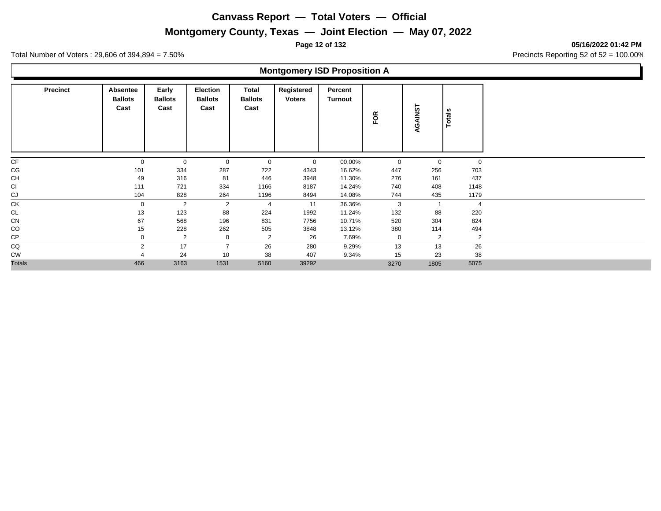# **Montgomery County, Texas — Joint Election — May 07, 2022**

**Page 12 of 132 05/16/2022 01:42 PM**

Total Number of Voters : 29,606 of 394,894 = 7.50% Precincts Reporting 52 of 52 = 100.00%

## **Montgomery ISD Proposition A**

| <b>Precinct</b> | Absentee<br><b>Ballots</b><br>Cast | Early<br><b>Ballots</b><br>Cast | <b>Election</b><br><b>Ballots</b><br>Cast | Total<br><b>Ballots</b><br>Cast | Registered<br><b>Voters</b> | Percent<br>Turnout | FOR  | RGAINST                  | <b>Totals</b> |                |
|-----------------|------------------------------------|---------------------------------|-------------------------------------------|---------------------------------|-----------------------------|--------------------|------|--------------------------|---------------|----------------|
| CF              | $\mathbf 0$                        | $\mathbf{0}$                    | 0                                         | $\mathbf 0$                     | $\mathbf 0$                 | 00.00%             | 0    |                          | 0             | $\mathbf 0$    |
| CG              | 101                                | 334                             | 287                                       | 722                             | 4343                        | 16.62%             | 447  | 256                      |               | 703            |
| <b>CH</b>       | 49                                 | 316                             | 81                                        | 446                             | 3948                        | 11.30%             | 276  | 161                      |               | 437            |
| CI              | 111                                | 721                             | 334                                       | 1166                            | 8187                        | 14.24%             | 740  | 408                      |               | 1148           |
| CJ              | 104                                | 828                             | 264                                       | 1196                            | 8494                        | 14.08%             | 744  | 435                      |               | 1179           |
| <b>CK</b>       | $\mathbf 0$                        | 2                               | 2                                         | $\overline{4}$                  | 11                          | 36.36%             | 3    | $\overline{\phantom{a}}$ |               | $\overline{4}$ |
| <b>CL</b>       | 13                                 | 123                             | 88                                        | 224                             | 1992                        | 11.24%             | 132  | 88                       |               | 220            |
| CN              | 67                                 | 568                             | 196                                       | 831                             | 7756                        | 10.71%             | 520  | 304                      |               | 824            |
| CO              | 15                                 | 228                             | 262                                       | 505                             | 3848                        | 13.12%             | 380  | 114                      |               | 494            |
| CP              | 0                                  | $\overline{2}$                  | 0                                         | $\overline{2}$                  | 26                          | 7.69%              | 0    |                          | 2             | 2              |
| CQ              | $\overline{2}$                     | 17                              | $\overline{7}$                            | 26                              | 280                         | 9.29%              | 13   | 13                       |               | 26             |
| CW              |                                    | 24                              | 10                                        | 38                              | 407                         | 9.34%              | 15   | 23                       |               | 38             |
| <b>Totals</b>   | 466                                | 3163                            | 1531                                      | 5160                            | 39292                       |                    | 3270 | 1805                     |               | 5075           |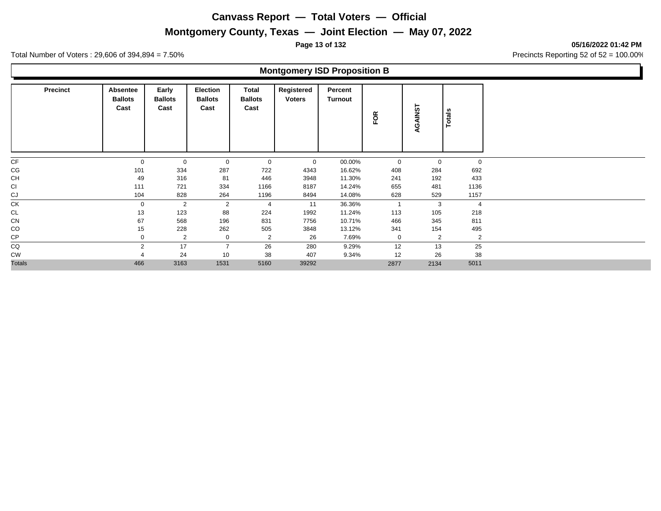## **Montgomery County, Texas — Joint Election — May 07, 2022**

**Page 13 of 132 05/16/2022 01:42 PM**

Total Number of Voters : 29,606 of 394,894 = 7.50% Precincts Reporting 52 of 52 = 100.00%

## **Montgomery ISD Proposition B**

| <b>Precinct</b> | Absentee<br><b>Ballots</b><br>Cast | Early<br><b>Ballots</b><br>Cast | <b>Election</b><br><b>Ballots</b><br>Cast | Total<br><b>Ballots</b><br>Cast | Registered<br><b>Voters</b> | Percent<br>Turnout | FOR            | AINST<br>ওঁ | <b>Totals</b>  |
|-----------------|------------------------------------|---------------------------------|-------------------------------------------|---------------------------------|-----------------------------|--------------------|----------------|-------------|----------------|
| CF              | $\mathbf 0$                        | $\mathbf 0$                     | 0                                         | 0                               | $\mathbf 0$                 | 00.00%             | 0              | 0           | $\mathbf 0$    |
| CG              | 101                                | 334                             | 287                                       | 722                             | 4343                        | 16.62%             | 408            | 284         | 692            |
| <b>CH</b>       | 49                                 | 316                             | 81                                        | 446                             | 3948                        | 11.30%             | 241            | 192         | 433            |
| <b>CI</b>       | 111                                | 721                             | 334                                       | 1166                            | 8187                        | 14.24%             | 655            | 481         | 1136           |
| CJ              | 104                                | 828                             | 264                                       | 1196                            | 8494                        | 14.08%             | 628            | 529         | 1157           |
| CK              | $\mathbf 0$                        | $\overline{2}$                  | 2                                         | $\overline{4}$                  | 11                          | 36.36%             | $\overline{1}$ | 3           | $\overline{4}$ |
| CL              | 13                                 | 123                             | 88                                        | 224                             | 1992                        | 11.24%             | 113            | 105         | 218            |
| CN              | 67                                 | 568                             | 196                                       | 831                             | 7756                        | 10.71%             | 466            | 345         | 811            |
| CO              | 15                                 | 228                             | 262                                       | 505                             | 3848                        | 13.12%             | 341            | 154         | 495            |
| CP              |                                    | $\overline{2}$                  | 0                                         | 2                               | 26                          | 7.69%              | 0              | 2           | 2              |
| CQ              | 2                                  | 17                              | $\overline{7}$                            | 26                              | 280                         | 9.29%              | 12             | 13          | 25             |
| <b>CW</b>       |                                    | 24                              | 10                                        | 38                              | 407                         | 9.34%              | 12             | 26          | 38             |
| <b>Totals</b>   | 466                                | 3163                            | 1531                                      | 5160                            | 39292                       |                    | 2877           | 2134        | 5011           |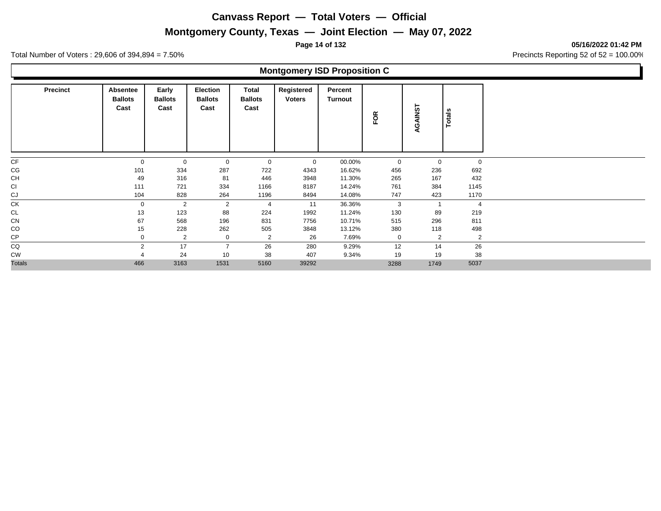## **Montgomery County, Texas — Joint Election — May 07, 2022**

**Page 14 of 132 05/16/2022 01:42 PM**

Total Number of Voters : 29,606 of 394,894 = 7.50% Precincts Reporting 52 of 52 = 100.00%

## **Montgomery ISD Proposition C**

| <b>Precinct</b> | Absentee<br><b>Ballots</b><br>Cast | Early<br><b>Ballots</b><br>Cast | <b>Election</b><br><b>Ballots</b><br>Cast | Total<br><b>Ballots</b><br>Cast | Registered<br><b>Voters</b> | Percent<br>Turnout | FOR  | AINST<br>ওঁ    | <b>Totals</b>  |
|-----------------|------------------------------------|---------------------------------|-------------------------------------------|---------------------------------|-----------------------------|--------------------|------|----------------|----------------|
| CF              | $\mathbf 0$                        | $\mathbf 0$                     | 0                                         | 0                               | $\mathbf 0$                 | 00.00%             | 0    | 0              | $\mathbf 0$    |
| CG              | 101                                | 334                             | 287                                       | 722                             | 4343                        | 16.62%             | 456  | 236            | 692            |
| <b>CH</b>       | 49                                 | 316                             | 81                                        | 446                             | 3948                        | 11.30%             | 265  | 167            | 432            |
| <b>CI</b>       | 111                                | 721                             | 334                                       | 1166                            | 8187                        | 14.24%             | 761  | 384            | 1145           |
| CJ              | 104                                | 828                             | 264                                       | 1196                            | 8494                        | 14.08%             | 747  | 423            | 1170           |
| CK              | $\mathbf 0$                        | $\overline{2}$                  | 2                                         | $\overline{4}$                  | 11                          | 36.36%             | 3    | $\overline{ }$ | $\overline{4}$ |
| CL              | 13                                 | 123                             | 88                                        | 224                             | 1992                        | 11.24%             | 130  | 89             | 219            |
| CN              | 67                                 | 568                             | 196                                       | 831                             | 7756                        | 10.71%             | 515  | 296            | 811            |
| CO              | 15                                 | 228                             | 262                                       | 505                             | 3848                        | 13.12%             | 380  | 118            | 498            |
| CP              |                                    | $\overline{2}$                  | 0                                         | 2                               | 26                          | 7.69%              | 0    | 2              | 2              |
| CQ              | 2                                  | 17                              | $\overline{7}$                            | 26                              | 280                         | 9.29%              | 12   | 14             | 26             |
| <b>CW</b>       |                                    | 24                              | 10                                        | 38                              | 407                         | 9.34%              | 19   | 19             | 38             |
| <b>Totals</b>   | 466                                | 3163                            | 1531                                      | 5160                            | 39292                       |                    | 3288 | 1749           | 5037           |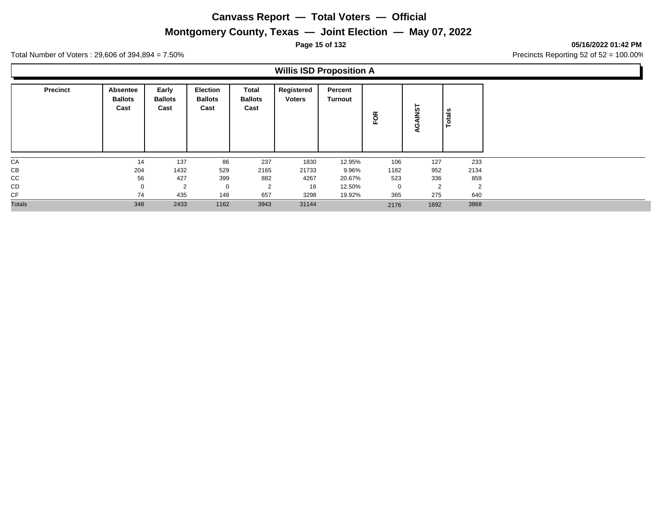## **Montgomery County, Texas — Joint Election — May 07, 2022**

#### **Page 15 of 132 05/16/2022 01:42 PM**

Total Number of Voters : 29,606 of 394,894 = 7.50% Precincts Reporting 52 of 52 = 100.00%

## **Willis ISD Proposition A**

| <b>Precinct</b> | Absentee<br><b>Ballots</b><br>Cast | Early<br><b>Ballots</b><br>Cast | <b>Election</b><br><b>Ballots</b><br>Cast | Total<br><b>Ballots</b><br>Cast | Registered<br><b>Voters</b> | Percent<br>Turnout | õ<br>ட      | <b>TSN</b><br>-<br>ပ<br>◀ | otals |                |
|-----------------|------------------------------------|---------------------------------|-------------------------------------------|---------------------------------|-----------------------------|--------------------|-------------|---------------------------|-------|----------------|
| CA              | 14                                 | 137                             | 86                                        | 237                             | 1830                        | 12.95%             | 106         | 127                       |       | 233            |
| CB              | 204                                | 1432                            | 529                                       | 2165                            | 21733                       | 9.96%              | 1182        | 952                       |       | 2134           |
| $_{\rm CC}$     | 56                                 | 427                             | 399                                       | 882                             | 4267                        | 20.67%             | 523         | 336                       |       | 859            |
| CD              |                                    | 2                               | $\mathbf 0$                               | 2                               | 16                          | 12.50%             | $\mathbf 0$ | $\overline{2}$            |       | $\overline{2}$ |
| CF              | 74                                 | 435                             | 148                                       | 657                             | 3298                        | 19.92%             | 365         | 275                       |       | 640            |
| <b>Totals</b>   | 348                                | 2433                            | 1162                                      | 3943                            | 31144                       |                    | 2176        | 1692                      |       | 3868           |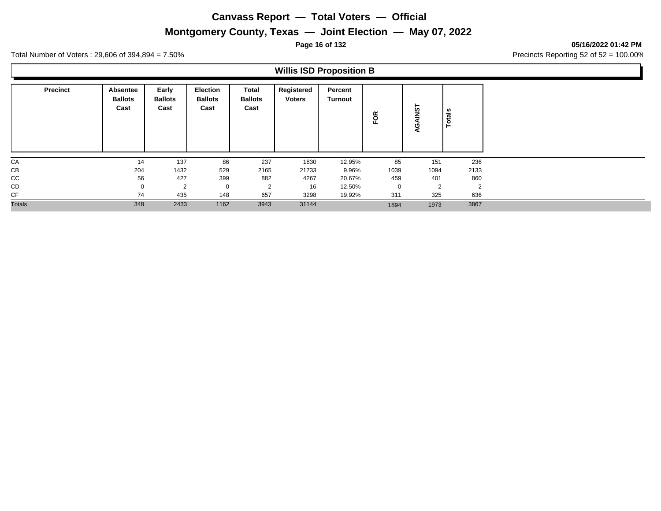## **Montgomery County, Texas — Joint Election — May 07, 2022**

#### **Page 16 of 132 05/16/2022 01:42 PM**

Total Number of Voters : 29,606 of 394,894 = 7.50% Precincts Reporting 52 of 52 = 100.00%

## **Willis ISD Proposition B**

| <b>Precinct</b> | Absentee<br><b>Ballots</b><br>Cast | Early<br><b>Ballots</b><br>Cast | <b>Election</b><br><b>Ballots</b><br>Cast | Total<br><b>Ballots</b><br>Cast | Registered<br><b>Voters</b> | Percent<br>Turnout | g           | AINST<br>ပ<br>∢ | otals<br>Ë |
|-----------------|------------------------------------|---------------------------------|-------------------------------------------|---------------------------------|-----------------------------|--------------------|-------------|-----------------|------------|
| CA              | 14                                 | 137                             | 86                                        | 237                             | 1830                        | 12.95%             | 85          | 151             | 236        |
| CB              | 204                                | 1432                            | 529                                       | 2165                            | 21733                       | 9.96%              | 1039        | 1094            | 2133       |
| CC              | 56                                 | 427                             | 399                                       | 882                             | 4267                        | 20.67%             | 459         | 401             | 860        |
| CD              | $\mathbf 0$                        | $\overline{2}$                  | $\mathbf 0$                               | 2                               | 16                          | 12.50%             | $\mathbf 0$ | $\overline{2}$  | 2          |
| CF              | 74                                 | 435                             | 148                                       | 657                             | 3298                        | 19.92%             | 311         | 325             | 636        |
| <b>Totals</b>   | 348                                | 2433                            | 1162                                      | 3943                            | 31144                       |                    | 1894        | 1973            | 3867       |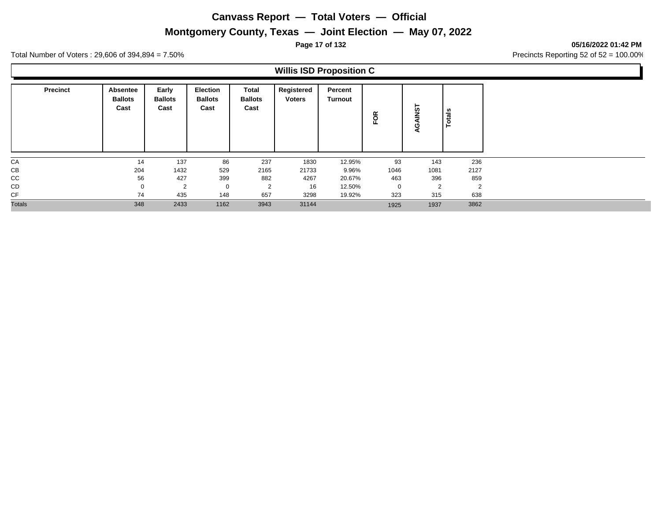## **Montgomery County, Texas — Joint Election — May 07, 2022**

**Page 17 of 132 05/16/2022 01:42 PM**

Total Number of Voters : 29,606 of 394,894 = 7.50% Precincts Reporting 52 of 52 = 100.00%

### **Willis ISD Proposition C**

| <b>Precinct</b> | Absentee<br><b>Ballots</b><br>Cast | Early<br><b>Ballots</b><br>Cast | <b>Election</b><br><b>Ballots</b><br>Cast | Total<br><b>Ballots</b><br>Cast | Registered<br><b>Voters</b> | Percent<br>Turnout | g              | <b>TSN</b><br>O<br>◀ | U.<br>$\ddot{a}$ |
|-----------------|------------------------------------|---------------------------------|-------------------------------------------|---------------------------------|-----------------------------|--------------------|----------------|----------------------|------------------|
| CA              | 14                                 | 137                             | 86                                        | 237                             | 1830                        | 12.95%             | 93             | 143                  | 236              |
| СB              | 204                                | 1432                            | 529                                       | 2165                            | 21733                       | 9.96%              | 1046           | 1081                 | 2127             |
| CC              | 56                                 | 427                             | 399                                       | 882                             | 4267                        | 20.67%             | 463            | 396                  | 859              |
| CD              | $\mathbf 0$                        | $\overline{2}$                  |                                           | 2                               | 16                          | 12.50%             | $\overline{0}$ | $\overline{2}$       | $\overline{2}$   |
| CF              | 74                                 | 435                             | 148                                       | 657                             | 3298                        | 19.92%             | 323            | 315                  | 638              |
| <b>Totals</b>   | 348                                | 2433                            | 1162                                      | 3943                            | 31144                       |                    | 1925           | 1937                 | 3862             |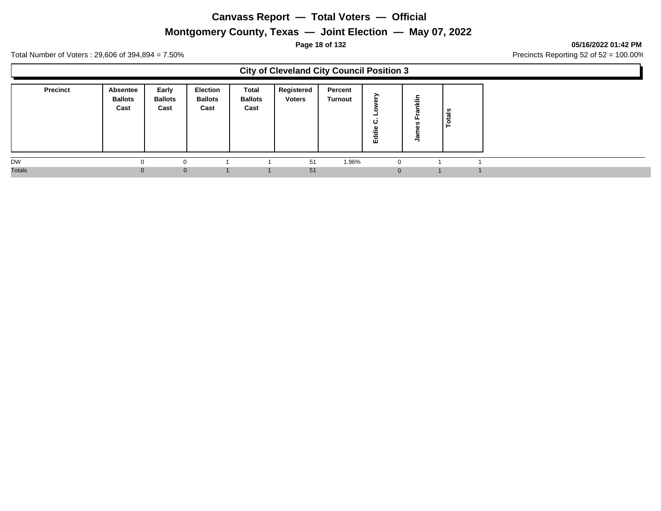## **Montgomery County, Texas — Joint Election — May 07, 2022**

#### **Page 18 of 132 05/16/2022 01:42 PM**

Total Number of Voters : 29,606 of 394,894 = 7.50% Precincts Reporting 52 of 52 = 100.00%

### **City of Cleveland City Council Position 3**

| <b>Precinct</b> | <b>Absentee</b><br><b>Ballots</b><br>Cast | Early<br><b>Ballots</b><br>Cast | Election<br><b>Ballots</b><br>Cast | Total<br><b>Ballots</b><br>Cast | Registered<br><b>Voters</b> | Percent<br>Turnout | -<br>ပ<br>о.<br>ㅎ<br>훕 | Ē | ្លូ<br>تت<br>O |
|-----------------|-------------------------------------------|---------------------------------|------------------------------------|---------------------------------|-----------------------------|--------------------|------------------------|---|----------------|
| DW              |                                           |                                 |                                    |                                 | 51                          | 1.96%              | 0                      |   |                |
| <b>Totals</b>   |                                           | $\Omega$                        |                                    |                                 | 51                          |                    |                        |   |                |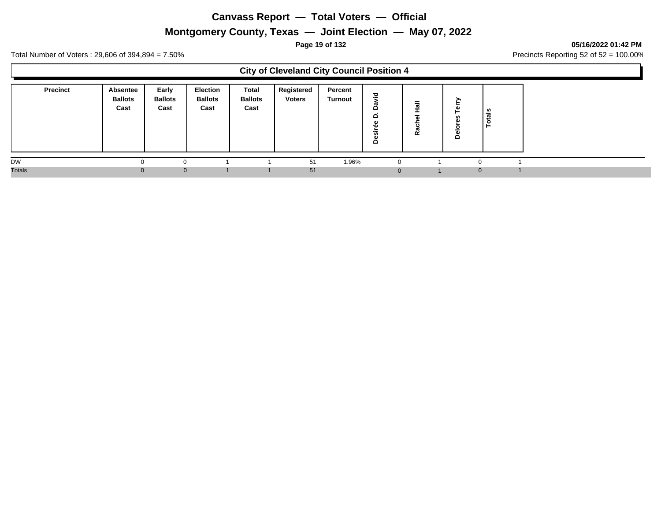## **Montgomery County, Texas — Joint Election — May 07, 2022**

**Page 19 of 132 05/16/2022 01:42 PM**

Total Number of Voters : 29,606 of 394,894 = 7.50% Precincts Reporting 52 of 52 = 100.00%

Г

|                 |                                    |                                 |                                    |                                 | <b>City of Cleveland City Council Position 4</b> |                    |             |                                    |   |          |  |
|-----------------|------------------------------------|---------------------------------|------------------------------------|---------------------------------|--------------------------------------------------|--------------------|-------------|------------------------------------|---|----------|--|
| <b>Precinct</b> | Absentee<br><b>Ballots</b><br>Cast | Early<br><b>Ballots</b><br>Cast | Election<br><b>Ballots</b><br>Cast | Total<br><b>Ballots</b><br>Cast | Registered<br><b>Voters</b>                      | Percent<br>Turnout | 고<br>≏<br>≏ | $\overline{\omega}$<br>ပ<br>œ<br>œ | ۰ | Totals   |  |
| <b>DW</b>       |                                    |                                 |                                    |                                 | 51                                               | 1.96%              |             |                                    |   |          |  |
| <b>Totals</b>   |                                    | $\Omega$                        |                                    |                                 | 51                                               |                    |             |                                    |   | $\Omega$ |  |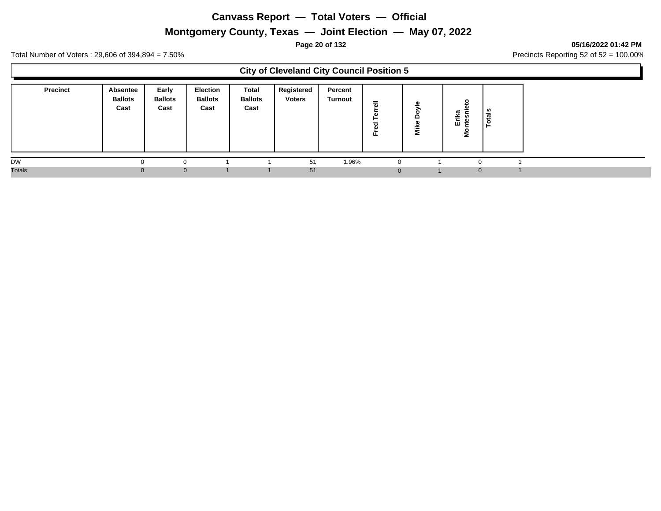## **Montgomery County, Texas — Joint Election — May 07, 2022**

#### **Page 20 of 132 05/16/2022 01:42 PM**

Total Number of Voters : 29,606 of 394,894 = 7.50% Precincts Reporting 52 of 52 = 100.00%

| Early<br><b>Precinct</b><br>Registered<br>Election<br>Total<br>Percent<br>Absentee<br><b>Ballots</b><br><b>Ballots</b><br><b>Ballots</b><br><b>Ballots</b><br><b>Voters</b><br>Turnout<br>$\circ$<br>$=$<br>₾<br>$\overline{a}$<br>Cast<br>Cast<br>Cast<br>Cast<br>ੋ<br>Totals<br>Erika<br><b>htesn</b><br>Δ<br>Mike<br>73<br>៖<br>正<br><b>DW</b><br>1.96%<br>51<br>$\Omega$<br>$\Omega$<br>$\Omega$<br>n<br>51<br>$\mathbf 0$<br>$\mathbf{0}$<br>0<br>$\mathbf{0}$ |               |  |  | <b>City of Cleveland City Council Position 5</b> |  |  |  |  |
|---------------------------------------------------------------------------------------------------------------------------------------------------------------------------------------------------------------------------------------------------------------------------------------------------------------------------------------------------------------------------------------------------------------------------------------------------------------------|---------------|--|--|--------------------------------------------------|--|--|--|--|
|                                                                                                                                                                                                                                                                                                                                                                                                                                                                     |               |  |  |                                                  |  |  |  |  |
|                                                                                                                                                                                                                                                                                                                                                                                                                                                                     |               |  |  |                                                  |  |  |  |  |
|                                                                                                                                                                                                                                                                                                                                                                                                                                                                     | <b>Totals</b> |  |  |                                                  |  |  |  |  |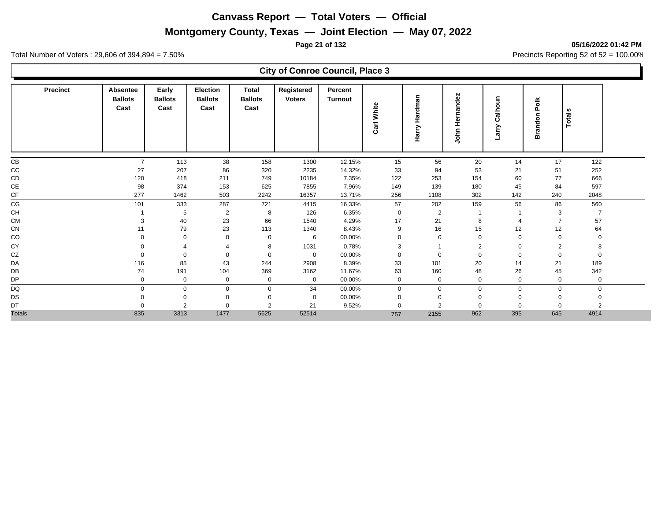## **Montgomery County, Texas — Joint Election — May 07, 2022**

**Page 21 of 132 05/16/2022 01:42 PM**

Total Number of Voters : 29,606 of 394,894 = 7.50% Precincts Reporting 52 of 52 = 100.00%

### **City of Conroe Council, Place 3**

| Precinct      | Absentee<br><b>Ballots</b><br>Cast | Early<br><b>Ballots</b><br>Cast | Election<br><b>Ballots</b><br>Cast | <b>Total</b><br><b>Ballots</b><br>Cast | Registered<br><b>Voters</b> | Percent<br>Turnout | White<br>Carl | Hardman<br>Harry | ndez<br>෬<br>ត<br>ᆂ<br>훔<br>∍ | £<br>$\overline{\bullet}$<br>츪<br>ن<br>arry | ă<br>Ը<br><b>Brandon</b> | <b>Totals</b> |  |
|---------------|------------------------------------|---------------------------------|------------------------------------|----------------------------------------|-----------------------------|--------------------|---------------|------------------|-------------------------------|---------------------------------------------|--------------------------|---------------|--|
| CB            | $\overline{7}$                     | 113                             | 38                                 | 158                                    | 1300                        | 12.15%             | 15            | 56               | 20                            | 14                                          | 17                       | 122           |  |
| CC            | 27                                 | 207                             | 86                                 | 320                                    | 2235                        | 14.32%             | 33            | 94               | 53                            | 21                                          | 51                       | 252           |  |
| CD            | 120                                | 418                             | 211                                | 749                                    | 10184                       | 7.35%              | 122           | 253              | 154                           | 60                                          | 77                       | 666           |  |
| CE            | 98                                 | 374                             | 153                                | 625                                    | 7855                        | 7.96%              | 149           | 139              | 180                           | 45                                          | 84                       | 597           |  |
| CF            | 277                                | 1462                            | 503                                | 2242                                   | 16357                       | 13.71%             | 256           | 1108             | 302                           | 142                                         | 240                      | 2048          |  |
| CG            | 101                                | 333                             | 287                                | 721                                    | 4415                        | 16.33%             | 57            | 202              | 159                           | 56                                          | 86                       | 560           |  |
| CH            |                                    | 5                               | $\overline{2}$                     | 8                                      | 126                         | 6.35%              | $\mathbf 0$   | $\overline{2}$   |                               |                                             | 3                        |               |  |
| <b>CM</b>     | 3                                  | 40                              | 23                                 | 66                                     | 1540                        | 4.29%              | 17            | 21               | 8                             | ⊿                                           |                          | 57            |  |
| CN            | 11                                 | 79                              | 23                                 | 113                                    | 1340                        | 8.43%              | 9             | 16               | 15                            | 12                                          | 12                       | 64            |  |
| CO<br>—       | $\mathbf 0$                        | $\mathbf 0$                     | 0                                  | $\mathbf 0$                            | 6                           | 00.00%             | $\mathbf 0$   | $\mathbf 0$      | 0                             | 0                                           | $\Omega$                 | 0             |  |
| CY            | $\mathbf 0$                        | $\boldsymbol{\varDelta}$        | $\overline{\mathbf{A}}$            | 8                                      | 1031                        | 0.78%              | 3             |                  | 2                             | $\mathbf 0$                                 | 2                        | 8             |  |
| CZ            | $\Omega$                           | $\Omega$                        | $\Omega$                           | $\mathbf 0$                            | $\mathbf 0$                 | 00.00%             | $\mathbf 0$   | $\mathbf 0$      | $\mathbf 0$                   | $\mathbf 0$                                 | $\Omega$                 | $\mathbf 0$   |  |
| DA            | 116                                | 85                              | 43                                 | 244                                    | 2908                        | 8.39%              | 33            | 101              | 20                            | 14                                          | 21                       | 189           |  |
| DB            | 74                                 | 191                             | 104                                | 369                                    | 3162                        | 11.67%             | 63            | 160              | 48                            | 26                                          | 45                       | 342           |  |
| DP            | 0                                  | 0                               | 0                                  | $\mathbf 0$                            | $\mathbf 0$                 | 00.00%             | 0             | 0                | $\mathbf 0$                   | 0                                           | $\Omega$                 | 0             |  |
| DQ            | $\Omega$                           | $\mathbf 0$                     | U                                  | $\Omega$                               | 34                          | 00.00%             | $\Omega$      | $\Omega$         | $\Omega$                      | $\mathbf 0$                                 | $\Omega$                 | $\Omega$      |  |
| DS            | $\Omega$                           | $\mathbf 0$                     |                                    | $\mathbf 0$                            | $\mathbf 0$                 | 00.00%             | 0             | $\Omega$         | $\Omega$                      | $\mathbf 0$                                 |                          |               |  |
| DT            | $\Omega$                           | $\overline{2}$                  |                                    | $\overline{2}$                         | 21                          | 9.52%              | $\Omega$      | $\overline{2}$   | $\Omega$                      | $\Omega$                                    |                          | 2             |  |
| <b>Totals</b> | 835                                | 3313                            | 1477                               | 5625                                   | 52514                       |                    | 757           | 2155             | 962                           | 395                                         | 645                      | 4914          |  |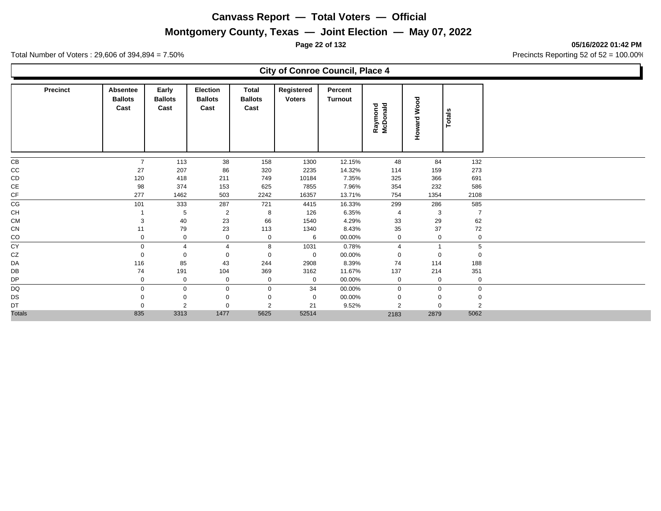## **Montgomery County, Texas — Joint Election — May 07, 2022**

**Page 22 of 132 05/16/2022 01:42 PM**

Total Number of Voters : 29,606 of 394,894 = 7.50% Precincts Reporting 52 of 52 = 100.00%

### **City of Conroe Council, Place 4**

| <b>Precinct</b> | Absentee<br><b>Ballots</b><br>Cast | Early<br><b>Ballots</b><br>Cast | Election<br><b>Ballots</b><br>Cast | Total<br><b>Ballots</b><br>Cast | Registered<br><b>Voters</b> | Percent<br><b>Turnout</b> | Raymond<br>McDonald | Wood<br>Howard | <b>Totals</b>  |
|-----------------|------------------------------------|---------------------------------|------------------------------------|---------------------------------|-----------------------------|---------------------------|---------------------|----------------|----------------|
| CB              | $\overline{7}$                     | 113                             | 38                                 | 158                             | 1300                        | 12.15%                    | 48                  | 84             | 132            |
| cc              | 27                                 | 207                             | 86                                 | 320                             | 2235                        | 14.32%                    | 114                 | 159            | 273            |
| CD              | 120                                | 418                             | 211                                | 749                             | 10184                       | 7.35%                     | 325                 | 366            | 691            |
| $\mathsf{CE}$   | 98                                 | 374                             | 153                                | 625                             | 7855                        | 7.96%                     | 354                 | 232            | 586            |
| CF              | 277                                | 1462                            | 503                                | 2242                            | 16357                       | 13.71%                    | 754                 | 1354           | 2108           |
| CG              | 101                                | 333                             | 287                                | 721                             | 4415                        | 16.33%                    | 299                 | 286            | 585            |
| CH              |                                    | 5                               | $\overline{2}$                     | 8                               | 126                         | 6.35%                     | $\overline{4}$      | 3              | $\overline{7}$ |
| <b>CM</b>       | 3                                  | 40                              | 23                                 | 66                              | 1540                        | 4.29%                     | 33                  | 29             | 62             |
| CN              | 11                                 | 79                              | 23                                 | 113                             | 1340                        | 8.43%                     | 35                  | 37             | 72             |
| CO              | $\mathbf 0$                        | 0                               | 0                                  | $\mathbf 0$                     | 6                           | 00.00%                    | 0                   | 0              | $\mathbf 0$    |
| CY              | $\mathbf 0$                        | 4                               | $\overline{4}$                     | 8                               | 1031                        | 0.78%                     | $\overline{4}$      |                | 5              |
| CZ              | $\mathbf 0$                        | $\mathbf 0$                     | 0                                  | $\mathbf 0$                     | $\mathbf 0$                 | 00.00%                    | $\mathbf 0$         | $\Omega$       | 0              |
| DA              | 116                                | 85                              | 43                                 | 244                             | 2908                        | 8.39%                     | 74                  | 114            | 188            |
| DB              | 74                                 | 191                             | 104                                | 369                             | 3162                        | 11.67%                    | 137                 | 214            | 351            |
| DP              | $\mathbf 0$                        | $\mathbf 0$                     | $\mathbf 0$                        | 0                               | $\mathbf 0$                 | 00.00%                    | $\mathbf 0$         | $\mathbf 0$    | $\mathbf 0$    |
| DQ              | $\mathbf 0$                        | 0                               | $\mathbf 0$                        | $\mathbf 0$                     | 34                          | 00.00%                    | $\mathbf 0$         | $\Omega$       | $\mathbf 0$    |
| DS              | $\Omega$                           | $\mathbf 0$                     | $\Omega$                           | $\Omega$                        | $\mathbf 0$                 | 00.00%                    | $\Omega$            |                | $\mathbf 0$    |
| DT              | $\Omega$                           | 2                               | $\Omega$                           | $\overline{2}$                  | 21                          | 9.52%                     | $\overline{2}$      | $\Omega$       | $\overline{2}$ |
| <b>Totals</b>   | 835                                | 3313                            | 1477                               | 5625                            | 52514                       |                           | 2183                | 2879           | 5062           |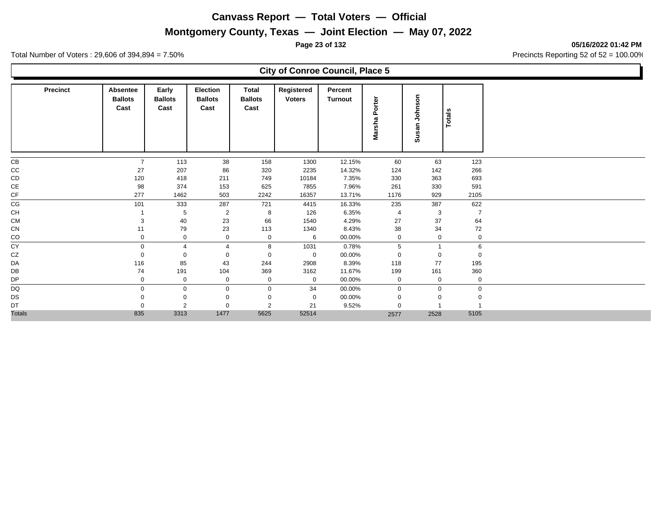## **Montgomery County, Texas — Joint Election — May 07, 2022**

**Page 23 of 132 05/16/2022 01:42 PM**

Total Number of Voters : 29,606 of 394,894 = 7.50% Precincts Reporting 52 of 52 = 100.00%

### **City of Conroe Council, Place 5**

| <b>Precinct</b> | Absentee<br><b>Ballots</b><br>Cast | Early<br><b>Ballots</b><br>Cast | Election<br><b>Ballots</b><br>Cast | Total<br><b>Ballots</b><br>Cast | Registered<br><b>Voters</b> | Percent<br><b>Turnout</b> | Marsha Porter  | Johnson<br>Susan | Totals         |
|-----------------|------------------------------------|---------------------------------|------------------------------------|---------------------------------|-----------------------------|---------------------------|----------------|------------------|----------------|
| CB              | $\overline{7}$                     | 113                             | 38                                 | 158                             | 1300                        | 12.15%                    | 60             | 63               | 123            |
| cc              | 27                                 | 207                             | 86                                 | 320                             | 2235                        | 14.32%                    | 124            | 142              | 266            |
| CD              | 120                                | 418                             | 211                                | 749                             | 10184                       | 7.35%                     | 330            | 363              | 693            |
| $\mathsf{CE}$   | 98                                 | 374                             | 153                                | 625                             | 7855                        | 7.96%                     | 261            | 330              | 591            |
| CF              | 277                                | 1462                            | 503                                | 2242                            | 16357                       | 13.71%                    | 1176           | 929              | 2105           |
| CG              | 101                                | 333                             | 287                                | 721                             | 4415                        | 16.33%                    | 235            | 387              | 622            |
| CH              |                                    | 5                               | $\overline{2}$                     | 8                               | 126                         | 6.35%                     | $\overline{4}$ | 3                | $\overline{7}$ |
| <b>CM</b>       | 3                                  | 40                              | 23                                 | 66                              | 1540                        | 4.29%                     | 27             | 37               | 64             |
| CN              | 11                                 | 79                              | 23                                 | 113                             | 1340                        | 8.43%                     | 38             | 34               | 72             |
| CO              | $\Omega$                           | 0                               | 0                                  | $\mathbf 0$                     | 6                           | 00.00%                    | 0              | $\mathbf 0$      | $\mathbf 0$    |
| CY              | $\Omega$                           | 4                               | $\overline{\mathcal{A}}$           | 8                               | 1031                        | 0.78%                     | 5              |                  | 6              |
| CZ              |                                    | $\mathbf 0$                     | 0                                  | $\mathbf 0$                     | $\mathbf 0$                 | 00.00%                    | $\mathbf 0$    | $\mathbf 0$      | 0              |
| DA              | 116                                | 85                              | 43                                 | 244                             | 2908                        | 8.39%                     | 118            | 77               | 195            |
| DB              | 74                                 | 191                             | 104                                | 369                             | 3162                        | 11.67%                    | 199            | 161              | 360            |
| <b>DP</b>       | $\mathbf 0$                        | $\mathbf 0$                     | $\mathbf{0}$                       | 0                               | $\mathbf 0$                 | 00.00%                    | $\mathbf 0$    | $\mathbf 0$      | 0              |
| <b>DQ</b>       | $\Omega$                           | $\mathbf 0$                     | $\Omega$                           | $\mathbf 0$                     | 34                          | 00.00%                    | $\mathbf 0$    | $\mathbf 0$      | $\mathbf{0}$   |
| DS              |                                    | 0                               |                                    | $\mathbf 0$                     | $\mathbf 0$                 | 00.00%                    | $\Omega$       | $\mathbf 0$      | 0              |
| DT              |                                    | 2                               | 0                                  | 2                               | 21                          | 9.52%                     | $\Omega$       |                  |                |
| <b>Totals</b>   | 835                                | 3313                            | 1477                               | 5625                            | 52514                       |                           | 2577           | 2528             | 5105           |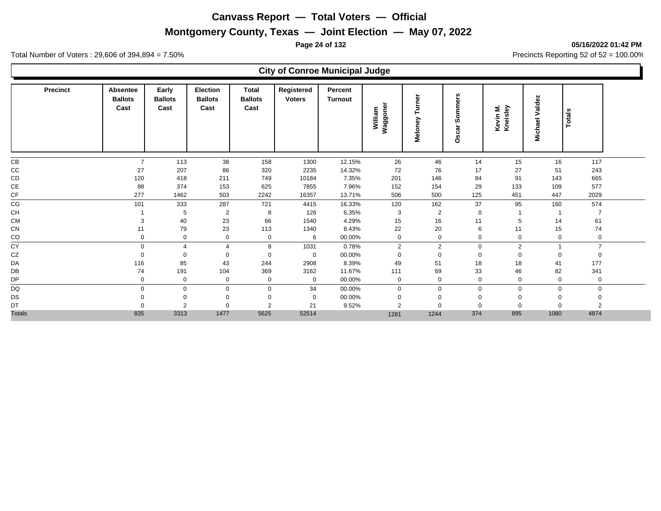## **Montgomery County, Texas — Joint Election — May 07, 2022**

**Page 24 of 132 05/16/2022 01:42 PM**

Total Number of Voters : 29,606 of 394,894 = 7.50% Precincts Reporting 52 of 52 = 100.00%

## **City of Conroe Municipal Judge**

| Precinct      | <b>Absentee</b><br><b>Ballots</b><br>Cast | Early<br><b>Ballots</b><br>Cast | <b>Election</b><br><b>Ballots</b><br>Cast | <b>Total</b><br><b>Ballots</b><br>Cast | Registered<br><b>Voters</b> | Percent<br>Turnout | Waggoner<br>William | Turner<br>Meloney | w<br>৯<br>mm<br>$\overline{\bullet}$<br><b>SD</b><br>car<br>š | Kevin M.<br>Kneisley | Valdez<br>Michael | Totals         |  |
|---------------|-------------------------------------------|---------------------------------|-------------------------------------------|----------------------------------------|-----------------------------|--------------------|---------------------|-------------------|---------------------------------------------------------------|----------------------|-------------------|----------------|--|
| CB            | $\overline{7}$                            | 113                             | 38                                        | 158                                    | 1300                        | 12.15%             | 26                  | 46                | 14                                                            | 15                   | 16                | 117            |  |
| cc            | 27                                        | 207                             | 86                                        | 320                                    | 2235                        | 14.32%             | 72                  | 76                | 17                                                            | 27                   | 51                | 243            |  |
| CD            | 120                                       | 418                             | 211                                       | 749                                    | 10184                       | 7.35%              | 201                 | 146               | 84                                                            | 91                   | 143               | 665            |  |
| $\mathsf{CE}$ | 98                                        | 374                             | 153                                       | 625                                    | 7855                        | 7.96%              | 152                 | 154               | 29                                                            | 133                  | 109               | 577            |  |
| CF            | 277                                       | 1462                            | 503                                       | 2242                                   | 16357                       | 13.71%             | 506                 | 500               | 125                                                           | 451                  | 447               | 2029           |  |
| CG            | 101                                       | 333                             | 287                                       | 721                                    | 4415                        | 16.33%             | 120                 | 162               | 37                                                            | 95                   | 160               | 574            |  |
| CH            |                                           | 5                               | $\overline{2}$                            | 8                                      | 126                         | 6.35%              | 3                   | $\overline{2}$    | $\mathbf 0$                                                   |                      |                   |                |  |
| <b>CM</b>     | 3                                         | 40                              | 23                                        | 66                                     | 1540                        | 4.29%              | 15                  | 16                | 11                                                            | 5                    | 14                | 61             |  |
| CN            | 11                                        | 79                              | 23                                        | 113                                    | 1340                        | 8.43%              | 22                  | 20                | 6                                                             | 11                   | 15                | 74             |  |
| $_{\rm CO}$   | $\mathbf{0}$                              | 0                               | 0                                         | 0                                      | 6                           | 00.00%             | 0                   | $\mathbf 0$       | $\mathbf 0$                                                   | 0                    | 0                 | 0              |  |
| CY            | $\mathbf 0$                               | $\boldsymbol{\Delta}$           | 4                                         | 8                                      | 1031                        | 0.78%              | $\overline{2}$      | 2                 | 0                                                             | $\overline{2}$       |                   | $\overline{7}$ |  |
| CZ            | $\Omega$                                  | $\Omega$                        | 0                                         | 0                                      | $\mathbf 0$                 | 00.00%             | $\Omega$            | $\mathbf 0$       | $\mathbf 0$                                                   | 0                    | $\Omega$          | 0              |  |
| DA            | 116                                       | 85                              | 43                                        | 244                                    | 2908                        | 8.39%              | 49                  | 51                | 18                                                            | 18                   | 41                | 177            |  |
| DB            | 74                                        | 191                             | 104                                       | 369                                    | 3162                        | 11.67%             | 111                 | 69                | 33                                                            | 46                   | 82                | 341            |  |
| DP            | 0                                         | $\mathbf 0$                     | 0                                         | $\mathbf 0$                            | $\mathbf 0$                 | 00.00%             | $\mathbf 0$         | $\mathbf 0$       | $\mathbf 0$                                                   | $\mathbf 0$          | $\mathbf 0$       | $\mathbf 0$    |  |
| DQ            | $\Omega$                                  | $\mathbf 0$                     | 0                                         | $\mathbf 0$                            | 34                          | 00.00%             | $\Omega$            | $\Omega$          | $\Omega$                                                      | $\mathbf 0$          | $\Omega$          | $\mathbf 0$    |  |
| DS            | $\Omega$                                  | $\mathbf 0$                     |                                           | $\mathbf 0$                            | $\mathbf 0$                 | 00.00%             | $\mathbf 0$         | $\Omega$          | $\Omega$                                                      | $\mathbf 0$          |                   |                |  |
| DT            | $\Omega$                                  | $\overline{2}$                  |                                           | $\overline{2}$                         | 21                          | 9.52%              | $\overline{2}$      | $\Omega$          | $\Omega$                                                      | $\Omega$             |                   | $\overline{2}$ |  |
| <b>Totals</b> | 835                                       | 3313                            | 1477                                      | 5625                                   | 52514                       |                    | 1281                | 1244              | 374                                                           | 895                  | 1080              | 4874           |  |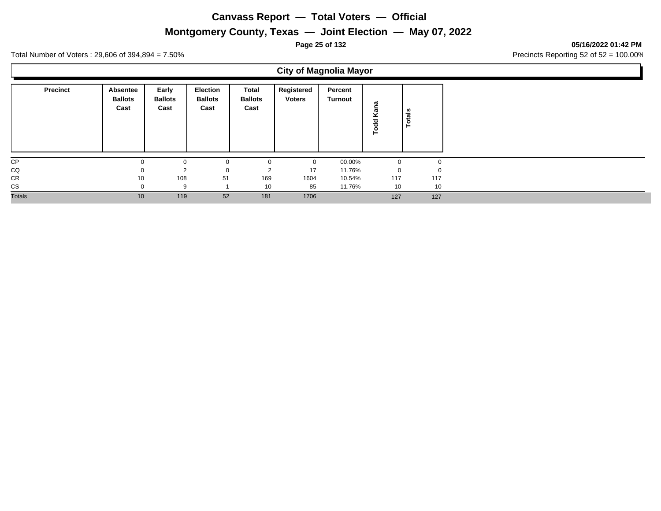## **Montgomery County, Texas — Joint Election — May 07, 2022**

**Page 25 of 132 05/16/2022 01:42 PM**

Total Number of Voters : 29,606 of 394,894 = 7.50% Precincts Reporting 52 of 52 = 100.00%

 $\blacksquare$ 

|                 |                                    |                                 |                                           |                                 |                             | <b>City of Magnolia Mayor</b> |                  |               |
|-----------------|------------------------------------|---------------------------------|-------------------------------------------|---------------------------------|-----------------------------|-------------------------------|------------------|---------------|
| <b>Precinct</b> | Absentee<br><b>Ballots</b><br>Cast | Early<br><b>Ballots</b><br>Cast | <b>Election</b><br><b>Ballots</b><br>Cast | Total<br><b>Ballots</b><br>Cast | Registered<br><b>Voters</b> | Percent<br>Turnout            | ana<br>Ÿ<br>Todd | <b>Totals</b> |
| CP              |                                    | 0                               | 0                                         | 0                               | $\mathbf 0$                 | 00.00%                        | $\mathbf 0$      | 0             |
| CQ              |                                    | $\overline{2}$                  | $\mathbf 0$                               | 2                               | 17                          | 11.76%                        | $\mathbf 0$      | $\mathbf 0$   |
| CR              | 10                                 | 108                             | 51                                        | 169                             | 1604                        | 10.54%                        | 117              | 117           |
| CS              | $\Omega$                           | 9                               |                                           | 10                              | 85                          | 11.76%                        | 10               | 10            |
| Totals          | 10                                 | 119                             | 52                                        | 181                             | 1706                        |                               | 127              | 127           |
|                 |                                    |                                 |                                           |                                 |                             |                               |                  |               |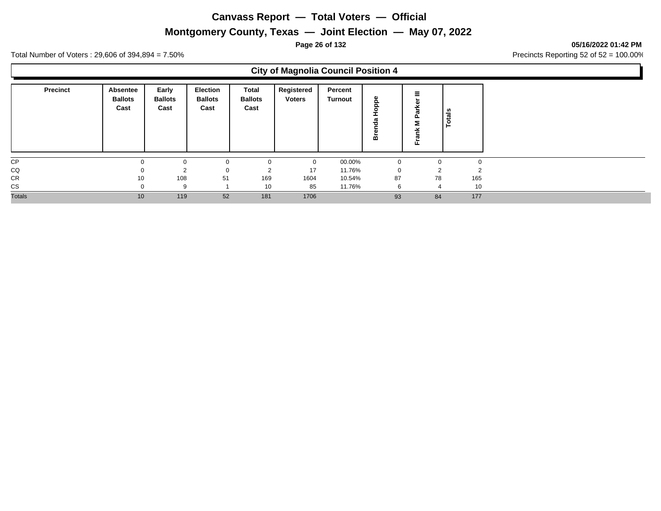## **Montgomery County, Texas — Joint Election — May 07, 2022**

**Page 26 of 132 05/16/2022 01:42 PM**

Total Number of Voters : 29,606 of 394,894 = 7.50% Precincts Reporting 52 of 52 = 100.00%

### **City of Magnolia Council Position 4**

| <b>Precinct</b> | Absentee<br><b>Ballots</b><br>Cast | Early<br><b>Ballots</b><br>Cast | Election<br><b>Ballots</b><br>Cast | Total<br><b>Ballots</b><br>Cast | Registered<br><b>Voters</b> | Percent<br>Turnout | Φ<br>≏<br>o<br>ത<br>≃ | 正 | ៖<br>ت<br>o. |     |
|-----------------|------------------------------------|---------------------------------|------------------------------------|---------------------------------|-----------------------------|--------------------|-----------------------|---|--------------|-----|
| CP              |                                    | $\Omega$                        |                                    | $\Omega$                        | $\Omega$                    | 00.00%             | $\Omega$              |   |              |     |
| CQ              |                                    | $\Omega$                        |                                    | $\sim$                          | 17                          | 11.76%             |                       |   |              |     |
| <b>CR</b>       | 10                                 | 108                             | 51                                 | 169                             | 1604                        | 10.54%             | 87                    |   | 78           | 165 |
| <b>CS</b>       |                                    | 9                               |                                    | 10                              | 85                          | 11.76%             | 6                     |   | 4            | 10  |
| <b>Totals</b>   | 10                                 | 119                             | 52                                 | 181                             | 1706                        |                    | 93                    |   | 84           | 177 |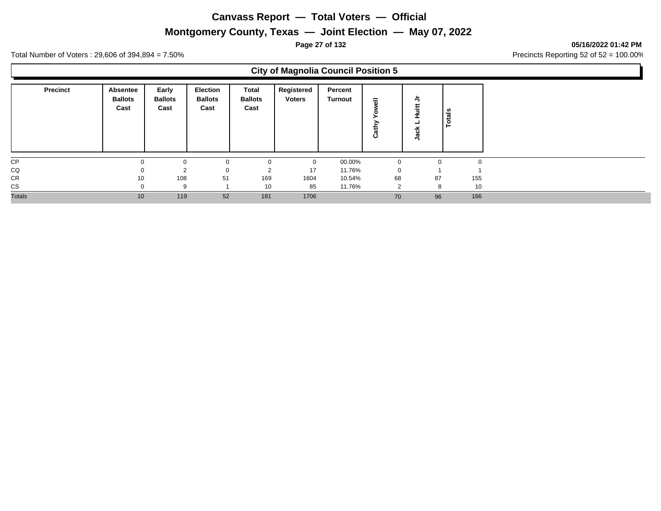## **Montgomery County, Texas — Joint Election — May 07, 2022**

#### **Page 27 of 132 05/16/2022 01:42 PM**

Total Number of Voters : 29,606 of 394,894 = 7.50% Precincts Reporting 52 of 52 = 100.00%

### **City of Magnolia Council Position 5**

| <b>Precinct</b> | Absentee<br><b>Ballots</b><br>Cast | Early<br><b>Ballots</b><br>Cast | <b>Election</b><br><b>Ballots</b><br>Cast | Total<br><b>Ballots</b><br>Cast | Registered<br><b>Voters</b> | Percent<br>Turnout | 둖<br>∽<br>α<br>ن | $\overline{\phantom{0}}$<br>Ξ | - 67<br>त्त<br>تسد<br>0 |
|-----------------|------------------------------------|---------------------------------|-------------------------------------------|---------------------------------|-----------------------------|--------------------|------------------|-------------------------------|-------------------------|
| <b>CP</b>       |                                    |                                 | $\Omega$                                  |                                 | $\mathbf 0$                 | 00.00%             | $\mathbf 0$      |                               | $\mathbf 0$<br>$\Omega$ |
| CQ              |                                    | ≘                               |                                           | 2                               | 17                          | 11.76%             | $\mathbf 0$      |                               |                         |
| CR              | 10                                 | 108                             | 51                                        | 169                             | 1604                        | 10.54%             | 68               | 87                            | 155                     |
| CS              |                                    | <sub>9</sub>                    |                                           | 10                              | 85                          | 11.76%             | っ                | 8                             | 10                      |
| <b>Totals</b>   | 10                                 | 119                             | 52                                        | 181                             | 1706                        |                    | 70               | 96                            | 166                     |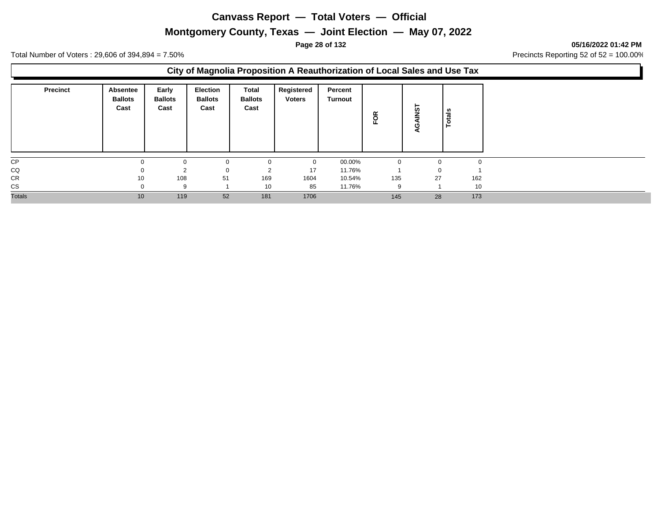### **Montgomery County, Texas — Joint Election — May 07, 2022**

**Page 28 of 132 05/16/2022 01:42 PM**

Total Number of Voters : 29,606 of 394,894 = 7.50% Precincts Reporting 52 of 52 = 100.00%

### **City of Magnolia Proposition A Reauthorization of Local Sales and Use Tax**

| <b>Precinct</b> | <b>Absentee</b><br><b>Ballots</b><br>Cast | Early<br><b>Ballots</b><br>Cast | <b>Election</b><br><b>Ballots</b><br>Cast | Total<br><b>Ballots</b><br>Cast | Registered<br><b>Voters</b> | Percent<br>Turnout | g        | <b>TSN</b><br>ပ<br>о | otals    |        |
|-----------------|-------------------------------------------|---------------------------------|-------------------------------------------|---------------------------------|-----------------------------|--------------------|----------|----------------------|----------|--------|
| CP              |                                           |                                 | $\Omega$                                  | $\Omega$                        | $\Omega$                    | 00.00%             | $\Omega$ |                      | $\Omega$ | $\sim$ |
| CQ              |                                           |                                 | 0                                         | ◠<br>∠                          | 17                          | 11.76%             |          |                      | 0        |        |
| CR              | 10                                        | 108                             | 51                                        | 169                             | 1604                        | 10.54%             | 135      | 27                   |          | 162    |
| <b>CS</b>       |                                           | 9                               |                                           | 10                              | 85                          | 11.76%             | -9       |                      |          | 10     |
| <b>Totals</b>   | 10                                        | 119                             | 52                                        | 181                             | 1706                        |                    | 145      | 28                   |          | 173    |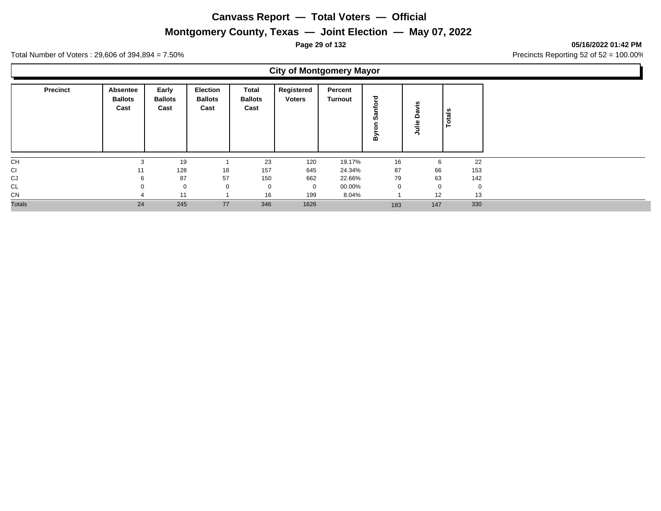## **Montgomery County, Texas — Joint Election — May 07, 2022**

**Page 29 of 132 05/16/2022 01:42 PM**

Total Number of Voters : 29,606 of 394,894 = 7.50% Precincts Reporting 52 of 52 = 100.00%

## **City of Montgomery Mayor**

| Precinct      | Absentee<br><b>Ballots</b><br>Cast | Early<br><b>Ballots</b><br>Cast | Election<br><b>Ballots</b><br>Cast | <b>Total</b><br><b>Ballots</b><br>Cast | Registered<br><b>Voters</b> | Percent<br>Turnout | ਠ<br>٥<br>ದ<br>ഗ<br>≃ | ≅.<br>w<br>$\Omega$<br>⋍<br>∍ | otals |     |
|---------------|------------------------------------|---------------------------------|------------------------------------|----------------------------------------|-----------------------------|--------------------|-----------------------|-------------------------------|-------|-----|
| <b>CH</b>     | 3                                  | 19                              |                                    | 23                                     | 120                         | 19.17%             | 16                    |                               | 6     | 22  |
| CI            | 11                                 | 128                             | 18                                 | 157                                    | 645                         | 24.34%             | 87                    |                               | 66    | 153 |
| CJ            | 6                                  | 87                              | 57                                 | 150                                    | 662                         | 22.66%             | 79                    |                               | 63    | 142 |
| CL            | $\Omega$                           | $\mathbf 0$                     |                                    | 0                                      | $\overline{0}$              | 00.00%             | $\mathbf 0$           |                               | 0     |     |
| CN            |                                    | 11                              |                                    | 16                                     | 199                         | 8.04%              |                       |                               | 12    | 13  |
| <b>Totals</b> | 24                                 | 245                             | 77                                 | 346                                    | 1626                        |                    | 183                   |                               | 147   | 330 |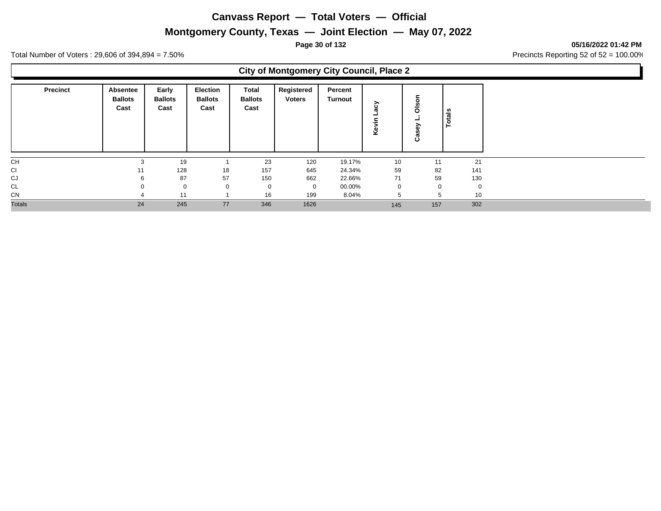## **Montgomery County, Texas — Joint Election — May 07, 2022**

**Page 30 of 132 05/16/2022 01:42 PM**

Total Number of Voters : 29,606 of 394,894 = 7.50% Precincts Reporting 52 of 52 = 100.00%

## **City of Montgomery City Council, Place 2**

| <b>Precinct</b> | Absentee<br><b>Ballots</b><br>Cast | Early<br><b>Ballots</b><br>Cast | <b>Election</b><br><b>Ballots</b><br>Cast | Total<br><b>Ballots</b><br>Cast | Registered<br><b>Voters</b> | Percent<br>Turnout | ⋋<br>ပ္ထ<br>Φ<br>Ÿ | $\circ$<br>ő<br>∽<br>n,<br>රී | otals       |             |
|-----------------|------------------------------------|---------------------------------|-------------------------------------------|---------------------------------|-----------------------------|--------------------|--------------------|-------------------------------|-------------|-------------|
| CH              | 3                                  | 19                              |                                           | 23                              | 120                         | 19.17%             | 10                 | 11                            |             | 21          |
| <b>CI</b>       | 11                                 | 128                             | 18                                        | 157                             | 645                         | 24.34%             | 59                 | 82                            |             | 141         |
| CJ              | 6                                  | 87                              | 57                                        | 150                             | 662                         | 22.66%             | 71                 | 59                            |             | 130         |
| CL              | 0                                  | $\mathbf 0$                     | $\Omega$                                  | $\mathbf 0$                     | $\overline{0}$              | 00.00%             | $\mathbf 0$        |                               | $\mathbf 0$ | $\mathbf 0$ |
| CN              |                                    | 11                              |                                           | 16                              | 199                         | 8.04%              |                    |                               | 5           | 10          |
| <b>Totals</b>   | 24                                 | 245                             | 77                                        | 346                             | 1626                        |                    | 145                | 157                           |             | 302         |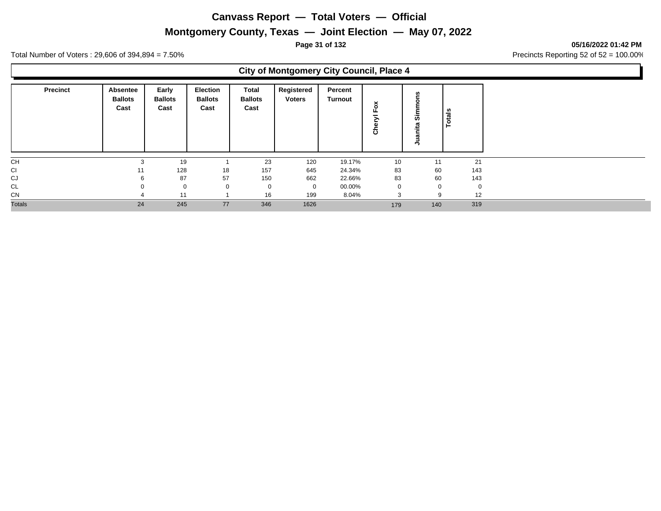## **Montgomery County, Texas — Joint Election — May 07, 2022**

**Page 31 of 132 05/16/2022 01:42 PM**

Total Number of Voters : 29,606 of 394,894 = 7.50% Precincts Reporting 52 of 52 = 100.00%

## **City of Montgomery City Council, Place 4**

| <b>Precinct</b> | Absentee<br><b>Ballots</b><br>Cast | Early<br><b>Ballots</b><br>Cast | <b>Election</b><br><b>Ballots</b><br>Cast | Total<br><b>Ballots</b><br>Cast | Registered<br><b>Voters</b> | Percent<br>Turnout | ~<br>ö<br>ω | ົ<br>₽      | tais |
|-----------------|------------------------------------|---------------------------------|-------------------------------------------|---------------------------------|-----------------------------|--------------------|-------------|-------------|------|
| <b>CH</b>       | 3                                  | 19                              |                                           | 23                              | 120                         | 19.17%             | 10          | 11          | 21   |
| <b>CI</b>       |                                    | 128                             | 18                                        | 157                             | 645                         | 24.34%             | 83          | 60          | 143  |
| CJ              |                                    | 87                              | 57                                        | 150                             | 662                         | 22.66%             | 83          | 60          | 143  |
| CL              |                                    | $\mathbf 0$                     |                                           | 0                               | $\mathbf{0}$                | 00.00%             | $\mathbf 0$ | $\mathbf 0$ | 0    |
| <b>CN</b>       |                                    | 11                              |                                           | 16                              | 199                         | 8.04%              | 3           | 9           | 12   |
| <b>Totals</b>   | 24                                 | 245                             | 77                                        | 346                             | 1626                        |                    | 179         | 140         | 319  |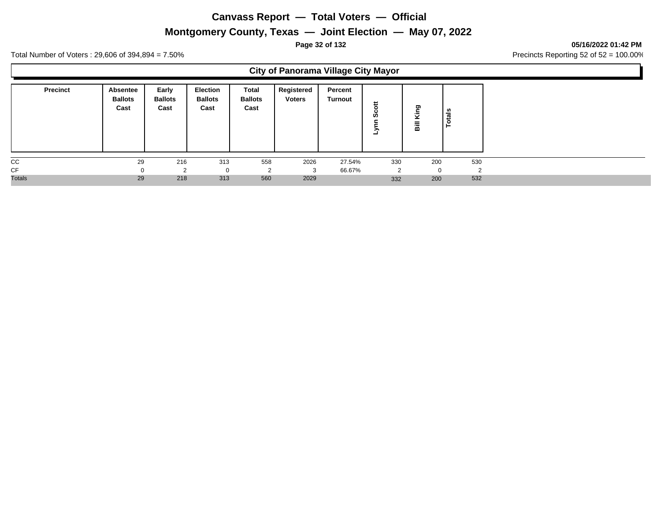## **Montgomery County, Texas — Joint Election — May 07, 2022**

**Page 32 of 132 05/16/2022 01:42 PM**

Total Number of Voters : 29,606 of 394,894 = 7.50% Precincts Reporting 52 of 52 = 100.00%

## **City of Panorama Village City Mayor**

| <b>Precinct</b> | Absentee<br><b>Ballots</b><br>Cast | Early<br><b>Ballots</b><br>Cast | <b>Election</b><br><b>Ballots</b><br>Cast | Total<br><b>Ballots</b><br>Cast | Registered<br><b>Voters</b> | Percent<br>Turnout | ທ   | פַ<br>₹<br>ill B | tals<br>$\circ$ |
|-----------------|------------------------------------|---------------------------------|-------------------------------------------|---------------------------------|-----------------------------|--------------------|-----|------------------|-----------------|
| cc              | 29                                 | 216                             | 313                                       | 558                             | 2026                        | 27.54%             | 330 | 200              | 530             |
| CF              |                                    | $\sim$                          | 0                                         | $\sim$<br>ے                     | 3                           | 66.67%             | 2   | $\mathbf{0}$     | $\sim$          |
| <b>Totals</b>   | 29                                 | 218                             | 313                                       | 560                             | 2029                        |                    | 332 | 200              | 532             |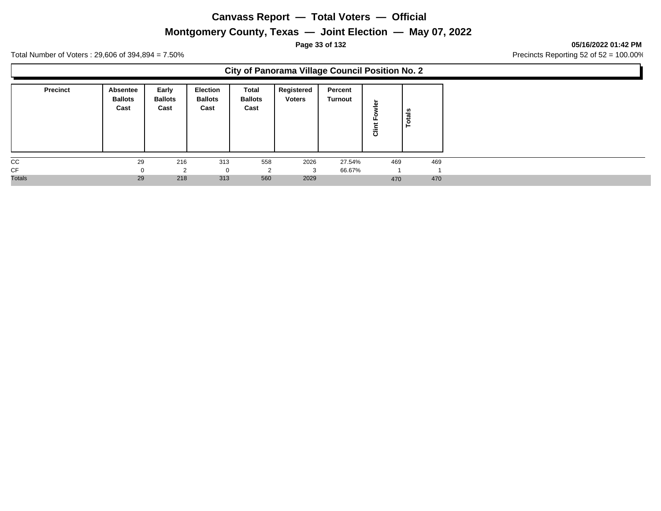## **Montgomery County, Texas — Joint Election — May 07, 2022**

**Page 33 of 132 05/16/2022 01:42 PM**

Total Number of Voters : 29,606 of 394,894 = 7.50% Precincts Reporting 52 of 52 = 100.00%

### **City of Panorama Village Council Position No. 2**

| <b>Precinct</b> | Absentee<br><b>Ballots</b><br>Cast | Early<br><b>Ballots</b><br>Cast | Election<br><b>Ballots</b><br>Cast | Total<br><b>Ballots</b><br>Cast | Registered<br><b>Voters</b> | Percent<br>Turnout | ⋍<br>ರ | Totals |
|-----------------|------------------------------------|---------------------------------|------------------------------------|---------------------------------|-----------------------------|--------------------|--------|--------|
| CC              | 29                                 | 216                             | 313                                | 558                             | 2026                        | 27.54%             | 469    | 469    |
| CF              | $\Omega$                           | ົ                               | $\Omega$                           | っ<br>∠                          | 3                           | 66.67%             |        |        |
| <b>Totals</b>   | 29                                 | 218                             | 313                                | 560                             | 2029                        |                    | 470    | 470    |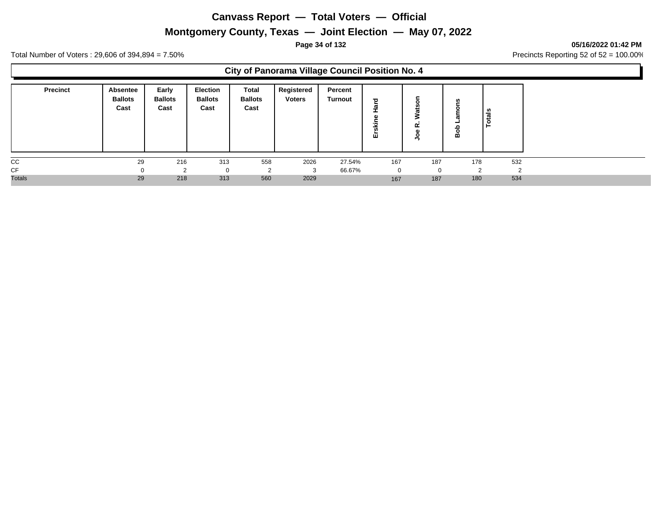## **Montgomery County, Texas — Joint Election — May 07, 2022**

**Page 34 of 132 05/16/2022 01:42 PM**

Total Number of Voters : 29,606 of 394,894 = 7.50% Precincts Reporting 52 of 52 = 100.00%

### **City of Panorama Village Council Position No. 4**

| <b>Precinct</b> | Absentee<br><b>Ballots</b><br>Cast | Early<br><b>Ballots</b><br>Cast | Election<br><b>Ballots</b><br>Cast | Total<br><b>Ballots</b><br>Cast | Registered<br><b>Voters</b> | Percent<br>Turnout | ъ<br>画 | $\alpha$ | w<br>ء<br>읾 | $t$ als<br>$\circ$<br>- |
|-----------------|------------------------------------|---------------------------------|------------------------------------|---------------------------------|-----------------------------|--------------------|--------|----------|-------------|-------------------------|
| cc              | 29                                 | 216                             | 313                                | 558                             | 2026                        | 27.54%             | 167    | 187      | 178         | 532                     |
| CF              |                                    | ົ                               |                                    | $\sqrt{2}$                      |                             | 66.67%             |        | $\Omega$ |             | ◠                       |
| <b>Totals</b>   | 29                                 | 218                             | 313                                | 560                             | 2029                        |                    | 167    | 187      | 180         | 534                     |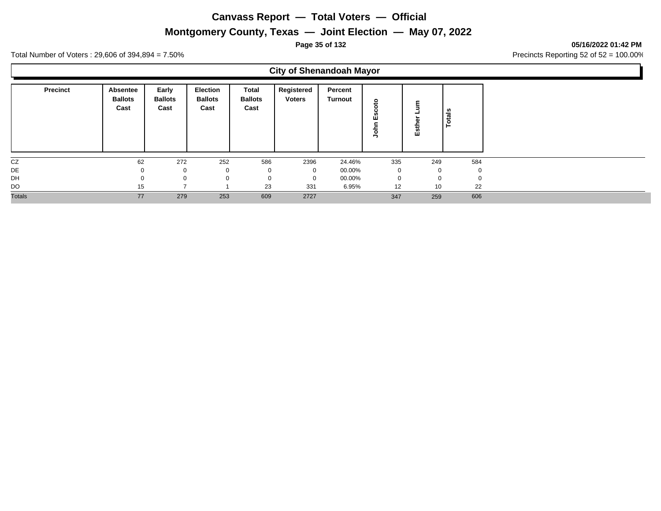# **Montgomery County, Texas — Joint Election — May 07, 2022**

#### **Page 35 of 132 05/16/2022 01:42 PM**

Total Number of Voters : 29,606 of 394,894 = 7.50% Precincts Reporting 52 of 52 = 100.00%

## **City of Shenandoah Mayor**

| <b>Precinct</b> | Absentee<br><b>Ballots</b><br>Cast | Early<br><b>Ballots</b><br>Cast | <b>Election</b><br><b>Ballots</b><br>Cast | <b>Total</b><br><b>Ballots</b><br>Cast | Registered<br><b>Voters</b> | Percent<br>Turnout | ۰           | ≈<br>ΕŚ  | tais     |
|-----------------|------------------------------------|---------------------------------|-------------------------------------------|----------------------------------------|-----------------------------|--------------------|-------------|----------|----------|
| CZ              | 62                                 | 272                             | 252                                       | 586                                    | 2396                        | 24.46%             | 335         | 249      | 584      |
| DE              |                                    | 0                               |                                           | 0                                      | 0                           | 00.00%             | 0           | 0        | $\Omega$ |
| DH              |                                    |                                 |                                           | 0                                      | $\Omega$                    | 00.00%             | $\mathbf 0$ | $\Omega$ | $\Omega$ |
| DO              | 15                                 |                                 |                                           | 23                                     | 331                         | 6.95%              | 12          | 10       | 22       |
| <b>Totals</b>   | 77                                 | 279                             | 253                                       | 609                                    | 2727                        |                    | 347         | 259      | 606      |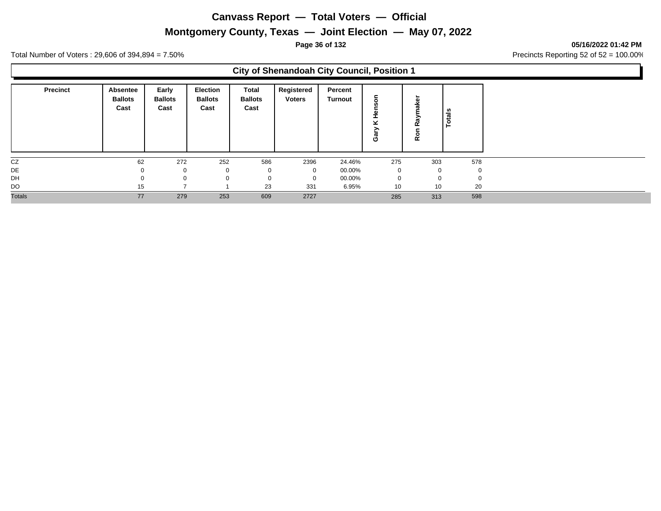# **Montgomery County, Texas — Joint Election — May 07, 2022**

**Page 36 of 132 05/16/2022 01:42 PM**

Total Number of Voters : 29,606 of 394,894 = 7.50% Precincts Reporting 52 of 52 = 100.00%

### **City of Shenandoah City Council, Position 1**

| <b>Precinct</b> | <b>Absentee</b><br><b>Ballots</b><br>Cast | Early<br><b>Ballots</b><br>Cast | Election<br><b>Ballots</b><br>Cast | Total<br><b>Ballots</b><br>Cast | Registered<br><b>Voters</b> | Percent<br>Turnout | σ<br>O | œ<br>œ |   |     |
|-----------------|-------------------------------------------|---------------------------------|------------------------------------|---------------------------------|-----------------------------|--------------------|--------|--------|---|-----|
| CZ              | 62                                        | 272                             | 252                                | 586                             | 2396                        | 24.46%             | 275    | 303    |   | 578 |
| DE              |                                           | $\mathbf 0$                     |                                    | $\Omega$                        | $\Omega$                    | 00.00%             | 0      |        | 0 |     |
| DH              |                                           | $\mathbf 0$                     |                                    | $\Omega$                        | $\mathbf 0$                 | 00.00%             | 0      |        | 0 |     |
| DO              | 15                                        |                                 |                                    | 23                              | 331                         | 6.95%              | 10     | 10     |   | 20  |
| <b>Totals</b>   | 77                                        | 279                             | 253                                | 609                             | 2727                        |                    | 285    | 313    |   | 598 |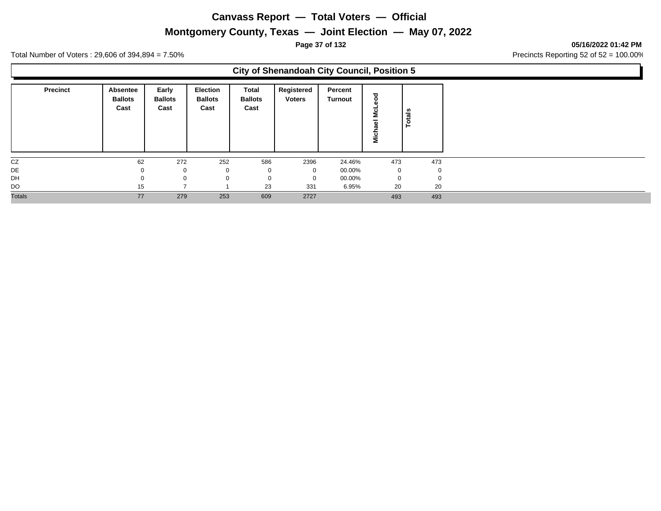# **Montgomery County, Texas — Joint Election — May 07, 2022**

**Page 37 of 132 05/16/2022 01:42 PM**

Total Number of Voters : 29,606 of 394,894 = 7.50% Precincts Reporting 52 of 52 = 100.00%

## **City of Shenandoah City Council, Position 5**

| <b>Precinct</b> | Absentee<br><b>Ballots</b><br>Cast | Early<br><b>Ballots</b><br>Cast | <b>Election</b><br><b>Ballots</b><br>Cast | Total<br><b>Ballots</b><br>Cast | Registered<br><b>Voters</b> | Percent<br>Turnout | ठ<br>$\mathbf{c}$<br>Ξ | otals<br>۴ |
|-----------------|------------------------------------|---------------------------------|-------------------------------------------|---------------------------------|-----------------------------|--------------------|------------------------|------------|
| CZ              | 62                                 | 272                             | 252                                       | 586                             | 2396                        | 24.46%             | 473                    | 473        |
| DE              |                                    | 0                               | 0                                         | 0                               | 0                           | 00.00%             | $\mathbf 0$            | 0          |
| DH              |                                    | $\Omega$                        | $\Omega$                                  | $\mathbf 0$                     | $\Omega$                    | 00.00%             | $\mathbf 0$            | 0          |
| DO              | 15                                 |                                 |                                           | 23                              | 331                         | 6.95%              | 20                     | 20         |
| <b>Totals</b>   | 77                                 | 279                             | 253                                       | 609                             | 2727                        |                    | 493                    | 493        |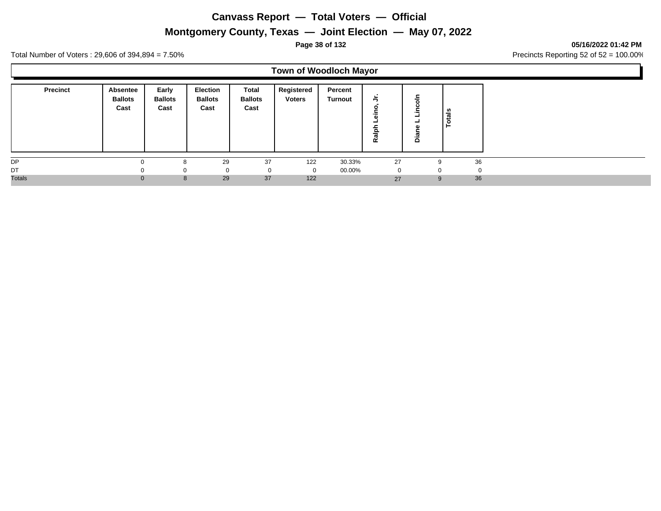# **Montgomery County, Texas — Joint Election — May 07, 2022**

#### **Page 38 of 132 05/16/2022 01:42 PM**

Total Number of Voters : 29,606 of 394,894 = 7.50% Precincts Reporting 52 of 52 = 100.00%

# **Town of Woodloch Mayor**

| <b>Precinct</b> | Absentee<br><b>Ballots</b><br>Cast | Early<br><b>Ballots</b><br>Cast | Election<br><b>Ballots</b><br>Cast | Total<br><b>Ballots</b><br>Cast | Registered<br><b>Voters</b> | Percent<br>Turnout | ∍<br>을<br>œ | -<br>ة   | als<br>تت<br>$\circ$<br>► |
|-----------------|------------------------------------|---------------------------------|------------------------------------|---------------------------------|-----------------------------|--------------------|-------------|----------|---------------------------|
| DP              |                                    |                                 | 29                                 | 37                              | 122                         | 30.33%             | 27          | 9        | 36                        |
| DT              |                                    |                                 | 0                                  | 0                               |                             | 00.00%             | 0           | $\Omega$ |                           |
| <b>Totals</b>   | $\Omega$                           | 8                               | 29                                 | 37                              | 122                         |                    | 27          | 9        | 36                        |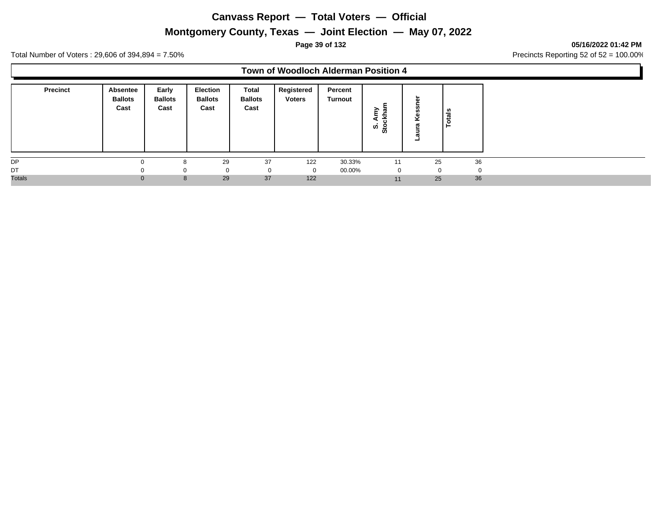# **Montgomery County, Texas — Joint Election — May 07, 2022**

**Page 39 of 132 05/16/2022 01:42 PM**

Total Number of Voters : 29,606 of 394,894 = 7.50% Precincts Reporting 52 of 52 = 100.00%

#### **Town of Woodloch Alderman Position 4**

| <b>Precinct</b> | <b>Absentee</b><br><b>Ballots</b><br>Cast | Early<br><b>Ballots</b><br>Cast | <b>Election</b><br><b>Ballots</b><br>Cast | Total<br><b>Ballots</b><br>Cast | Registered<br><b>Voters</b> | Percent<br><b>Turnout</b> | ,<br>e<br>ဖွဲ့ အ | - | tals<br>$\circ$      |
|-----------------|-------------------------------------------|---------------------------------|-------------------------------------------|---------------------------------|-----------------------------|---------------------------|------------------|---|----------------------|
| <b>DP</b>       |                                           | ົ                               | 29                                        | 37                              | 122                         | 30.33%                    | 11               |   | 36<br>25             |
| DT              |                                           | $\Omega$                        | $\mathbf 0$                               |                                 |                             | 00.00%                    | 0                |   | $\Omega$<br>$\Omega$ |
| <b>Totals</b>   | $\Omega$                                  | 8                               | 29                                        | 37                              | 122                         |                           | 11               |   | 36<br>25             |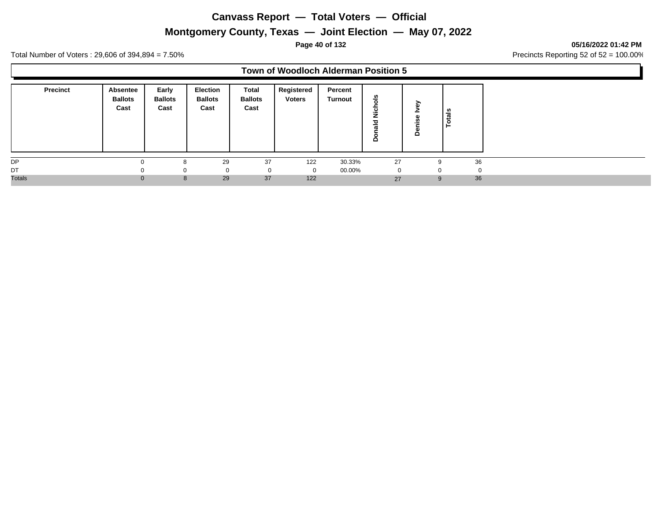# **Montgomery County, Texas — Joint Election — May 07, 2022**

**Page 40 of 132 05/16/2022 01:42 PM**

Total Number of Voters : 29,606 of 394,894 = 7.50% Precincts Reporting 52 of 52 = 100.00%

#### **Town of Woodloch Alderman Position 5**

| <b>Precinct</b> | Absentee<br><b>Ballots</b><br>Cast | Early<br><b>Ballots</b><br>Cast | <b>Election</b><br><b>Ballots</b><br>Cast | Total<br><b>Ballots</b><br>Cast | Registered<br><b>Voters</b> | Percent<br><b>Turnout</b> | ഛ<br>$\Omega$<br>73<br>≏ | ↗<br>≏ | <b>S</b><br>त्त<br>تنفذ |
|-----------------|------------------------------------|---------------------------------|-------------------------------------------|---------------------------------|-----------------------------|---------------------------|--------------------------|--------|-------------------------|
| DP              | ∩                                  |                                 | 29                                        | 37                              | 122                         | 30.33%                    | 27                       |        | 36<br>9                 |
| DT              | <sup>0</sup>                       |                                 | 0                                         |                                 | $\Omega$                    | 00.00%                    | 0                        |        | $\cap$                  |
| <b>Totals</b>   | $\Omega$                           | 8                               | 29                                        | 37                              | 122                         |                           | 27                       |        | 36<br>9                 |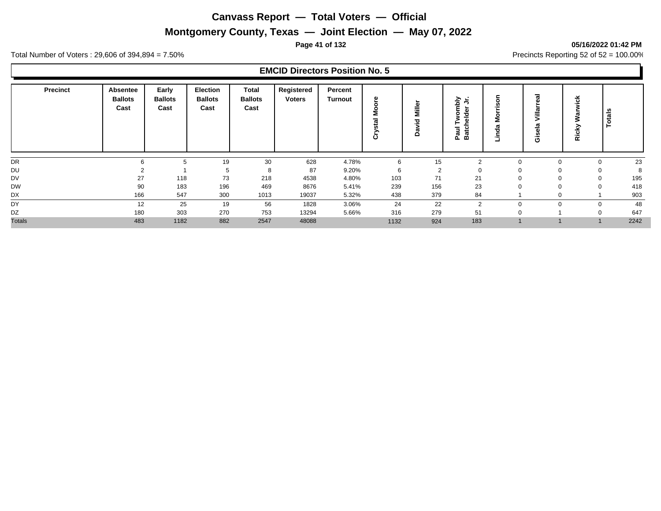# **Montgomery County, Texas — Joint Election — May 07, 2022**

#### **Page 41 of 132 05/16/2022 01:42 PM**

Total Number of Voters : 29,606 of 394,894 = 7.50% Precincts Reporting 52 of 52 = 100.00%

| <b>Precinct</b> | Absentee<br><b>Ballots</b><br>Cast | Early<br><b>Ballots</b><br>Cast | <b>Election</b><br><b>Ballots</b><br>Cast | Total<br><b>Ballots</b><br>Cast | Registered<br><b>Voters</b> | Percent<br><b>Turnout</b> | ၜႍ<br>ه | Miller<br>yid<br>å | ≥<br>≛<br>힡<br>്<br>o<br>곡<br>ω<br>⊢<br>Ξ<br>౿<br>≖<br>್<br><b>ro</b><br>m<br>o. | δ<br>은<br>å<br>σ<br>Õ<br>.드<br>٠ | -<br>$=$<br>--<br>O | $\epsilon$<br>∽<br>Ric | <b>Totals</b>      |
|-----------------|------------------------------------|---------------------------------|-------------------------------------------|---------------------------------|-----------------------------|---------------------------|---------|--------------------|----------------------------------------------------------------------------------|----------------------------------|---------------------|------------------------|--------------------|
| DR              | ĥ                                  | 5                               | 19                                        | 30                              | 628                         | 4.78%                     | 6       | 15                 | $\overline{2}$                                                                   |                                  | 0                   |                        | 23<br>$\mathbf{0}$ |
| DU              |                                    |                                 | 5                                         | 8                               | 87                          | 9.20%                     | 6       | $\overline{2}$     | -0                                                                               |                                  |                     |                        | 8<br>0             |
| <b>DV</b>       | 27                                 | 118                             | 73                                        | 218                             | 4538                        | 4.80%                     | 103     | 71                 | 21                                                                               |                                  |                     |                        | 195<br>0           |
| <b>DW</b>       | 90                                 | 183                             | 196                                       | 469                             | 8676                        | 5.41%                     | 239     | 156                | 23                                                                               |                                  |                     |                        | 418<br>$\Omega$    |
| DX              | 166                                | 547                             | 300                                       | 1013                            | 19037                       | 5.32%                     | 438     | 379                | 84                                                                               |                                  |                     |                        | 903                |
| DY              | 12                                 | 25                              | 19                                        | 56                              | 1828                        | 3.06%                     | 24      | 22                 | $\overline{2}$                                                                   |                                  |                     |                        | 48<br>$\mathbf 0$  |
| DZ              | 180                                | 303                             | 270                                       | 753                             | 13294                       | 5.66%                     | 316     | 279                | 51                                                                               |                                  |                     |                        | 647<br>$\mathbf 0$ |
| <b>Totals</b>   | 483                                | 1182                            | 882                                       | 2547                            | 48088                       |                           | 1132    | 924                | 183                                                                              |                                  |                     |                        | 2242               |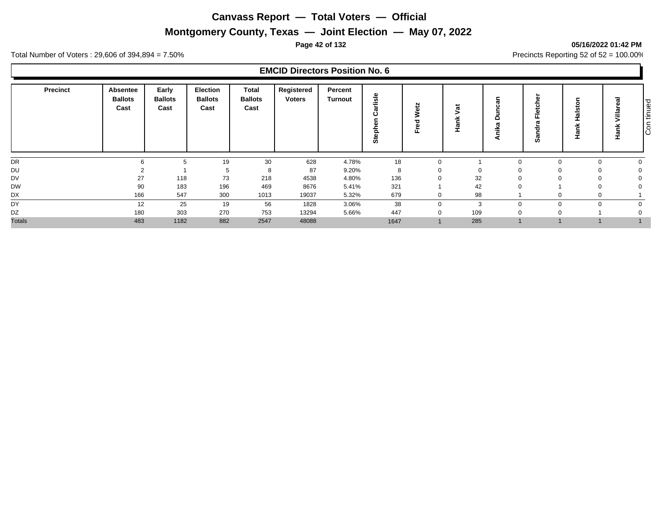# **Montgomery County, Texas — Joint Election — May 07, 2022**

#### **Page 42 of 132 05/16/2022 01:42 PM**

Total Number of Voters : 29,606 of 394,894 = 7.50% Precincts Reporting 52 of 52 = 100.00%

|               | <b>Precinct</b> | <b>Absentee</b><br><b>Ballots</b><br>Cast | Early<br><b>Ballots</b><br>Cast | <b>Election</b><br><b>Ballots</b><br>Cast | <b>Total</b><br><b>Ballots</b><br>Cast | Registered<br><b>Voters</b> | Percent<br>Turnout | rlisle<br>π<br>용<br>້ທ່ |              | ಕ<br>┯   | ≏<br>⋷<br>۰  | ದ<br><b>SO</b> | C<br>≖<br>÷ | w<br>Ξ | tinued<br>င်စ |
|---------------|-----------------|-------------------------------------------|---------------------------------|-------------------------------------------|----------------------------------------|-----------------------------|--------------------|-------------------------|--------------|----------|--------------|----------------|-------------|--------|---------------|
| DR            |                 |                                           | 5                               | 19                                        | 30                                     | 628                         | 4.78%              | 18                      | $\mathbf{0}$ |          | $\Omega$     |                | $\Omega$    |        |               |
| DU            |                 |                                           |                                 |                                           | 8                                      | 87                          | 9.20%              | 8                       | $\Omega$     | $\Omega$ |              |                |             |        |               |
| <b>DV</b>     |                 | 27                                        | 118                             | 73                                        | 218                                    | 4538                        | 4.80%              | 136                     | 0            | 32       |              |                |             |        |               |
| <b>DW</b>     |                 | 90                                        | 183                             | 196                                       | 469                                    | 8676                        | 5.41%              | 321                     |              | 42       | <sup>0</sup> |                |             |        |               |
| DX            |                 | 166                                       | 547                             | 300                                       | 1013                                   | 19037                       | 5.32%              | 679                     | 0            | 98       |              |                |             |        |               |
| DY            |                 | 12                                        | 25                              | 19                                        | 56                                     | 1828                        | 3.06%              | 38                      | 0            | 3        |              |                |             |        |               |
| DZ            |                 | 180                                       | 303                             | 270                                       | 753                                    | 13294                       | 5.66%              | 447                     | 0            | 109      |              |                |             |        |               |
| <b>Totals</b> |                 | 483                                       | 1182                            | 882                                       | 2547                                   | 48088                       |                    | 1647                    |              | 285      |              |                |             |        |               |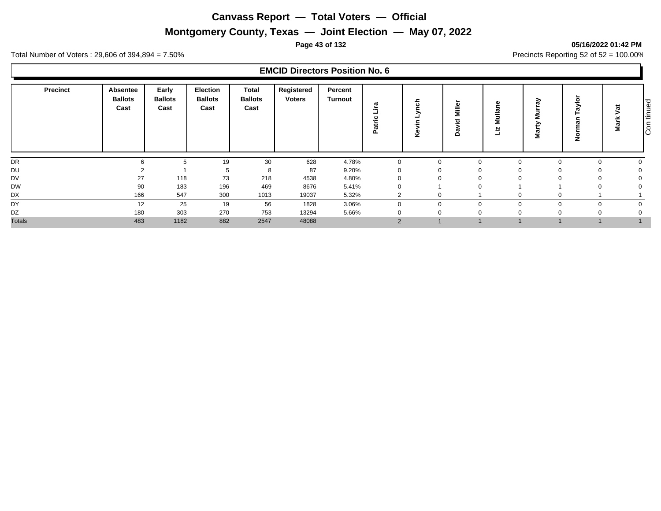# **Montgomery County, Texas — Joint Election — May 07, 2022**

#### **Page 43 of 132 05/16/2022 01:42 PM**

Total Number of Voters : 29,606 of 394,894 = 7.50% Precincts Reporting 52 of 52 = 100.00%

| Precinct      | Absentee<br><b>Ballots</b><br>Cast | Early<br><b>Ballots</b><br>Cast | <b>Election</b><br><b>Ballots</b><br>Cast | <b>Total</b><br><b>Ballots</b><br>Cast | Registered<br><b>Voters</b> | Percent<br><b>Turnout</b> | ច<br>ںِ<br>ದ<br>௨ | $\sim$<br>× | G)<br>≐<br>Ξ<br>≏ | ω<br>allu<br>Σ<br>Ľ۱ | ିକ<br>5<br>><br>ω<br>Σ | ⋋<br>۽ | ಕ<br>w<br>ω<br>Σ | tinued<br>င်စ |
|---------------|------------------------------------|---------------------------------|-------------------------------------------|----------------------------------------|-----------------------------|---------------------------|-------------------|-------------|-------------------|----------------------|------------------------|--------|------------------|---------------|
| DR            |                                    | b                               | 19                                        | 30                                     | 628                         | 4.78%                     |                   | $\Omega$    | $\Omega$          | n                    |                        |        |                  |               |
| DU            |                                    |                                 |                                           | 8                                      | 87                          | 9.20%                     |                   | 0           |                   |                      |                        |        |                  |               |
| <b>DV</b>     | 27                                 | 118                             | 73                                        | 218                                    | 4538                        | 4.80%                     |                   |             |                   |                      |                        |        |                  |               |
| <b>DW</b>     | 90                                 | 183                             | 196                                       | 469                                    | 8676                        | 5.41%                     |                   |             |                   |                      |                        |        |                  |               |
| DX            | 166                                | 547                             | 300                                       | 1013                                   | 19037                       | 5.32%                     | ົ<br>∠            | 0           |                   |                      |                        |        |                  |               |
| DY            | 12                                 | 25                              | 19                                        | 56                                     | 1828                        | 3.06%                     | $\Omega$          | $\Omega$    | $\Omega$          |                      |                        |        |                  |               |
| DZ            | 180                                | 303                             | 270                                       | 753                                    | 13294                       | 5.66%                     |                   | 0           |                   |                      |                        |        |                  |               |
| <b>Totals</b> | 483                                | 1182                            | 882                                       | 2547                                   | 48088                       |                           | 2                 |             |                   |                      |                        |        |                  |               |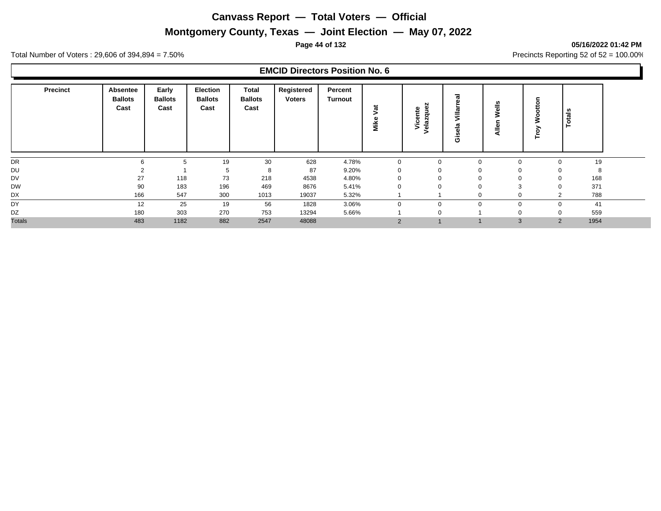# **Montgomery County, Texas — Joint Election — May 07, 2022**

#### **Page 44 of 132 05/16/2022 01:42 PM**

Total Number of Voters : 29,606 of 394,894 = 7.50% Precincts Reporting 52 of 52 = 100.00%

| <b>Precinct</b> | Absentee<br><b>Ballots</b><br>Cast | Early<br><b>Ballots</b><br>Cast | Election<br><b>Ballots</b><br>Cast | <b>Total</b><br><b>Ballots</b><br>Cast | Registered<br><b>Voters</b> | Percent<br>Turnout | ಕ<br>Mike | N<br>ω<br>nte<br>흉<br>Φ<br>$\sim$<br>š<br>CO.<br>Φ | €<br>m<br>ی.<br>O | ≝<br>ω<br>৯<br>≐<br>◀ | ⊢        | otals |  |
|-----------------|------------------------------------|---------------------------------|------------------------------------|----------------------------------------|-----------------------------|--------------------|-----------|----------------------------------------------------|-------------------|-----------------------|----------|-------|--|
| DR              | 6                                  | b                               | 19                                 | 30                                     | 628                         | 4.78%              |           | $\mathbf 0$                                        | 0                 | 0                     |          | 19    |  |
| DU              |                                    |                                 | 5                                  | 8                                      | 87                          | 9.20%              |           | 0                                                  | 0                 | $\Omega$              |          | 8     |  |
| DV              | 27                                 | 118                             | 73                                 | 218                                    | 4538                        | 4.80%              |           | $\mathbf 0$                                        | 0                 | 0                     |          | 168   |  |
| <b>DW</b>       | 90                                 | 183                             | 196                                | 469                                    | 8676                        | 5.41%              |           | $\Omega$                                           | 0                 | 3                     |          | 371   |  |
| DX              | 166                                | 547                             | 300                                | 1013                                   | 19037                       | 5.32%              |           |                                                    | 0                 | 0                     |          | 788   |  |
| DY              | 12                                 | 25                              | 19                                 | 56                                     | 1828                        | 3.06%              |           | $\Omega$                                           | $\Omega$          | $\Omega$              | $\Omega$ | 41    |  |
| DZ              | 180                                | 303                             | 270                                | 753                                    | 13294                       | 5.66%              |           | 0                                                  |                   | $\Omega$              |          | 559   |  |
| <b>Totals</b>   | 483                                | 1182                            | 882                                | 2547                                   | 48088                       |                    | 2         |                                                    |                   | 3                     | 2        | 1954  |  |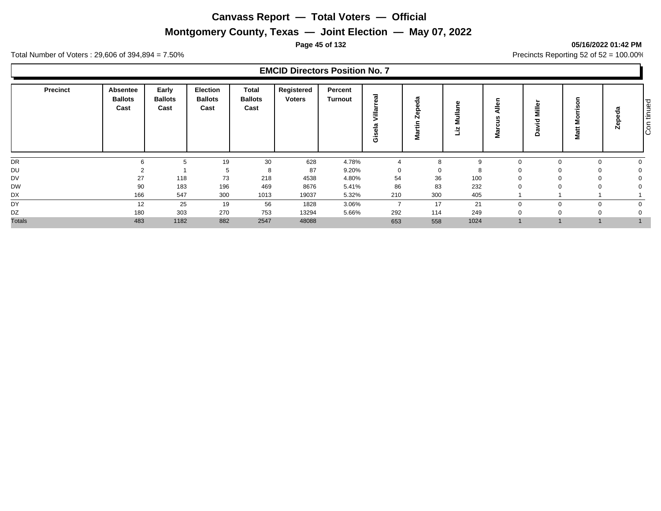# **Montgomery County, Texas — Joint Election — May 07, 2022**

#### **Page 45 of 132 05/16/2022 01:42 PM**

Total Number of Voters : 29,606 of 394,894 = 7.50% Precincts Reporting 52 of 52 = 100.00%

| <b>Precinct</b> | Absentee<br><b>Ballots</b><br>Cast | Early<br><b>Ballots</b><br>Cast | <b>Election</b><br><b>Ballots</b><br>Cast | <b>Total</b><br><b>Ballots</b><br>Cast | Registered<br><b>Voters</b> | Percent<br><b>Turnout</b> | සි<br>ದ<br>-<br>≔<br>ß<br>G)<br><u>ِي</u><br>ט | œ<br>÷<br>Σ | E        | ¶ء<br>n<br>,<br>ω<br>Ξ | Miller<br>ಾ<br><br>$\mathbf \sigma$<br>$\circ$ | <br>⋝<br>Ħ<br>π<br>ž | ω<br>ъ<br>Ω<br>G)<br>Ñ | tinued<br>$\overline{C}$ |
|-----------------|------------------------------------|---------------------------------|-------------------------------------------|----------------------------------------|-----------------------------|---------------------------|------------------------------------------------|-------------|----------|------------------------|------------------------------------------------|----------------------|------------------------|--------------------------|
| DR              |                                    | b                               | 19                                        | 30                                     | 628                         | 4.78%                     |                                                | 8           | $\Omega$ | n                      |                                                |                      |                        |                          |
| DU              |                                    |                                 |                                           | 8                                      | 87                          | 9.20%                     | $\mathbf 0$                                    | 0           | -8       | 0                      |                                                |                      |                        |                          |
| <b>DV</b>       | 27                                 | 118                             | 73                                        | 218                                    | 4538                        | 4.80%                     | 54                                             | 36          | 100      | <sup>0</sup>           |                                                |                      |                        |                          |
| <b>DW</b>       | 90                                 | 183                             | 196                                       | 469                                    | 8676                        | 5.41%                     | 86                                             | 83          | 232      | n                      |                                                |                      |                        |                          |
| DX              | 166                                | 547                             | 300                                       | 1013                                   | 19037                       | 5.32%                     | 210                                            | 300         | 405      |                        |                                                |                      |                        |                          |
| DY              | 12                                 | 25                              | 19                                        | 56                                     | 1828                        | 3.06%                     | $\overline{7}$                                 | 17          | 21       |                        |                                                |                      |                        |                          |
| DZ              | 180                                | 303                             | 270                                       | 753                                    | 13294                       | 5.66%                     | 292                                            | 114         | 249      |                        |                                                |                      |                        |                          |
| <b>Totals</b>   | 483                                | 1182                            | 882                                       | 2547                                   | 48088                       |                           | 653                                            | 558         | 1024     |                        |                                                |                      |                        |                          |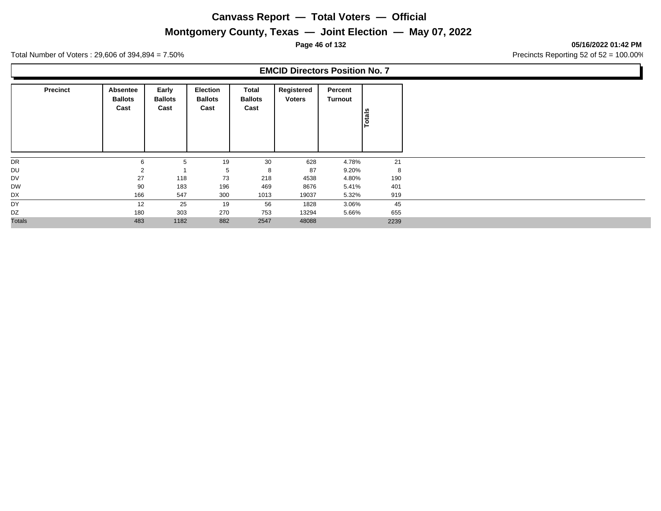## **Montgomery County, Texas — Joint Election — May 07, 2022**

**Page 46 of 132 05/16/2022 01:42 PM**

Total Number of Voters : 29,606 of 394,894 = 7.50% Precincts Reporting 52 of 52 = 100.00%

| <b>Precinct</b> | Absentee<br><b>Ballots</b><br>Cast | Early<br><b>Ballots</b><br>Cast | <b>Election</b><br><b>Ballots</b><br>Cast | Total<br><b>Ballots</b><br>Cast | Registered<br><b>Voters</b> | Percent<br>Turnout | Totals |
|-----------------|------------------------------------|---------------------------------|-------------------------------------------|---------------------------------|-----------------------------|--------------------|--------|
| DR              | 6                                  | $5^{\circ}$                     | 19                                        | 30                              | 628                         | 4.78%              | 21     |
| DU              |                                    |                                 | 5                                         | 8                               | 87                          | 9.20%              | 8      |
| DV              | 27                                 | 118                             | 73                                        | 218                             | 4538                        | 4.80%              | 190    |
| <b>DW</b>       | 90                                 | 183                             | 196                                       | 469                             | 8676                        | 5.41%              | 401    |
| DX              | 166                                | 547                             | 300                                       | 1013                            | 19037                       | 5.32%              | 919    |
| DY              | 12                                 | 25                              | 19                                        | 56                              | 1828                        | 3.06%              | 45     |
| DZ              | 180                                | 303                             | 270                                       | 753                             | 13294                       | 5.66%              | 655    |
| <b>Totals</b>   | 483                                | 1182                            | 882                                       | 2547                            | 48088                       |                    | 2239   |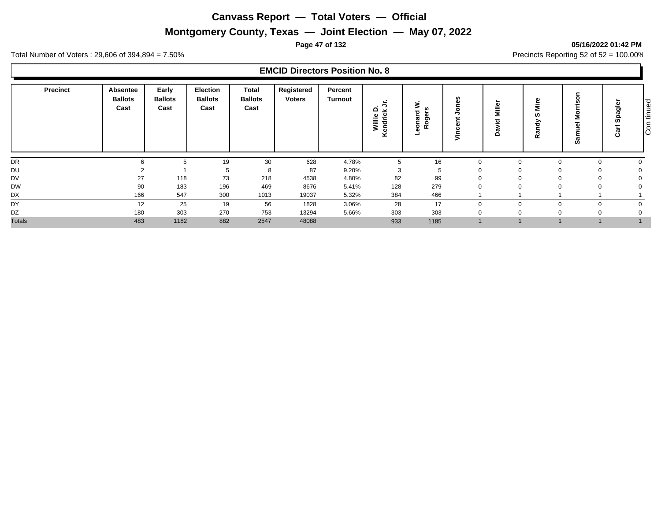# **Montgomery County, Texas — Joint Election — May 07, 2022**

#### **Page 47 of 132 05/16/2022 01:42 PM**

Total Number of Voters : 29,606 of 394,894 = 7.50% Precincts Reporting 52 of 52 = 100.00%

| <b>Precinct</b> | Absentee<br><b>Ballots</b><br>Cast | Early<br><b>Ballots</b><br>Cast | <b>Election</b><br><b>Ballots</b><br>Cast | <b>Total</b><br><b>Ballots</b><br>Cast | Registered<br><b>Voters</b> | Percent<br><b>Turnout</b> | ∼<br>. 5<br>≏<br>×<br>Willie<br>endricl<br>⊻ | ⋧<br><b>SC</b><br>ъ<br>සි<br>π<br>$\circ$<br>9 <sup>°</sup> |          | Miller<br>ğ<br><b>les</b><br>۵ | മ<br>έ<br>ທ<br>∽<br>ᄒ<br>त्व<br>œ | --<br><b>SO</b> | Φ<br>ಕಾ<br>Ω<br>► | ∣≌<br>١Ē<br>$\overline{\tilde{c}}$ |
|-----------------|------------------------------------|---------------------------------|-------------------------------------------|----------------------------------------|-----------------------------|---------------------------|----------------------------------------------|-------------------------------------------------------------|----------|--------------------------------|-----------------------------------|-----------------|-------------------|------------------------------------|
| DR              | $\sim$                             |                                 | 19                                        | 30                                     | 628                         | 4.78%                     |                                              | 16                                                          | $\Omega$ |                                |                                   |                 |                   |                                    |
| <b>DU</b>       |                                    |                                 | 5                                         | 8                                      | 87                          | 9.20%                     | 3                                            | 5                                                           |          |                                |                                   |                 |                   |                                    |
| <b>DV</b>       | 27                                 | 118                             | 73                                        | 218                                    | 4538                        | 4.80%                     | 82                                           | 99                                                          |          |                                |                                   |                 |                   |                                    |
| <b>DW</b>       | 90                                 | 183                             | 196                                       | 469                                    | 8676                        | 5.41%                     | 128                                          | 279                                                         |          |                                |                                   |                 |                   |                                    |
| DX              | 166                                | 547                             | 300                                       | 1013                                   | 19037                       | 5.32%                     | 384                                          | 466                                                         |          |                                |                                   |                 |                   |                                    |
| DY              | 12                                 | 25                              | 19                                        | 56                                     | 1828                        | 3.06%                     | 28                                           | 17                                                          | $\Omega$ |                                |                                   |                 |                   |                                    |
| DZ              | 180                                | 303                             | 270                                       | 753                                    | 13294                       | 5.66%                     | 303                                          | 303                                                         |          |                                |                                   |                 |                   |                                    |
| <b>Totals</b>   | 483                                | 1182                            | 882                                       | 2547                                   | 48088                       |                           | 933                                          | 1185                                                        |          |                                |                                   |                 |                   |                                    |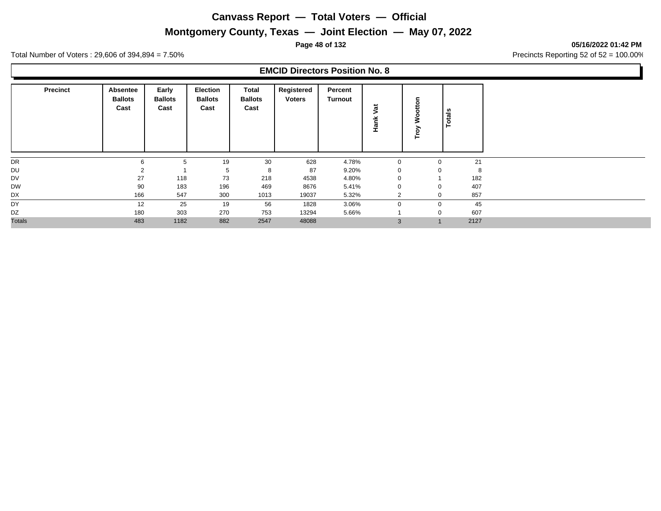# **Montgomery County, Texas — Joint Election — May 07, 2022**

**Page 48 of 132 05/16/2022 01:42 PM**

Total Number of Voters : 29,606 of 394,894 = 7.50% Precincts Reporting 52 of 52 = 100.00%

| <b>Precinct</b> | <b>Absentee</b><br><b>Ballots</b><br>Cast | Early<br><b>Ballots</b><br>Cast | <b>Election</b><br><b>Ballots</b><br>Cast | Total<br><b>Ballots</b><br>Cast | Registered<br><b>Voters</b> | Percent<br>Turnout | 嵩<br>≚<br>운    | 훂<br>б<br>È. |              | Totals |
|-----------------|-------------------------------------------|---------------------------------|-------------------------------------------|---------------------------------|-----------------------------|--------------------|----------------|--------------|--------------|--------|
| DR              | 6                                         | 5                               | 19                                        | 30                              | 628                         | 4.78%              | 0              |              | $\mathbf 0$  | 21     |
| DU              |                                           |                                 | 5                                         | 8                               | 87                          | 9.20%              |                |              | $\Omega$     | 8      |
| DV              | 27                                        | 118                             | 73                                        | 218                             | 4538                        | 4.80%              |                |              |              | 182    |
| <b>DW</b>       | 90                                        | 183                             | 196                                       | 469                             | 8676                        | 5.41%              | υ              |              | $\mathbf 0$  | 407    |
| DX              | 166                                       | 547                             | 300                                       | 1013                            | 19037                       | 5.32%              | $\overline{2}$ |              | $\mathbf 0$  | 857    |
| DY              | 12                                        | 25                              | 19                                        | 56                              | 1828                        | 3.06%              |                |              | $\mathbf 0$  | 45     |
| DZ              | 180                                       | 303                             | 270                                       | 753                             | 13294                       | 5.66%              |                |              | $\mathbf 0$  | 607    |
| <b>Totals</b>   | 483                                       | 1182                            | 882                                       | 2547                            | 48088                       |                    | 3              |              | $\mathbf{1}$ | 2127   |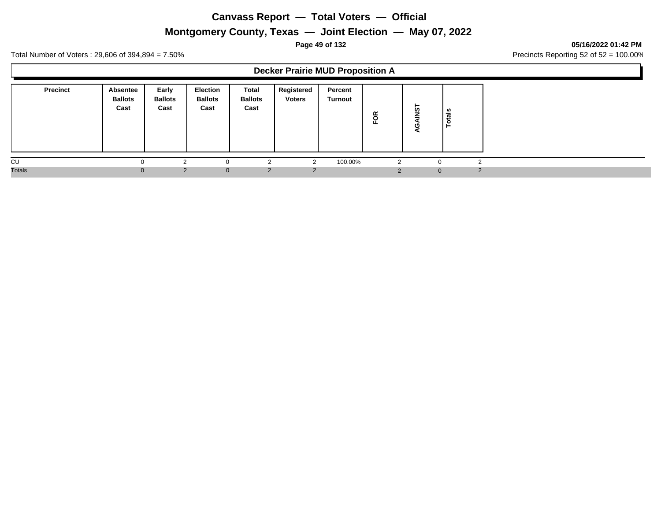# **Montgomery County, Texas — Joint Election — May 07, 2022**

#### **Page 49 of 132 05/16/2022 01:42 PM**

Total Number of Voters : 29,606 of 394,894 = 7.50% Precincts Reporting 52 of 52 = 100.00%

#### **Decker Prairie MUD Proposition A**

| <b>Precinct</b> | Absentee<br><b>Ballots</b><br>Cast | Early<br><b>Ballots</b><br>Cast | <b>Election</b><br><b>Ballots</b><br>Cast | Total<br><b>Ballots</b><br>Cast | Registered<br><b>Voters</b> | Percent<br>Turnout | FOR | ⊢<br>້ທ  | tals<br>$\circ$ |
|-----------------|------------------------------------|---------------------------------|-------------------------------------------|---------------------------------|-----------------------------|--------------------|-----|----------|-----------------|
| CU              | <sup>0</sup>                       |                                 | - 0                                       | ◠                               |                             | 100.00%            | 2   |          | 0               |
| <b>Totals</b>   | $\Omega$                           | $\overline{2}$                  | $\mathbf{0}$                              | 2                               |                             |                    |     | $\Omega$ | $\mathcal{P}$   |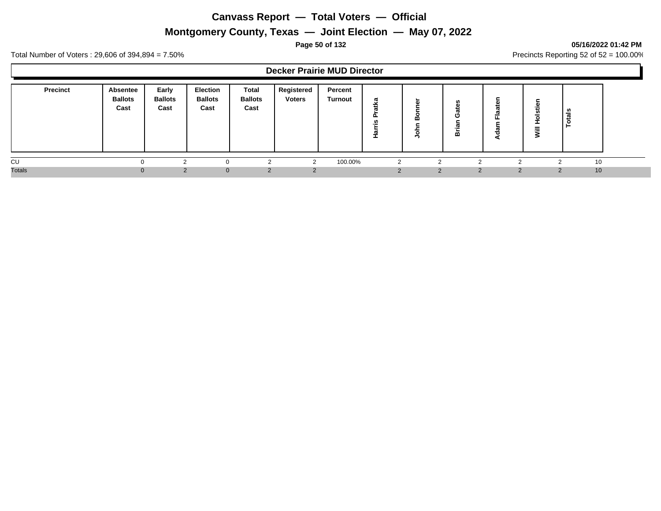# **Montgomery County, Texas — Joint Election — May 07, 2022**

#### **Page 50 of 132 05/16/2022 01:42 PM**

Total Number of Voters : 29,606 of 394,894 = 7.50% Precincts Reporting 52 of 52 = 100.00%

#### **Decker Prairie MUD Director**

| <b>Precinct</b> | Absentee<br><b>Ballots</b><br>Cast | Early<br><b>Ballots</b><br>Cast | Election<br><b>Ballots</b><br>Cast | <b>Total</b><br><b>Ballots</b><br>Cast | Registered<br><b>Voters</b> | Percent<br><b>Turnout</b> | æ<br>÷<br>--<br>௨<br>ın<br>ω | ∼<br>Ф.<br>œ<br>$\vec{S}$ | C<br>≃        |               | $\equiv$<br>><br>∍ | ≗<br>ت |  |
|-----------------|------------------------------------|---------------------------------|------------------------------------|----------------------------------------|-----------------------------|---------------------------|------------------------------|---------------------------|---------------|---------------|--------------------|--------|--|
| CU              |                                    |                                 |                                    |                                        | $\Omega$                    | 100.00%                   |                              |                           |               |               |                    | 10     |  |
| <b>Totals</b>   | $\mathbf{U}$                       |                                 | $\Omega$                           | 2                                      |                             |                           |                              | $\mathcal{D}$             | $\mathcal{P}$ | $\mathcal{P}$ |                    | 10     |  |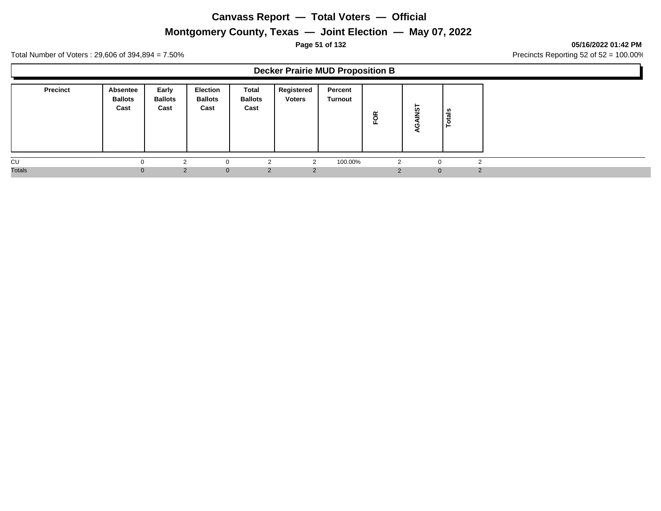# **Montgomery County, Texas — Joint Election — May 07, 2022**

#### **Page 51 of 132 05/16/2022 01:42 PM**

Total Number of Voters : 29,606 of 394,894 = 7.50% Precincts Reporting 52 of 52 = 100.00%

#### **Decker Prairie MUD Proposition B**

| <b>Precinct</b> | <b>Absentee</b><br><b>Ballots</b><br>Cast | Early<br><b>Ballots</b><br>Cast | <b>Election</b><br><b>Ballots</b><br>Cast | Total<br><b>Ballots</b><br>Cast | Registered<br><b>Voters</b> | Percent<br><b>Turnout</b> | ≃<br>운 | ►<br><b>in</b> | tals<br>$\circ$<br>− |   |
|-----------------|-------------------------------------------|---------------------------------|-------------------------------------------|---------------------------------|-----------------------------|---------------------------|--------|----------------|----------------------|---|
| CU              |                                           | $\sim$                          | $\Omega$                                  |                                 |                             | 100.00%                   | 2      |                |                      |   |
| <b>Totals</b>   |                                           | 2                               | $\mathbf{0}$                              | 2                               |                             |                           |        | $\overline{0}$ |                      | ົ |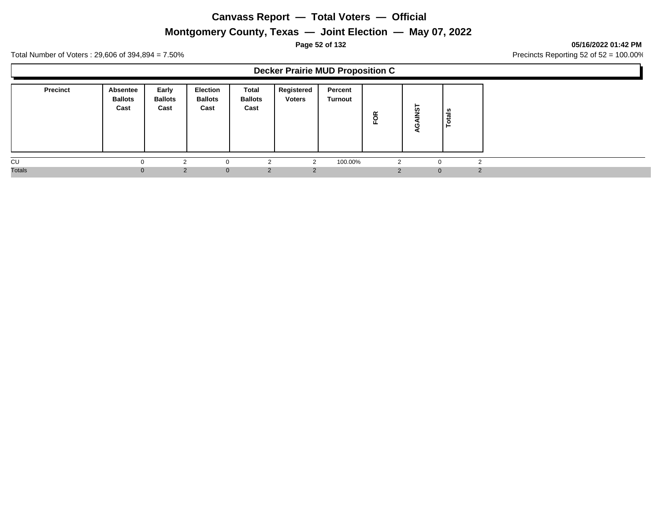# **Montgomery County, Texas — Joint Election — May 07, 2022**

#### **Page 52 of 132 05/16/2022 01:42 PM**

Total Number of Voters : 29,606 of 394,894 = 7.50% Precincts Reporting 52 of 52 = 100.00%

#### **Decker Prairie MUD Proposition C**

| <b>Precinct</b> | Absentee<br><b>Ballots</b><br>Cast | Early<br><b>Ballots</b><br>Cast | <b>Election</b><br><b>Ballots</b><br>Cast | Total<br><b>Ballots</b><br>Cast | Registered<br><b>Voters</b> | Percent<br><b>Turnout</b> | g<br>ш.  | ⊢<br><b>in</b> | als<br>ت<br>$\circ$<br>⊢ |
|-----------------|------------------------------------|---------------------------------|-------------------------------------------|---------------------------------|-----------------------------|---------------------------|----------|----------------|--------------------------|
| CU              |                                    |                                 | $\Omega$                                  | ົ                               | $\sqrt{2}$                  | 100.00%                   | 2        | $\Omega$       | $\sim$                   |
| <b>Totals</b>   |                                    | $\mathcal{P}$                   | $\Omega$                                  | 2                               | 2                           |                           | $\Omega$ | $\mathbf{0}$   | $\mathcal{P}$            |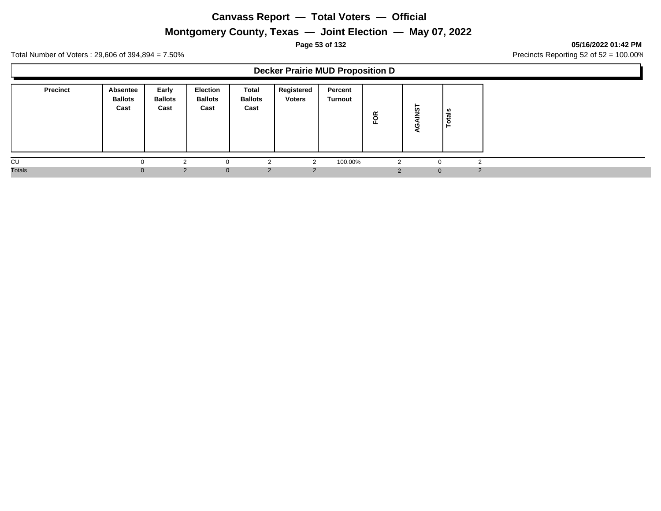# **Montgomery County, Texas — Joint Election — May 07, 2022**

#### **Page 53 of 132 05/16/2022 01:42 PM**

Total Number of Voters : 29,606 of 394,894 = 7.50% Precincts Reporting 52 of 52 = 100.00%

#### **Decker Prairie MUD Proposition D**

| <b>Precinct</b> | <b>Absentee</b><br><b>Ballots</b><br>Cast | Early<br><b>Ballots</b><br>Cast | <b>Election</b><br><b>Ballots</b><br>Cast | Total<br><b>Ballots</b><br>Cast | Registered<br><b>Voters</b> | Percent<br>Turnout | FOR      | ⊢<br>'n      | ta's<br>$\circ$<br>⊢ |
|-----------------|-------------------------------------------|---------------------------------|-------------------------------------------|---------------------------------|-----------------------------|--------------------|----------|--------------|----------------------|
| CU              | $\Omega$                                  |                                 | 0                                         |                                 | $\sim$                      | 100.00%            | 2        | $\Omega$     | $\sim$               |
| <b>Totals</b>   | $\Omega$                                  | 2                               | $\mathbf{0}$                              | 2                               | 2                           |                    | $\Omega$ | $\mathbf{0}$ | $\mathcal{D}$        |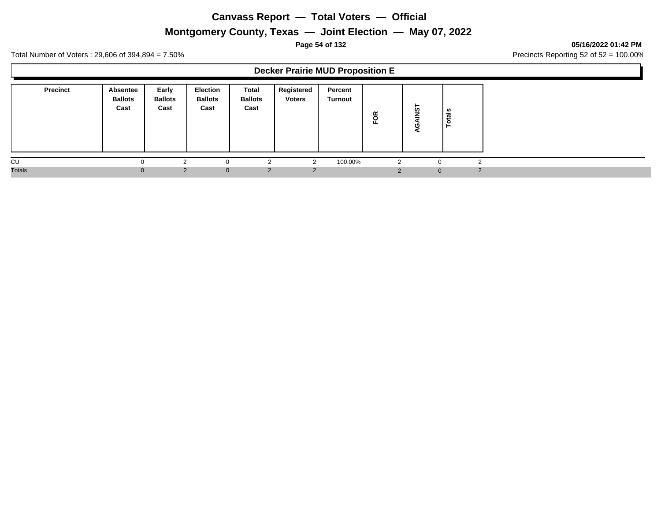# **Montgomery County, Texas — Joint Election — May 07, 2022**

#### **Page 54 of 132 05/16/2022 01:42 PM**

Total Number of Voters : 29,606 of 394,894 = 7.50% Precincts Reporting 52 of 52 = 100.00%

#### **Decker Prairie MUD Proposition E**

| <b>Precinct</b> | <b>Absentee</b><br><b>Ballots</b><br>Cast | Early<br><b>Ballots</b><br>Cast | <b>Election</b><br><b>Ballots</b><br>Cast | Total<br><b>Ballots</b><br>Cast | Registered<br><b>Voters</b> | Percent<br>Turnout | FOR | ►<br><b>in</b> | tais<br>$\circ$ |
|-----------------|-------------------------------------------|---------------------------------|-------------------------------------------|---------------------------------|-----------------------------|--------------------|-----|----------------|-----------------|
| CU              |                                           | $\sim$                          | $\Omega$                                  |                                 |                             | 100.00%            |     |                | ົ               |
| <b>Totals</b>   |                                           | 2                               | $\mathbf{0}$                              | 2                               | $\mathcal{P}$               |                    |     | $\Omega$       | $\mathcal{P}$   |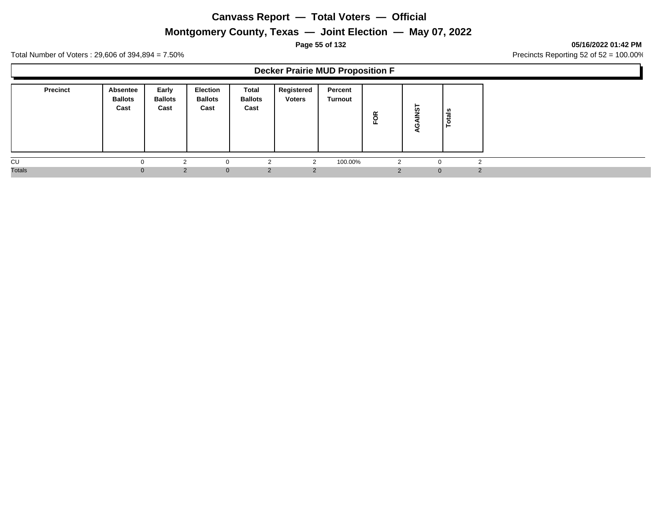# **Montgomery County, Texas — Joint Election — May 07, 2022**

#### **Page 55 of 132 05/16/2022 01:42 PM**

Total Number of Voters : 29,606 of 394,894 = 7.50% Precincts Reporting 52 of 52 = 100.00%

#### **Decker Prairie MUD Proposition F**

| <b>Precinct</b> | <b>Absentee</b><br><b>Ballots</b><br>Cast | Early<br><b>Ballots</b><br>Cast | <b>Election</b><br><b>Ballots</b><br>Cast | Total<br><b>Ballots</b><br>Cast | Registered<br><b>Voters</b> | Percent<br>Turnout | FOR | -<br><b>in</b> | tals<br>$\circ$<br>− |               |  |
|-----------------|-------------------------------------------|---------------------------------|-------------------------------------------|---------------------------------|-----------------------------|--------------------|-----|----------------|----------------------|---------------|--|
| CU              |                                           | $\sim$                          | $\Omega$                                  |                                 |                             | 100.00%            |     |                | ◠                    |               |  |
| <b>Totals</b>   |                                           | 2                               | $\mathbf{0}$                              | 2                               | $\Omega$                    |                    |     | $\mathbf{0}$   |                      | $\mathcal{D}$ |  |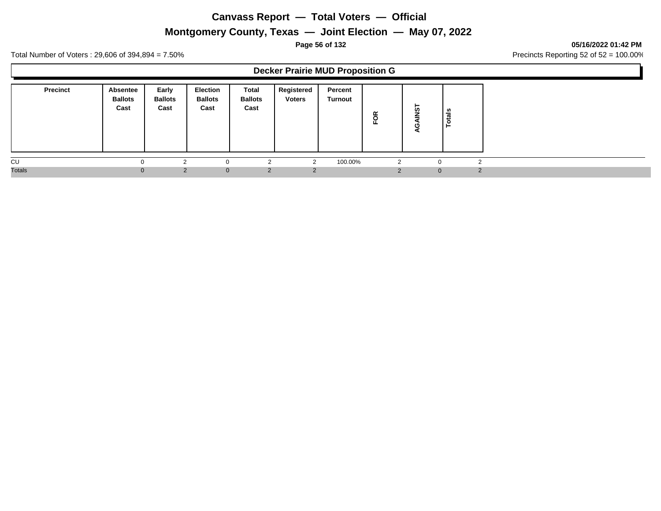# **Montgomery County, Texas — Joint Election — May 07, 2022**

#### **Page 56 of 132 05/16/2022 01:42 PM**

Total Number of Voters : 29,606 of 394,894 = 7.50% Precincts Reporting 52 of 52 = 100.00%

#### **Decker Prairie MUD Proposition G**

| <b>Precinct</b> | <b>Absentee</b><br><b>Ballots</b><br>Cast | Early<br><b>Ballots</b><br>Cast | <b>Election</b><br><b>Ballots</b><br>Cast | Total<br><b>Ballots</b><br>Cast | Registered<br><b>Voters</b> | Percent<br><b>Turnout</b> | ≃<br>$\overline{\circ}$<br>ш. | ⊢<br><b>in</b> | tals<br>$\circ$<br>► |        |
|-----------------|-------------------------------------------|---------------------------------|-------------------------------------------|---------------------------------|-----------------------------|---------------------------|-------------------------------|----------------|----------------------|--------|
| CU              |                                           | ⌒                               | $\Omega$                                  | ົ                               |                             | 100.00%                   | 2                             | 0              |                      |        |
| <b>Totals</b>   |                                           | 2                               | $\Omega$                                  | 2                               |                             |                           |                               | $\overline{0}$ |                      | $\sim$ |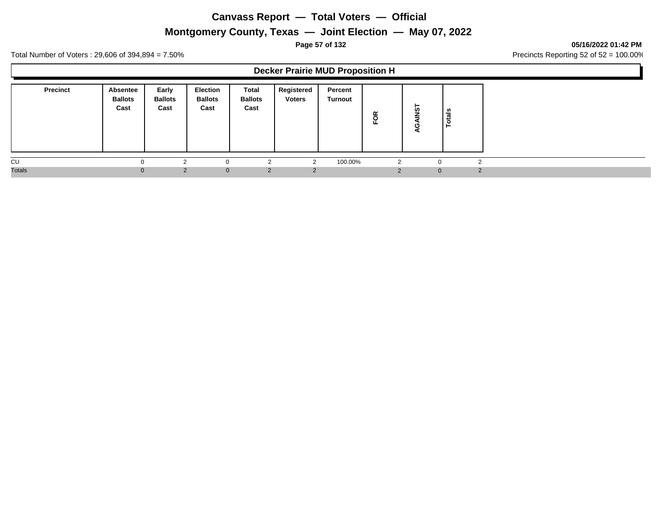## **Montgomery County, Texas — Joint Election — May 07, 2022**

**Page 57 of 132 05/16/2022 01:42 PM**

Total Number of Voters : 29,606 of 394,894 = 7.50% Precincts Reporting 52 of 52 = 100.00%

#### **Decker Prairie MUD Proposition H**

| <b>Precinct</b> | <b>Absentee</b><br><b>Ballots</b><br>Cast | Early<br><b>Ballots</b><br>Cast | <b>Election</b><br><b>Ballots</b><br>Cast | Total<br><b>Ballots</b><br>Cast | Registered<br><b>Voters</b> | Percent<br>Turnout | ≃<br>$\circ$<br>ш. | <b>in</b> | ທ<br>ಕ<br>- |   |
|-----------------|-------------------------------------------|---------------------------------|-------------------------------------------|---------------------------------|-----------------------------|--------------------|--------------------|-----------|-------------|---|
| CU              |                                           | ⌒                               |                                           | c                               |                             | 100.00%            | 2                  |           |             |   |
| <b>Totals</b>   |                                           | $\mathcal{D}$                   | $\Omega$                                  | 2                               |                             |                    | $\sim$             | $\Omega$  |             | o |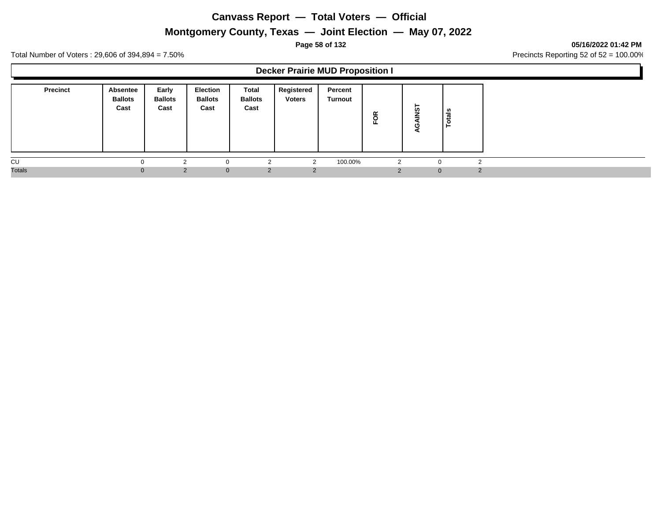# **Montgomery County, Texas — Joint Election — May 07, 2022**

#### **Page 58 of 132 05/16/2022 01:42 PM**

Total Number of Voters : 29,606 of 394,894 = 7.50% Precincts Reporting 52 of 52 = 100.00%

#### **Decker Prairie MUD Proposition I**

| <b>Precinct</b> | <b>Absentee</b><br><b>Ballots</b><br>Cast | Early<br><b>Ballots</b><br>Cast | <b>Election</b><br><b>Ballots</b><br>Cast | Total<br><b>Ballots</b><br>Cast | Registered<br><b>Voters</b> | Percent<br>Turnout | FOR | -<br><b>in</b> | tais<br>$\circ$ |        |
|-----------------|-------------------------------------------|---------------------------------|-------------------------------------------|---------------------------------|-----------------------------|--------------------|-----|----------------|-----------------|--------|
| CU              |                                           | $\sim$                          | $\Omega$                                  | ົ                               |                             | 100.00%            |     |                |                 | $\sim$ |
| <b>Totals</b>   |                                           | 2                               | $\mathbf{0}$                              | 2                               | $\overline{2}$              |                    |     | $\mathbf{0}$   |                 | 2      |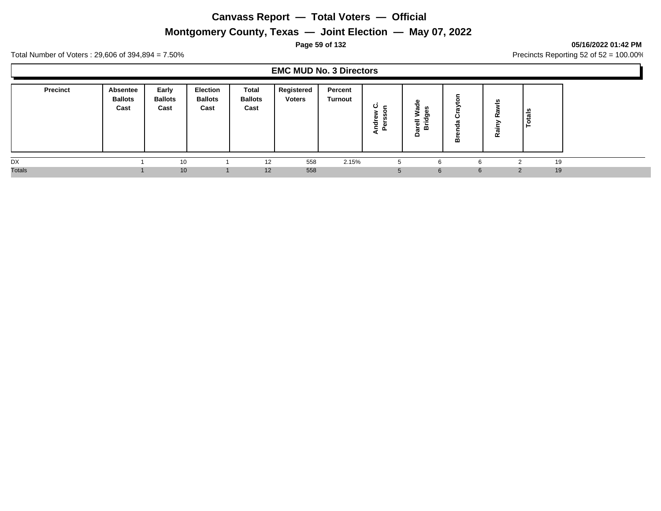# **Montgomery County, Texas — Joint Election — May 07, 2022**

#### **Page 59 of 132 05/16/2022 01:42 PM**

Total Number of Voters : 29,606 of 394,894 = 7.50% Precincts Reporting 52 of 52 = 100.00%

#### **EMC MUD No. 3 Directors**

| <b>Precinct</b><br>Absentee<br><b>Ballots</b><br>Cast | Early<br><b>Ballots</b><br>Cast | <b>Election</b><br><b>Ballots</b><br>Cast | Total<br><b>Ballots</b><br>Cast | Registered<br><b>Voters</b> | Percent<br><b>Turnout</b> | ပ<br>- | œ<br>ъ<br>ದ<br><br>ං<br>-<br>$\overline{\omega}$<br>ਛ<br>≏ | ပ<br>≃ | $\boldsymbol{w}$<br>œ<br>≏<br>್<br>≃ | ទឹ |  |
|-------------------------------------------------------|---------------------------------|-------------------------------------------|---------------------------------|-----------------------------|---------------------------|--------|------------------------------------------------------------|--------|--------------------------------------|----|--|
| DX                                                    |                                 | 10                                        | 12                              | 558                         | 2.15%                     |        |                                                            |        |                                      | 19 |  |
| <b>Totals</b>                                         |                                 | 10                                        | 12                              | 558                         |                           | 5      | 6                                                          | 6      | 2                                    | 19 |  |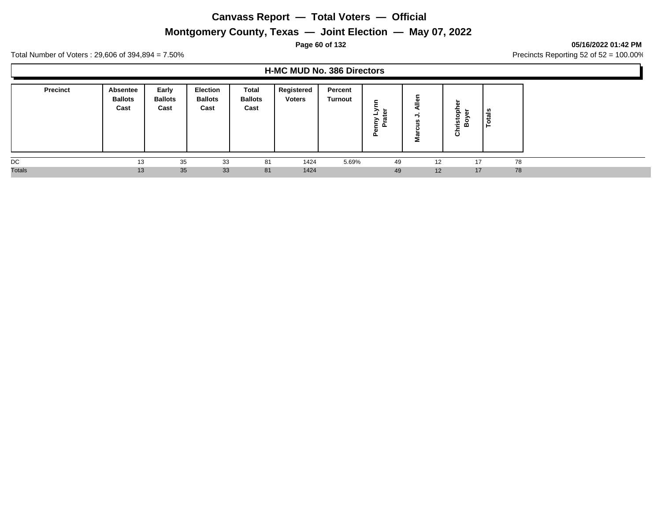# **Montgomery County, Texas — Joint Election — May 07, 2022**

#### **Page 60 of 132 05/16/2022 01:42 PM**

Total Number of Voters : 29,606 of 394,894 = 7.50% Precincts Reporting 52 of 52 = 100.00%

#### **H-MC MUD No. 386 Directors**

| <b>Precinct</b> | Absentee<br><b>Ballots</b><br>Cast | Early<br><b>Ballots</b><br>Cast | Election<br><b>Ballots</b><br>Cast | <b>Total</b><br><b>Ballots</b><br>Cast | Registered<br><b>Voters</b> | Percent<br><b>Turnout</b> | ∽<br>മ<br>┙<br>><br>௨ | 2  | ristop<br>₽<br>ш.<br>ō | tals<br>Ĕ |  |
|-----------------|------------------------------------|---------------------------------|------------------------------------|----------------------------------------|-----------------------------|---------------------------|-----------------------|----|------------------------|-----------|--|
| DC              | 13                                 | 35                              | 33                                 | 81                                     | 1424                        | 5.69%                     | 49                    | 12 | 17                     | 78        |  |
| <b>Totals</b>   | 13                                 | 35                              | 33                                 | 81                                     | 1424                        |                           | 49                    | 12 | 17                     | 78        |  |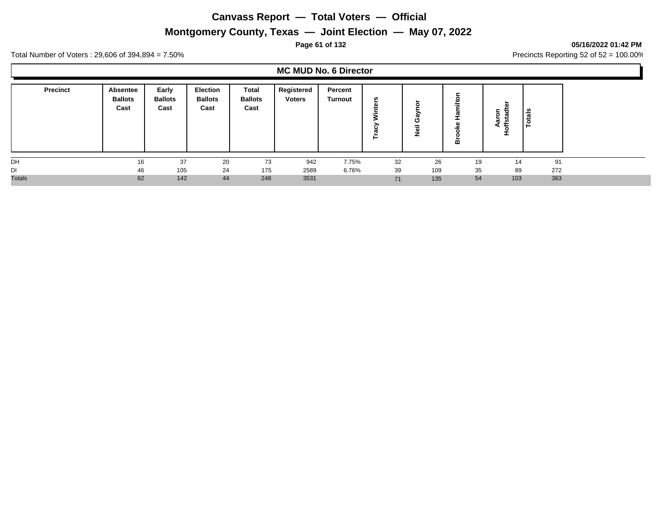# **Montgomery County, Texas — Joint Election — May 07, 2022**

#### **Page 61 of 132 05/16/2022 01:42 PM**

Total Number of Voters : 29,606 of 394,894 = 7.50% Precincts Reporting 52 of 52 = 100.00%

#### **MC MUD No. 6 Director**

| <b>Precinct</b> | Absentee<br><b>Ballots</b><br>Cast | Early<br><b>Ballots</b><br>Cast | <b>Election</b><br><b>Ballots</b><br>Cast | Total<br><b>Ballots</b><br>Cast | Registered<br><b>Voters</b> | Percent<br>Turnout | n<br>- | с<br>-- | ≃  | ►<br>កក<br>÷ | ័ត  |
|-----------------|------------------------------------|---------------------------------|-------------------------------------------|---------------------------------|-----------------------------|--------------------|--------|---------|----|--------------|-----|
| DH              | 16                                 | 37                              | 20                                        | 73                              | 942                         | 7.75%              | 32     | 26      | 19 | 14           | 91  |
| DI              | 46                                 | 105                             | 24                                        | 175                             | 2589                        | 6.76%              | 39     | 109     | 35 | 89           | 272 |
| <b>Totals</b>   | 62                                 | 142                             | 44                                        | 248                             | 3531                        |                    | 71     | 135     | 54 | 103          | 363 |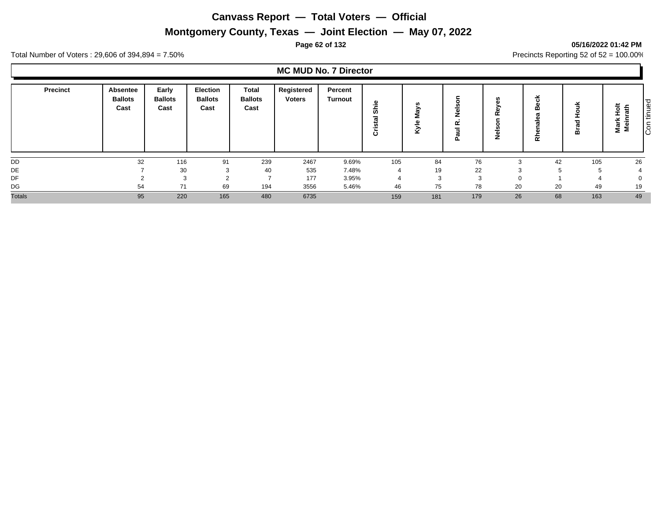# **Montgomery County, Texas — Joint Election — May 07, 2022**

#### **Page 62 of 132 05/16/2022 01:42 PM**

Total Number of Voters : 29,606 of 394,894 = 7.50% Precincts Reporting 52 of 52 = 100.00%

#### **MC MUD No. 7 Director**

| Precinct      | Absentee<br><b>Ballots</b><br>Cast | Early<br><b>Ballots</b><br>Cast | <b>Election</b><br><b>Ballots</b><br>Cast | <b>Total</b><br><b>Ballots</b><br>Cast | Registered<br><b>Voters</b> | Percent<br><b>Turnout</b> | ω<br>-2<br>∸<br>ທ<br>с | s<br>శె<br>Ξ<br>ω<br>-<br>$\mathcal{Z}$ | _<br>உ<br>œ<br>-<br>5<br>σ<br>ட | ഗ<br>><br>۵١<br>œ<br>-<br>z | eck<br>⋒<br>ത<br>m<br>ಕ<br>忘 | ≃   | tinued<br>≝<br>≐<br>.=<br>-<br>ω<br>lš<br>≅<br>Ξ |
|---------------|------------------------------------|---------------------------------|-------------------------------------------|----------------------------------------|-----------------------------|---------------------------|------------------------|-----------------------------------------|---------------------------------|-----------------------------|------------------------------|-----|--------------------------------------------------|
| DD            | 32                                 | 116                             | 91                                        | 239                                    | 2467                        | 9.69%                     | 105                    | 84                                      | 76                              | ົ<br>-5                     | 42                           | 105 | 26                                               |
| DE            |                                    | 30                              |                                           | 40                                     | 535                         | 7.48%                     |                        | 19                                      | 22                              |                             |                              |     |                                                  |
| DF            |                                    |                                 |                                           |                                        | 177                         | 3.95%                     |                        |                                         | 3                               |                             |                              |     | 0                                                |
| DG            | 54                                 | 71                              | 69                                        | 194                                    | 3556                        | 5.46%                     | 46                     | 75                                      | 78                              | 20                          | 20                           | 49  | 19                                               |
| <b>Totals</b> | 95                                 | 220                             | 165                                       | 480                                    | 6735                        |                           | 159                    | 181                                     | 179                             | 26                          | 68                           | 163 | 49                                               |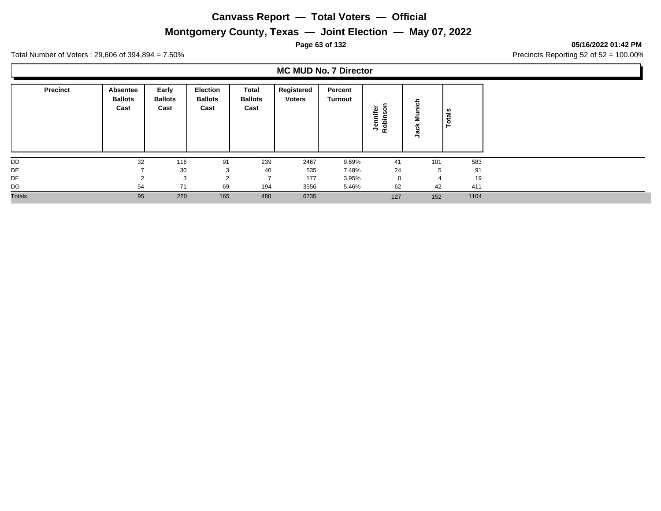# **Montgomery County, Texas — Joint Election — May 07, 2022**

#### **Page 63 of 132 05/16/2022 01:42 PM**

Total Number of Voters : 29,606 of 394,894 = 7.50% Precincts Reporting 52 of 52 = 100.00%

## **MC MUD No. 7 Director**

| <b>Precinct</b> | Absentee<br><b>Ballots</b><br>Cast | Early<br><b>Ballots</b><br>Cast | <b>Election</b><br><b>Ballots</b><br>Cast | Total<br><b>Ballots</b><br>Cast | Registered<br><b>Voters</b> | Percent<br>Turnout | ă<br>৯<br>Ũ)<br>⊭<br>÷<br>Rot<br>٩ | $\frac{1}{2}$<br>5<br>×<br>gal | otals<br>- |
|-----------------|------------------------------------|---------------------------------|-------------------------------------------|---------------------------------|-----------------------------|--------------------|------------------------------------|--------------------------------|------------|
| DD              | 32                                 | 116                             | 91                                        | 239                             | 2467                        | 9.69%              | 41                                 | 101                            | 583        |
| DE              |                                    | 30                              | 3                                         | 40                              | 535                         | 7.48%              | 24                                 | 5                              | 91         |
| DF              | $\sim$                             | 3                               | $\Omega$                                  | $\overline{ }$                  | 177                         | 3.95%              | $\mathbf{0}$                       | 4                              | 19         |
| DG              | 54                                 | 71                              | 69                                        | 194                             | 3556                        | 5.46%              | 62                                 | 42                             | 411        |
| <b>Totals</b>   | 95                                 | 220                             | 165                                       | 480                             | 6735                        |                    | 127                                | 152                            | 1104       |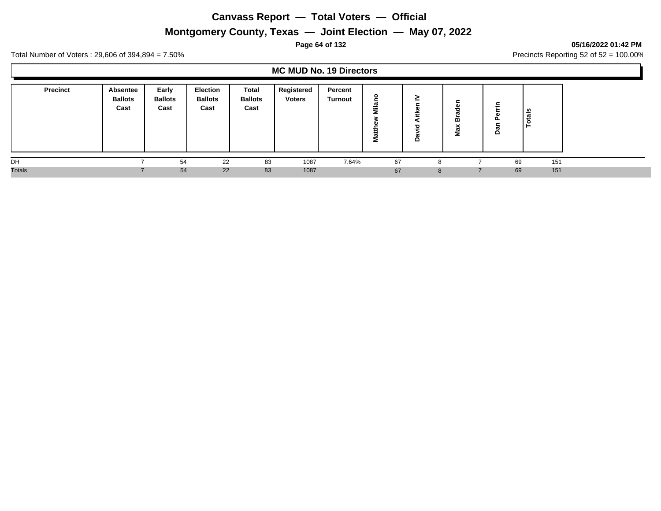# **Montgomery County, Texas — Joint Election — May 07, 2022**

#### **Page 64 of 132 05/16/2022 01:42 PM**

Total Number of Voters : 29,606 of 394,894 = 7.50% Precincts Reporting 52 of 52 = 100.00%

#### **MC MUD No. 19 Directors**

| <b>Precinct</b> | <b>Absentee</b><br><b>Ballots</b><br>Cast | Early<br><b>Ballots</b><br>Cast | <b>Election</b><br><b>Ballots</b><br>Cast | <b>Total</b><br><b>Ballots</b><br>Cast | Registered<br><b>Voters</b> | Percent<br><b>Turnout</b> |    | ><br><u>-</u><br>73<br>≏ | m | <br>− | ័ត<br>ਰ |     |
|-----------------|-------------------------------------------|---------------------------------|-------------------------------------------|----------------------------------------|-----------------------------|---------------------------|----|--------------------------|---|-------|---------|-----|
| DH              |                                           | 54                              | 22                                        | 83                                     | 1087                        | 7.64%                     | 67 | 8                        |   |       | 69      | 151 |
| <b>Totals</b>   |                                           | 54                              | 22                                        | 83                                     | 1087                        |                           | 67 | 8                        |   |       | 69      | 151 |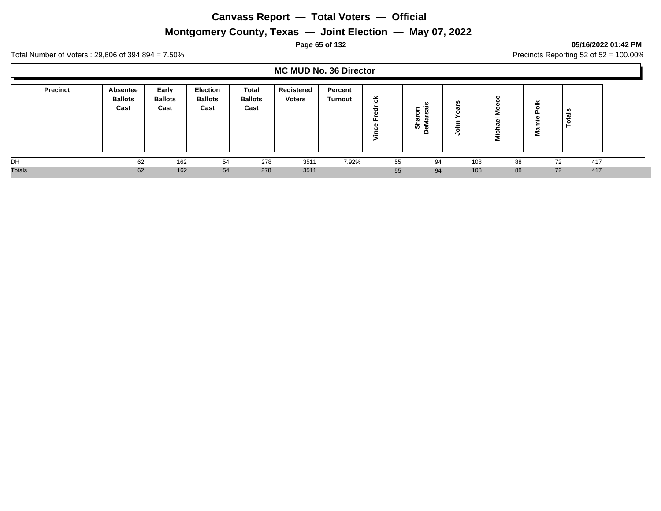# **Montgomery County, Texas — Joint Election — May 07, 2022**

#### **Page 65 of 132 05/16/2022 01:42 PM**

Total Number of Voters : 29,606 of 394,894 = 7.50% Precincts Reporting 52 of 52 = 100.00%

#### **MC MUD No. 36 Director**

| <b>Precinct</b> | Absentee<br><b>Ballots</b><br>Cast | Early<br><b>Ballots</b><br>Cast | <b>Election</b><br><b>Ballots</b><br>Cast | <b>Total</b><br><b>Ballots</b><br>Cast | Registered<br><b>Voters</b> | Percent<br>Turnout | ≚<br>ల<br><br>≖<br>$\overline{\phantom{0}}$ | <b>SC</b><br>∼<br>ο<br>त्व<br>π<br><b>_</b><br>S |     | л.<br>$^{\prime}$<br>- | -<br>ட<br>œ<br>Σ | ÷<br>تعاد |
|-----------------|------------------------------------|---------------------------------|-------------------------------------------|----------------------------------------|-----------------------------|--------------------|---------------------------------------------|--------------------------------------------------|-----|------------------------|------------------|-----------|
| DH              | 62                                 | 162                             | 54                                        | 278                                    | 3511                        | 7.92%              | 55                                          | 94                                               | 108 | 88                     | 72               | 417       |
| <b>Totals</b>   | 62                                 | 162                             | 54                                        | 278                                    | 3511                        |                    | 55                                          | 94                                               | 108 | 88                     | 72               | 417       |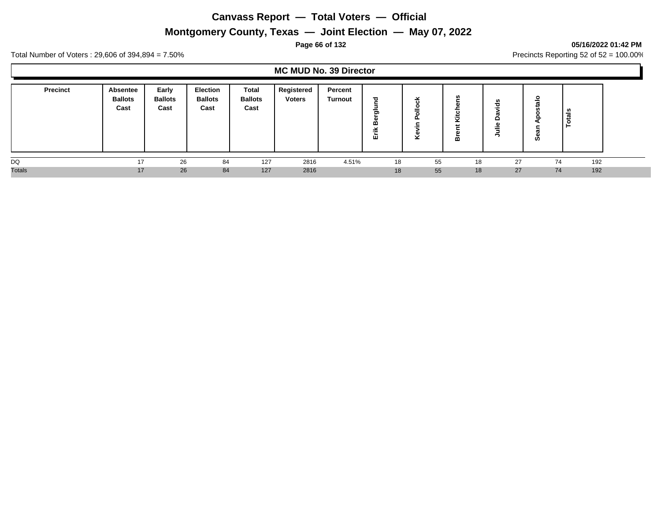# **Montgomery County, Texas — Joint Election — May 07, 2022**

#### **Page 66 of 132 05/16/2022 01:42 PM**

Total Number of Voters : 29,606 of 394,894 = 7.50% Precincts Reporting 52 of 52 = 100.00%

#### **MC MUD No. 39 Director**

| <b>Precinct</b> | Absentee<br><b>Ballots</b><br>Cast | Early<br><b>Ballots</b><br>Cast | <b>Election</b><br><b>Ballots</b><br>Cast | <b>Total</b><br><b>Ballots</b><br>Cast | Registered<br><b>Voters</b> | Percent<br>Turnout | $\overline{\mathbf{c}}$<br>-<br>ත<br>œ<br>x.<br>$-$<br>ш | ⊻<br>ల<br>o<br>o<br>௨<br>$\sim$<br>о.<br>× | <b>SC</b><br>≃ | u<br>-- | ທ  | ≂<br>تعاد<br>$\circ$ |  |
|-----------------|------------------------------------|---------------------------------|-------------------------------------------|----------------------------------------|-----------------------------|--------------------|----------------------------------------------------------|--------------------------------------------|----------------|---------|----|----------------------|--|
| DQ              | 17                                 | 26                              | 84                                        | 127                                    | 2816                        | 4.51%              | 18                                                       | 55                                         | 18             | 27      | 74 | 192                  |  |
| <b>Totals</b>   | 17                                 | 26                              | 84                                        | 127                                    | 2816                        |                    | 18                                                       | 55                                         | 18             | 27      | 74 | 192                  |  |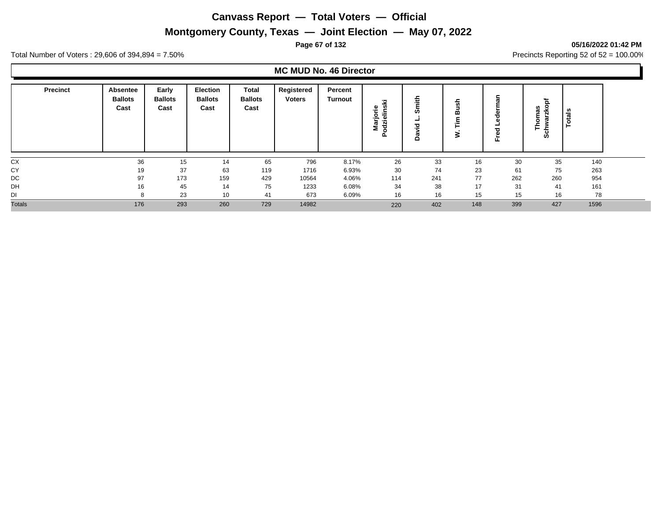# **Montgomery County, Texas — Joint Election — May 07, 2022**

#### **Page 67 of 132 05/16/2022 01:42 PM**

Total Number of Voters : 29,606 of 394,894 = 7.50% Precincts Reporting 52 of 52 = 100.00%

## **MC MUD No. 46 Director**

| <b>Precinct</b> | Absentee<br><b>Ballots</b><br>Cast | Early<br><b>Ballots</b><br>Cast | <b>Election</b><br><b>Ballots</b><br>Cast | <b>Total</b><br><b>Ballots</b><br>Cast | Registered<br><b>Voters</b> | Percent<br><b>Turnout</b> | 室<br>dzielins<br>≅.<br>٥<br>ត | mith<br>ဖာ<br>공<br>ದ<br>$\circ$ | ≃<br>$\overline{\phantom{a}}$<br>- | ω<br>ъ | $\Omega$<br>≂<br>⊢<br>Ø. | ្លឺ<br>ت<br>Ö |  |
|-----------------|------------------------------------|---------------------------------|-------------------------------------------|----------------------------------------|-----------------------------|---------------------------|-------------------------------|---------------------------------|------------------------------------|--------|--------------------------|---------------|--|
| CX              | 36                                 | 15                              | 14                                        | 65                                     | 796                         | 8.17%                     | 26                            | 33                              | 16                                 | 30     | 35                       | 140           |  |
| CY              | 19                                 | 37                              | 63                                        | 119                                    | 1716                        | 6.93%                     | 30                            | 74                              | 23                                 | 61     | 75                       | 263           |  |
| DC              | 97                                 | 173                             | 159                                       | 429                                    | 10564                       | 4.06%                     | 114                           | 241                             | 77                                 | 262    | 260                      | 954           |  |
| DH              | 16                                 | 45                              | 14                                        | 75                                     | 1233                        | 6.08%                     | 34                            | 38                              | 17                                 | 31     | 41                       | 161           |  |
| DI              |                                    | 23                              | 10                                        | 41                                     | 673                         | 6.09%                     | 16                            | 16                              | 15                                 | 15     | 16                       | 78            |  |
| <b>Totals</b>   | 176                                | 293                             | 260                                       | 729                                    | 14982                       |                           | 220                           | 402                             | 148                                | 399    | 427                      | 1596          |  |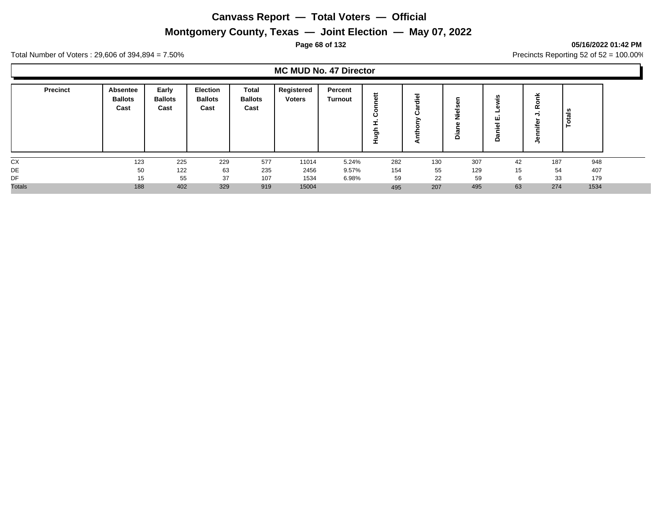# **Montgomery County, Texas — Joint Election — May 07, 2022**

#### **Page 68 of 132 05/16/2022 01:42 PM**

Total Number of Voters : 29,606 of 394,894 = 7.50% Precincts Reporting 52 of 52 = 100.00%

## **MC MUD No. 47 Director**

| <b>Precinct</b> | Absentee<br><b>Ballots</b><br>Cast | Early<br><b>Ballots</b><br>Cast | Election<br><b>Ballots</b><br>Cast | Total<br><b>Ballots</b><br>Cast | Registered<br><b>Voters</b> | Percent<br><b>Turnout</b> | n.<br>৯ | $\overline{\phantom{0}}$<br>$\frac{1}{10}$<br>œ<br>ن<br>∽<br>÷<br>◄ | <br>≏ | ш<br>70<br>≏ | ≃   | ≂<br>- |
|-----------------|------------------------------------|---------------------------------|------------------------------------|---------------------------------|-----------------------------|---------------------------|---------|---------------------------------------------------------------------|-------|--------------|-----|--------|
| CX              | 123                                | 225                             | 229                                | 577                             | 11014                       | 5.24%                     | 282     | 130                                                                 | 307   | 42           | 187 | 948    |
| DE              | 50                                 | 122                             | 63                                 | 235                             | 2456                        | 9.57%                     | 154     | 55                                                                  | 129   | 15           | 54  | 407    |
| DF              | 15                                 | 55                              | 37                                 | 107                             | 1534                        | 6.98%                     | 59      | 22                                                                  | 59    | 6            | 33  | 179    |
| <b>Totals</b>   | 188                                | 402                             | 329                                | 919                             | 15004                       |                           | 495     | 207                                                                 | 495   | 63           | 274 | 1534   |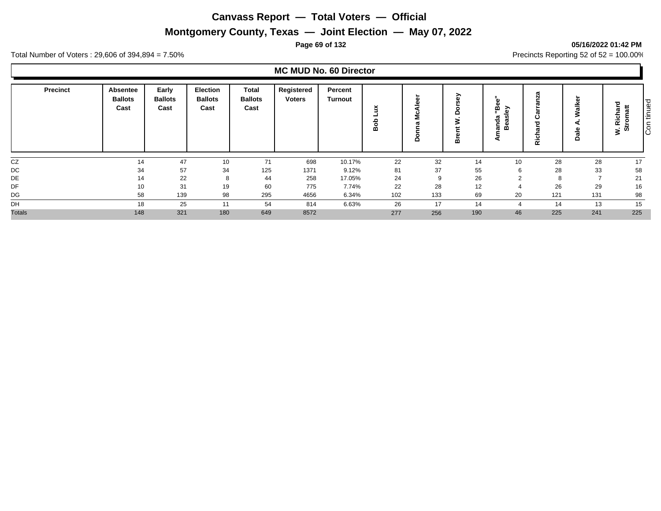# **Montgomery County, Texas — Joint Election — May 07, 2022**

#### **Page 69 of 132 05/16/2022 01:42 PM**

Total Number of Voters : 29,606 of 394,894 = 7.50% Precincts Reporting 52 of 52 = 100.00%

# **MC MUD No. 60 Director**

| <b>Precinct</b> | Absentee<br><b>Ballots</b><br>Cast | Early<br><b>Ballots</b><br>Cast | <b>Election</b><br><b>Ballots</b><br>Cast | Total<br><b>Ballots</b><br>Cast | Registered<br><b>Voters</b> | Percent<br><b>Turnout</b> | ж.<br>⋒ | ω<br>ω<br>ပ<br>Ξ<br>ᢐ<br>o | ∽<br>≏<br>3<br>⋒ | G)<br>Φ<br>m<br>ි<br>m<br>용<br>ã<br>മ<br>◢ | $\sim$<br>$\propto$ | ω<br>≚<br>_ల | ᇹ<br>tromatt<br>Richar<br>ທ<br>3. | ాం<br>tinue<br>$\subset$<br>lē |
|-----------------|------------------------------------|---------------------------------|-------------------------------------------|---------------------------------|-----------------------------|---------------------------|---------|----------------------------|------------------|--------------------------------------------|---------------------|--------------|-----------------------------------|--------------------------------|
| CZ              | 14                                 | 47                              | 10                                        | 71                              | 698                         | 10.17%                    | 22      | 32                         | 14               | 10                                         | 28                  | 28           | 17                                |                                |
| DC              | 34                                 | 57                              | 34                                        | 125                             | 1371                        | 9.12%                     | 81      | 37                         | 55               |                                            | 28                  | 33           | 58                                |                                |
| DE              | 14                                 | 22                              | 8                                         | 44                              | 258                         | 17.05%                    | 24      | 9                          | 26               |                                            | 8                   | ь,           | 21                                |                                |
| DF              | 10                                 | 31                              | 19                                        | 60                              | 775                         | 7.74%                     | 22      | 28                         | 12               |                                            | 26                  | 29           | 16                                |                                |
| DG              | 58                                 | 139                             | 98                                        | 295                             | 4656                        | 6.34%                     | 102     | 133                        | 69               | 20                                         | 121                 | 131          | 98                                |                                |
| DH              | 18                                 | 25                              | 11                                        | 54                              | 814                         | 6.63%                     | 26      | 17                         | 14               |                                            | 14                  | 13           | 15                                |                                |
| <b>Totals</b>   | 148                                | 321                             | 180                                       | 649                             | 8572                        |                           | 277     | 256                        | 190              | 46                                         | 225                 | 241          | 225                               |                                |

Con tinued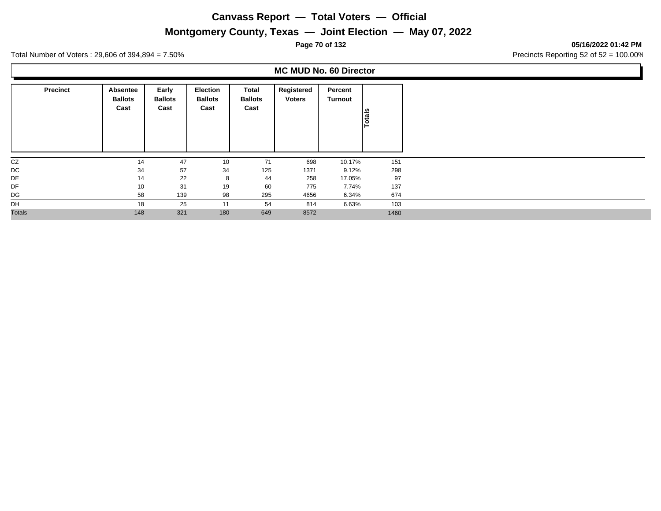## **Montgomery County, Texas — Joint Election — May 07, 2022**

**Page 70 of 132 05/16/2022 01:42 PM**

Total Number of Voters : 29,606 of 394,894 = 7.50% Precincts Reporting 52 of 52 = 100.00%

## **MC MUD No. 60 Director**

| <b>Precinct</b> | Absentee<br><b>Ballots</b><br>Cast | Early<br><b>Ballots</b><br>Cast | <b>Election</b><br><b>Ballots</b><br>Cast | Total<br><b>Ballots</b><br>Cast | Registered<br><b>Voters</b> | Percent<br>Turnout | Totals |
|-----------------|------------------------------------|---------------------------------|-------------------------------------------|---------------------------------|-----------------------------|--------------------|--------|
| CZ              | 14                                 | 47                              | 10                                        | 71                              | 698                         | 10.17%             | 151    |
| DC              | 34                                 | 57                              | 34                                        | 125                             | 1371                        | 9.12%              | 298    |
| DE              | 14                                 | 22                              | 8                                         | 44                              | 258                         | 17.05%             | 97     |
| DF              | 10                                 | 31                              | 19                                        | 60                              | 775                         | 7.74%              | 137    |
| DG              | 58                                 | 139                             | 98                                        | 295                             | 4656                        | 6.34%              | 674    |
| DH              | 18                                 | 25                              | 11                                        | 54                              | 814                         | 6.63%              | 103    |
| <b>Totals</b>   | 148                                | 321                             | 180                                       | 649                             | 8572                        |                    | 1460   |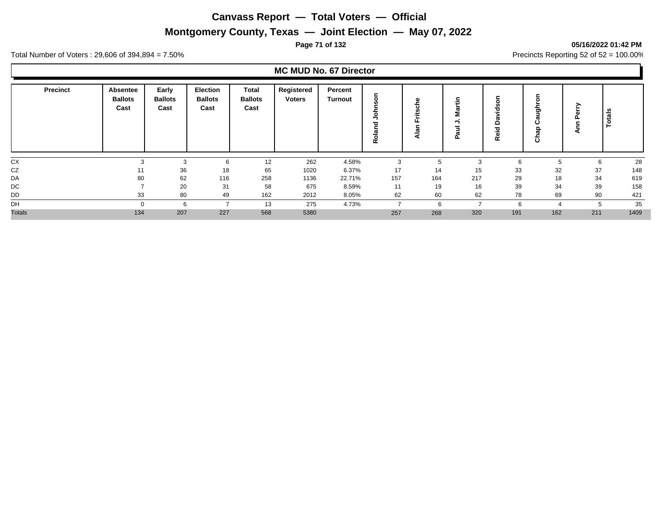# **Montgomery County, Texas — Joint Election — May 07, 2022**

#### **Page 71 of 132 05/16/2022 01:42 PM**

Total Number of Voters : 29,606 of 394,894 = 7.50% Precincts Reporting 52 of 52 = 100.00%

#### **MC MUD No. 67 Director**

|               | <b>Precinct</b> | Absentee<br><b>Ballots</b><br>Cast | Early<br><b>Ballots</b><br>Cast | <b>Election</b><br><b>Ballots</b><br>Cast | Total<br><b>Ballots</b><br>Cast | Registered<br><b>Voters</b> | Percent<br>Turnout | C<br>œ       | ω<br>ပ<br><b>SC</b><br>سه<br>-<br>$\overline{\phantom{a}}$<br>ட<br>⋍<br>$\overline{a}$ | ÷<br>s<br>$\Rightarrow$<br>Δ | င္တ<br>š<br>ω<br>۵<br>Reid | ත<br>ō | ,   | Totals |
|---------------|-----------------|------------------------------------|---------------------------------|-------------------------------------------|---------------------------------|-----------------------------|--------------------|--------------|----------------------------------------------------------------------------------------|------------------------------|----------------------------|--------|-----|--------|
| CX            |                 |                                    | $\sqrt{2}$<br>دت                | 6                                         | 12                              | 262                         | 4.58%              | $\sim$<br>J. |                                                                                        | -3                           |                            |        | 6   | 28     |
| CZ            |                 | 11                                 | 36                              | 18                                        | 65                              | 1020                        | 6.37%              | 17           | 14                                                                                     | 15                           | 33                         | 32     | 37  | 148    |
| DA            |                 | 80                                 | 62                              | 116                                       | 258                             | 1136                        | 22.71%             | 157          | 164                                                                                    | 217                          | 29                         | 18     | 34  | 619    |
| DC            |                 |                                    | 20                              | 31                                        | 58                              | 675                         | 8.59%              | 11           | 19                                                                                     | 16                           | 39                         | 34     | 39  | 158    |
| DD            |                 | 33                                 | 80                              | 49                                        | 162                             | 2012                        | 8.05%              | 62           | 60                                                                                     | 62                           | 78                         | 69     | 90  | 421    |
| DH            |                 | $\Omega$                           | 6                               |                                           | 13                              | 275                         | 4.73%              |              | 6                                                                                      |                              |                            |        | 5   | 35     |
| <b>Totals</b> |                 | 134                                | 207                             | 227                                       | 568                             | 5380                        |                    | 257          | 268                                                                                    | 320                          | 191                        | 162    | 211 | 1409   |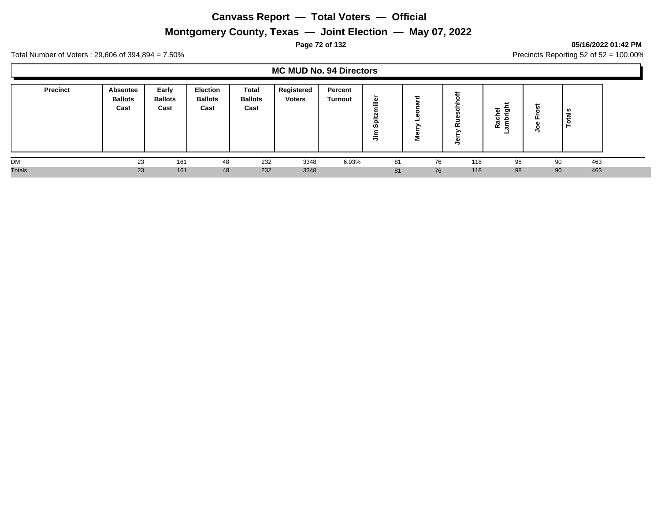# **Montgomery County, Texas — Joint Election — May 07, 2022**

#### **Page 72 of 132 05/16/2022 01:42 PM**

Total Number of Voters : 29,606 of 394,894 = 7.50% Precincts Reporting 52 of 52 = 100.00%

#### **MC MUD No. 94 Directors**

| <b>Precinct</b> | <b>Absentee</b><br><b>Ballots</b><br>Cast | Early<br><b>Ballots</b><br>Cast | <b>Election</b><br><b>Ballots</b><br>Cast | <b>Total</b><br><b>Ballots</b><br>Cast | Registered<br><b>Voters</b> | Percent<br>Turnout | ►<br>G)<br>-<br>-<br>o<br>ဖာ | Ѣ<br>π<br>-<br>C.<br>Σ | $\alpha$ | مند<br>ᇙ<br>ದಾ<br>$\mathbf{c}$<br>50<br>≃ | щ  | -<br>- |  |
|-----------------|-------------------------------------------|---------------------------------|-------------------------------------------|----------------------------------------|-----------------------------|--------------------|------------------------------|------------------------|----------|-------------------------------------------|----|--------|--|
| <b>DM</b>       | 23                                        | 161                             | 48                                        | 232                                    | 3348                        | 6.93%              | 81                           | 76                     | 118      | 98                                        | 90 | 463    |  |
| <b>Totals</b>   | 23                                        | 161                             | 48                                        | 232                                    | 3348                        |                    | 81                           | 76                     | 118      | 98                                        | 90 | 463    |  |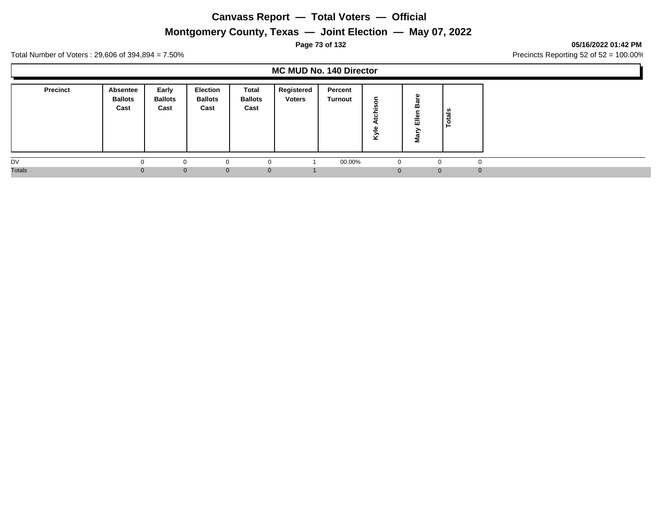# **Montgomery County, Texas — Joint Election — May 07, 2022**

## **Page 73 of 132 05/16/2022 01:42 PM**

Total Number of Voters : 29,606 of 394,894 = 7.50% Precincts Reporting 52 of 52 = 100.00%

## **MC MUD No. 140 Director**

| <b>Precinct</b> | Absentee<br><b>Ballots</b><br>Cast | Early<br><b>Ballots</b><br>Cast | <b>Election</b><br><b>Ballots</b><br>Cast | Total<br><b>Ballots</b><br>Cast | Registered<br><b>Voters</b> | Percent<br>Turnout | ⊻            | ш<br>=<br>ш<br>Σ | als<br>ت<br>O  |
|-----------------|------------------------------------|---------------------------------|-------------------------------------------|---------------------------------|-----------------------------|--------------------|--------------|------------------|----------------|
| DV              |                                    |                                 | 0                                         | 0                               |                             | 00.00%             | $\mathbf{0}$ |                  | $\Omega$       |
| <b>Totals</b>   | $\Omega$                           | $\overline{0}$                  | $\mathbf{0}$                              | $\mathbf 0$                     |                             |                    | U            | $\Omega$         | $\overline{0}$ |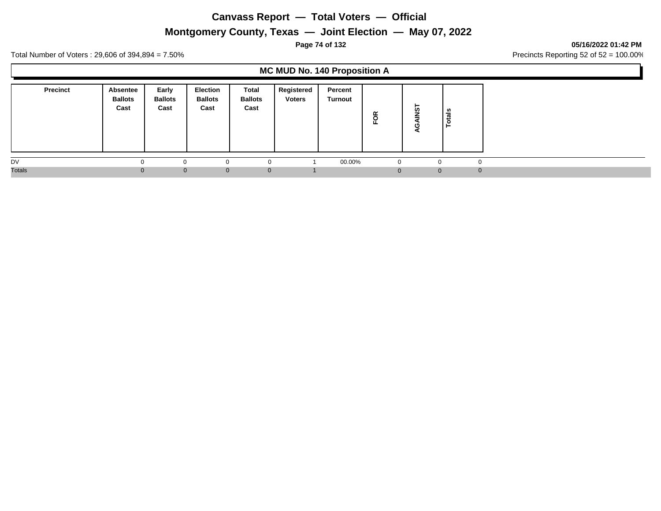# **Montgomery County, Texas — Joint Election — May 07, 2022**

### **Page 74 of 132 05/16/2022 01:42 PM**

Total Number of Voters : 29,606 of 394,894 = 7.50% Precincts Reporting 52 of 52 = 100.00%

# **MC MUD No. 140 Proposition A**

| <b>Precinct</b> | <b>Absentee</b><br><b>Ballots</b><br>Cast | Early<br><b>Ballots</b><br>Cast | <b>Election</b><br><b>Ballots</b><br>Cast | Total<br><b>Ballots</b><br>Cast | Registered<br><b>Voters</b> | Percent<br><b>Turnout</b> | FOR      | ⊢<br>Ò٥      | tais<br>c<br>- |          |
|-----------------|-------------------------------------------|---------------------------------|-------------------------------------------|---------------------------------|-----------------------------|---------------------------|----------|--------------|----------------|----------|
| DV              |                                           | $\Omega$                        |                                           | U                               |                             | 00.00%                    | $\Omega$ | $\sim$       |                | $\Omega$ |
| <b>Totals</b>   | 0                                         | $\Omega$                        | $\Omega$                                  | $\mathbf{0}$                    |                             |                           | $\Omega$ | $\mathbf{0}$ |                | $\Omega$ |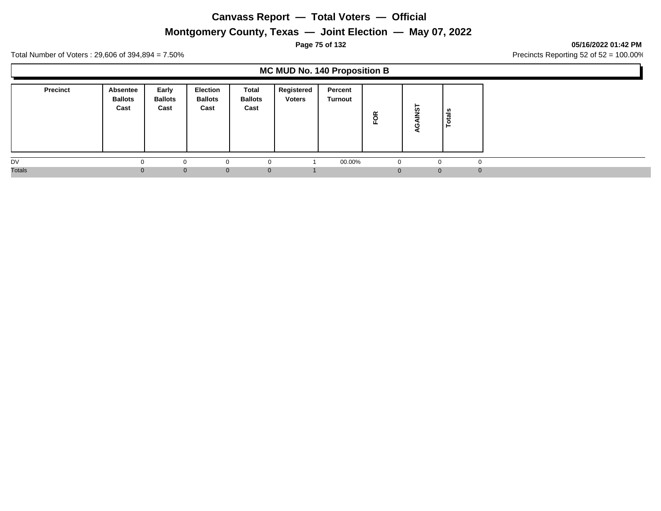# **Montgomery County, Texas — Joint Election — May 07, 2022**

### **Page 75 of 132 05/16/2022 01:42 PM**

Total Number of Voters : 29,606 of 394,894 = 7.50% Precincts Reporting 52 of 52 = 100.00%

## **MC MUD No. 140 Proposition B**

| <b>Precinct</b> | <b>Absentee</b><br><b>Ballots</b><br>Cast | Early<br><b>Ballots</b><br>Cast | <b>Election</b><br><b>Ballots</b><br>Cast | Total<br><b>Ballots</b><br>Cast | Registered<br><b>Voters</b> | Percent<br><b>Turnout</b> | FOR      | ⊢<br>Ò٥      | tais<br>c<br>- |          |
|-----------------|-------------------------------------------|---------------------------------|-------------------------------------------|---------------------------------|-----------------------------|---------------------------|----------|--------------|----------------|----------|
| DV              |                                           | $\Omega$                        |                                           | U                               |                             | 00.00%                    | $\Omega$ | $\sim$       |                | $\Omega$ |
| <b>Totals</b>   | 0                                         | $\Omega$                        | $\Omega$                                  | $\mathbf{0}$                    |                             |                           | $\Omega$ | $\mathbf{0}$ |                | $\Omega$ |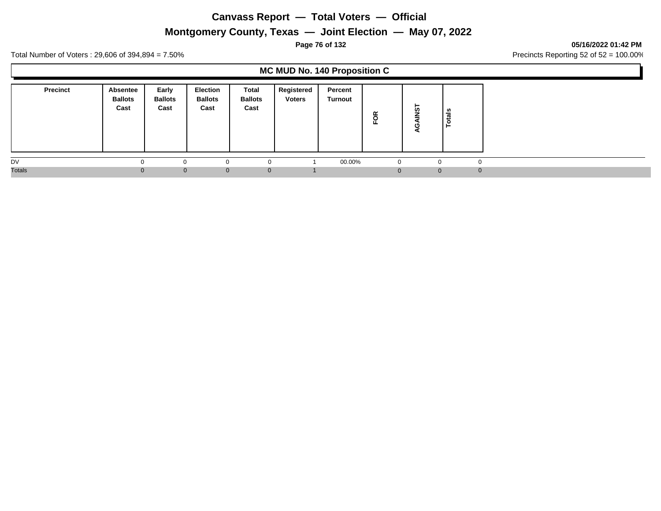# **Montgomery County, Texas — Joint Election — May 07, 2022**

### **Page 76 of 132 05/16/2022 01:42 PM**

Total Number of Voters : 29,606 of 394,894 = 7.50% Precincts Reporting 52 of 52 = 100.00%

## **MC MUD No. 140 Proposition C**

| <b>Precinct</b> | Absentee<br><b>Ballots</b><br>Cast | Early<br><b>Ballots</b><br>Cast | <b>Election</b><br><b>Ballots</b><br>Cast | Total<br><b>Ballots</b><br>Cast | Registered<br><b>Voters</b> | Percent<br>Turnout | FOR | ►<br>ທ   | នឹ<br>تت |
|-----------------|------------------------------------|---------------------------------|-------------------------------------------|---------------------------------|-----------------------------|--------------------|-----|----------|----------|
| DV              |                                    | $\Omega$                        | $\Omega$                                  |                                 |                             | 00.00%             |     |          | $\Omega$ |
| <b>Totals</b>   | $\Omega$                           | $\Omega$                        | $\mathbf{0}$                              | $\mathbf{0}$                    |                             |                    |     | $\Omega$ | $\Omega$ |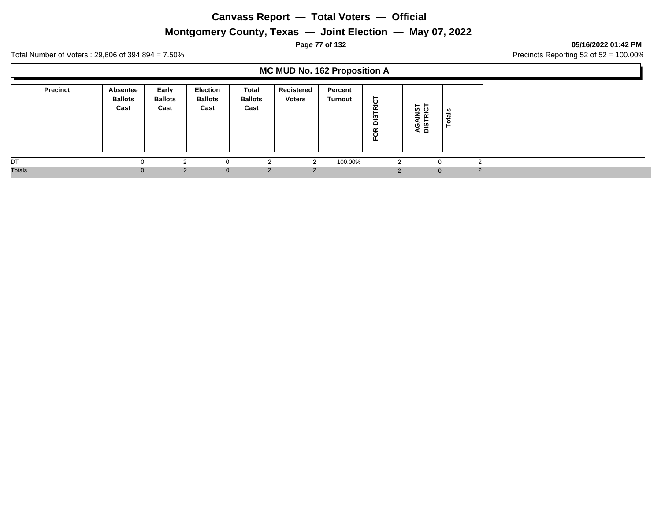# **Montgomery County, Texas — Joint Election — May 07, 2022**

## **Page 77 of 132 05/16/2022 01:42 PM**

Total Number of Voters : 29,606 of 394,894 = 7.50% Precincts Reporting 52 of 52 = 100.00%

## **MC MUD No. 162 Proposition A**

| <b>Precinct</b> | Absentee<br><b>Ballots</b><br>Cast | Early<br><b>Ballots</b><br>Cast | <b>Election</b><br><b>Ballots</b><br>Cast | Total<br><b>Ballots</b><br>Cast | Registered<br><b>Voters</b> | Percent<br><b>Turnout</b> | 읉<br>Sig<br>$\propto$<br>5 | <b>IST</b><br>RICT<br>≘<br><b>Q</b><br>DIS | ဖာ<br>ಕ<br>-<br>- |
|-----------------|------------------------------------|---------------------------------|-------------------------------------------|---------------------------------|-----------------------------|---------------------------|----------------------------|--------------------------------------------|-------------------|
| DT              |                                    | $\sim$                          | $\Omega$                                  | L                               |                             | 100.00%                   | ◠                          | $\Omega$                                   | c                 |
| <b>Totals</b>   |                                    | 2                               | $\mathbf{0}$                              | $\overline{2}$                  |                             |                           | $\sim$                     | $\mathbf{0}$                               |                   |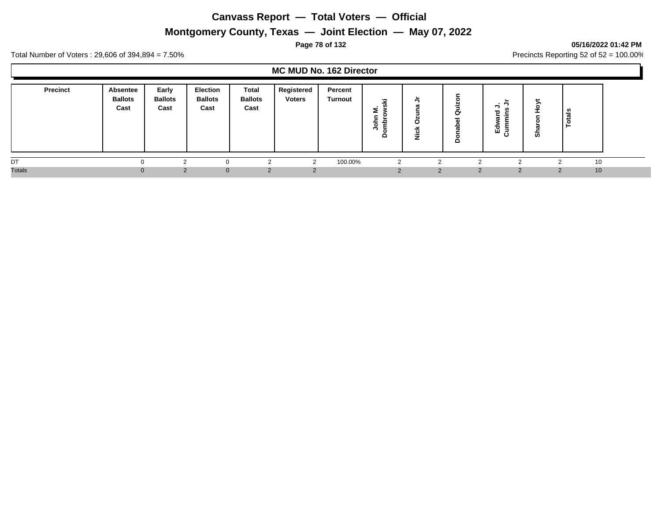# **Montgomery County, Texas — Joint Election — May 07, 2022**

## **Page 78 of 132 05/16/2022 01:42 PM**

Total Number of Voters : 29,606 of 394,894 = 7.50% Precincts Reporting 52 of 52 = 100.00%

## **MC MUD No. 162 Director**

| <b>Precinct</b> | Absentee<br><b>Ballots</b><br>Cast | Early<br><b>Ballots</b><br>Cast | <b>Election</b><br><b>Ballots</b><br>Cast | <b>Total</b><br><b>Ballots</b><br>Cast | Registered<br><b>Voters</b> | Percent<br>Turnout | 17<br>►<br>-<br>۰<br>- | -<br>œ<br>공<br>ž | ≏ | ъ<br>ᄒ<br>ய<br>∍<br>Ω | ຶ        | ਨ<br>تعاد |  |
|-----------------|------------------------------------|---------------------------------|-------------------------------------------|----------------------------------------|-----------------------------|--------------------|------------------------|------------------|---|-----------------------|----------|-----------|--|
| DT              |                                    |                                 | 0                                         |                                        | $\sim$                      | 100.00%            |                        |                  |   |                       |          | 10        |  |
| <b>Totals</b>   | $\Omega$                           | 2                               | $\Omega$                                  |                                        |                             |                    |                        |                  | 2 | 2                     | $\Omega$ | 10        |  |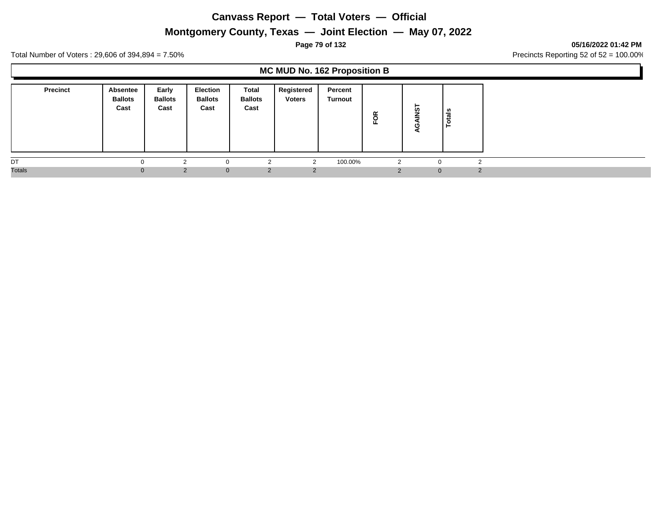# **Montgomery County, Texas — Joint Election — May 07, 2022**

## **Page 79 of 132 05/16/2022 01:42 PM**

Total Number of Voters : 29,606 of 394,894 = 7.50% Precincts Reporting 52 of 52 = 100.00%

## **MC MUD No. 162 Proposition B**

| <b>Precinct</b> | Absentee<br><b>Ballots</b><br>Cast | Early<br><b>Ballots</b><br>Cast | <b>Election</b><br><b>Ballots</b><br>Cast | Total<br><b>Ballots</b><br>Cast | Registered<br><b>Voters</b> | Percent<br>Turnout | FOR | -<br>ທ         | នឹ<br>تت      |
|-----------------|------------------------------------|---------------------------------|-------------------------------------------|---------------------------------|-----------------------------|--------------------|-----|----------------|---------------|
| DT              |                                    | ⌒                               | $\Omega$                                  | $\sqrt{2}$                      | $\sim$                      | 100.00%            |     |                | $\sqrt{2}$    |
| <b>Totals</b>   | $\Omega$                           | $\mathcal{P}$                   | $\Omega$                                  | 2                               | $\mathcal{P}$               |                    |     | $\overline{0}$ | $\mathcal{P}$ |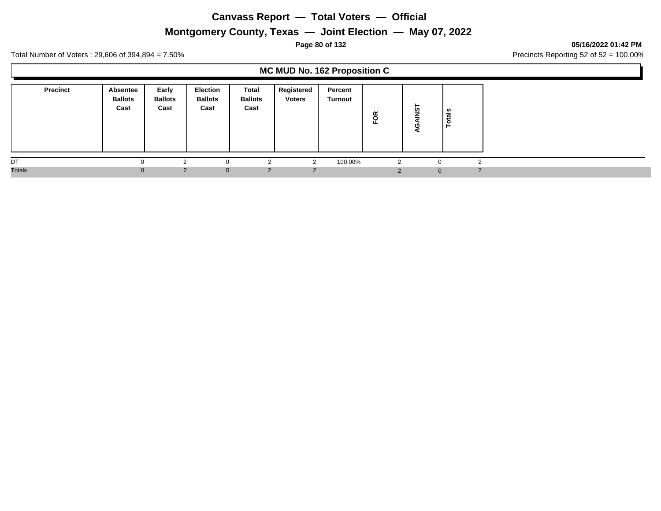# **Montgomery County, Texas — Joint Election — May 07, 2022**

## **Page 80 of 132 05/16/2022 01:42 PM**

Total Number of Voters : 29,606 of 394,894 = 7.50% Precincts Reporting 52 of 52 = 100.00%

# **MC MUD No. 162 Proposition C**

| <b>Precinct</b> | Absentee<br><b>Ballots</b><br>Cast | Early<br><b>Ballots</b><br>Cast | <b>Election</b><br><b>Ballots</b><br>Cast | Total<br><b>Ballots</b><br>Cast | Registered<br><b>Voters</b> | Percent<br>Turnout | FOR | -<br>ທ         | នឹ<br>تت      |
|-----------------|------------------------------------|---------------------------------|-------------------------------------------|---------------------------------|-----------------------------|--------------------|-----|----------------|---------------|
| DT              |                                    | ⌒                               | $\Omega$                                  | $\sqrt{2}$                      | $\sim$                      | 100.00%            |     |                | $\sqrt{2}$    |
| <b>Totals</b>   | $\Omega$                           | $\mathcal{P}$                   | $\Omega$                                  | 2                               | $\mathcal{P}$               |                    |     | $\overline{0}$ | $\mathcal{P}$ |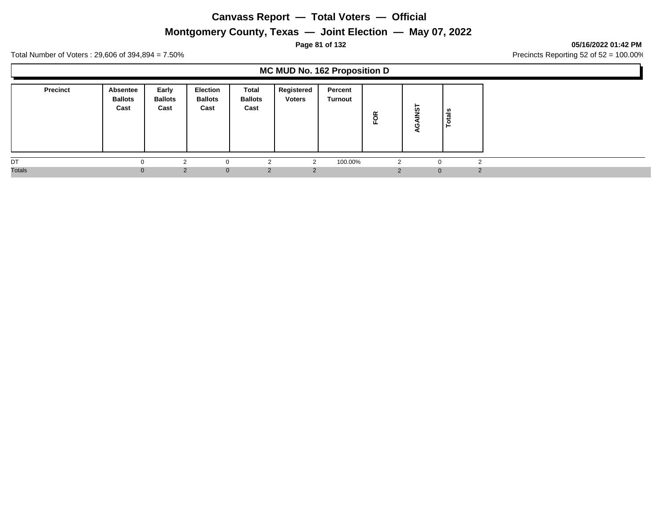# **Montgomery County, Texas — Joint Election — May 07, 2022**

## **Page 81 of 132 05/16/2022 01:42 PM**

Total Number of Voters : 29,606 of 394,894 = 7.50% Precincts Reporting 52 of 52 = 100.00%

## **MC MUD No. 162 Proposition D**

| <b>Precinct</b> | Absentee<br><b>Ballots</b><br>Cast | Early<br><b>Ballots</b><br>Cast | <b>Election</b><br><b>Ballots</b><br>Cast | Total<br><b>Ballots</b><br>Cast | Registered<br><b>Voters</b> | Percent<br>Turnout | FOR | -<br>ທ       | នឹ<br>تت      |
|-----------------|------------------------------------|---------------------------------|-------------------------------------------|---------------------------------|-----------------------------|--------------------|-----|--------------|---------------|
| DT              |                                    | ⌒                               | $\Omega$                                  | $\sqrt{2}$                      | $\sim$                      | 100.00%            |     |              | $\sqrt{2}$    |
| <b>Totals</b>   | $\Omega$                           | $\mathcal{P}$                   | $\Omega$                                  | $\overline{2}$                  | $\mathcal{P}$               |                    |     | $\mathbf{0}$ | $\mathcal{P}$ |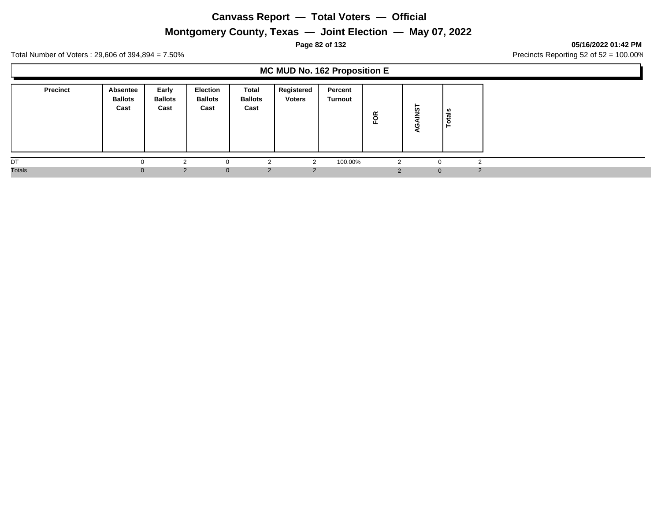# **Montgomery County, Texas — Joint Election — May 07, 2022**

## **Page 82 of 132 05/16/2022 01:42 PM**

Total Number of Voters : 29,606 of 394,894 = 7.50% Precincts Reporting 52 of 52 = 100.00%

## **MC MUD No. 162 Proposition E**

| <b>Precinct</b> | Absentee<br><b>Ballots</b><br>Cast | Early<br><b>Ballots</b><br>Cast | <b>Election</b><br><b>Ballots</b><br>Cast | Total<br><b>Ballots</b><br>Cast | Registered<br><b>Voters</b> | Percent<br>Turnout | ≃<br>$\circ$<br>ш. | ►<br>'n      | als<br>$\circ$<br>► |               |
|-----------------|------------------------------------|---------------------------------|-------------------------------------------|---------------------------------|-----------------------------|--------------------|--------------------|--------------|---------------------|---------------|
| DT              |                                    |                                 |                                           | $\Omega$                        | ◠                           | 100.00%            | 2                  | $\Omega$     |                     |               |
| <b>Totals</b>   | $\Omega$                           | $\mathcal{P}$                   | $\Omega$                                  | 2                               | $\mathcal{P}$               |                    | $\Omega$           | $\mathbf{0}$ |                     | $\mathcal{D}$ |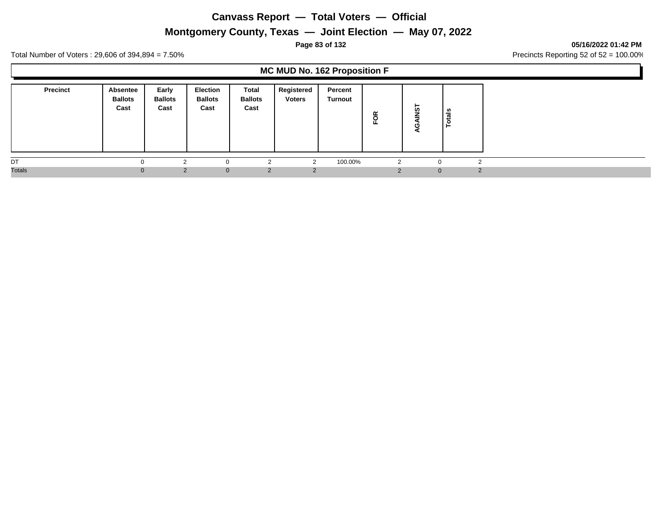# **Montgomery County, Texas — Joint Election — May 07, 2022**

## **Page 83 of 132 05/16/2022 01:42 PM**

Total Number of Voters : 29,606 of 394,894 = 7.50% Precincts Reporting 52 of 52 = 100.00%

## **MC MUD No. 162 Proposition F**

| <b>Precinct</b> | Absentee<br><b>Ballots</b><br>Cast | Early<br><b>Ballots</b><br>Cast | Election<br><b>Ballots</b><br>Cast | Total<br><b>Ballots</b><br>Cast | Registered<br><b>Voters</b> | Percent<br>Turnout | FOR | -<br>ທ       | នឹ<br>تت      |
|-----------------|------------------------------------|---------------------------------|------------------------------------|---------------------------------|-----------------------------|--------------------|-----|--------------|---------------|
| DT              |                                    | ⌒                               | $\Omega$                           | $\sqrt{2}$                      | $\sim$                      | 100.00%            |     |              | $\sqrt{2}$    |
| <b>Totals</b>   | $\Omega$                           | $\mathcal{P}$                   | $\Omega$                           | $\overline{2}$                  | $\mathcal{P}$               |                    |     | $\mathbf{0}$ | $\mathcal{P}$ |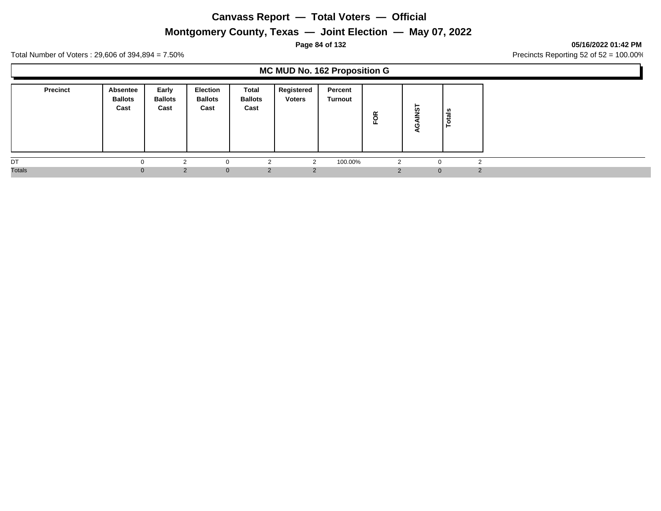## **Montgomery County, Texas — Joint Election — May 07, 2022**

## **Page 84 of 132 05/16/2022 01:42 PM**

Total Number of Voters : 29,606 of 394,894 = 7.50% Precincts Reporting 52 of 52 = 100.00%

## **MC MUD No. 162 Proposition G**

| <b>Precinct</b> | Absentee<br><b>Ballots</b><br>Cast | Early<br><b>Ballots</b><br>Cast | Election<br><b>Ballots</b><br>Cast | Total<br><b>Ballots</b><br>Cast | Registered<br><b>Voters</b> | Percent<br>Turnout | FOR | -<br>ທ         | als<br>تو<br>Ö |
|-----------------|------------------------------------|---------------------------------|------------------------------------|---------------------------------|-----------------------------|--------------------|-----|----------------|----------------|
| DT              |                                    |                                 |                                    | $\sqrt{2}$                      | $\sim$                      | 100.00%            |     |                | $\Omega$       |
| <b>Totals</b>   | $\Omega$                           | $\mathcal{P}$                   | $\Omega$                           | $\overline{2}$                  | $\mathcal{P}$               |                    |     | $\overline{0}$ | 2              |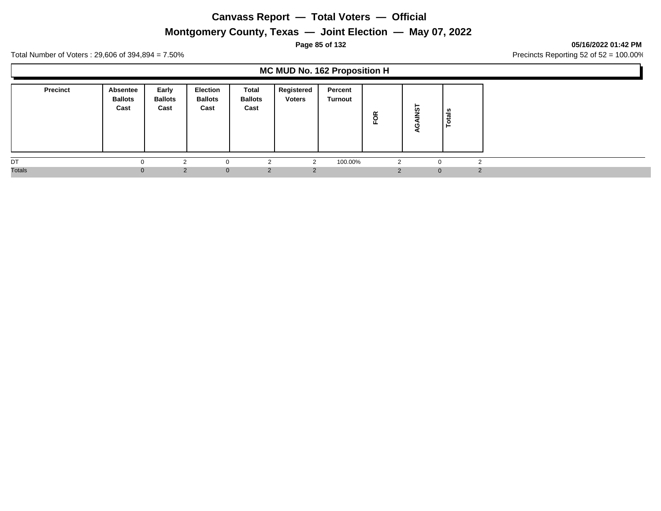# **Montgomery County, Texas — Joint Election — May 07, 2022**

## **Page 85 of 132 05/16/2022 01:42 PM**

Total Number of Voters : 29,606 of 394,894 = 7.50% Precincts Reporting 52 of 52 = 100.00%

## **MC MUD No. 162 Proposition H**

| <b>Precinct</b> | <b>Absentee</b><br><b>Ballots</b><br>Cast | Early<br><b>Ballots</b><br>Cast | <b>Election</b><br><b>Ballots</b><br>Cast | Total<br><b>Ballots</b><br>Cast | Registered<br><b>Voters</b> | Percent<br><b>Turnout</b> | FOR      | ►<br><b>in</b> | tais<br>c<br>- |   |
|-----------------|-------------------------------------------|---------------------------------|-------------------------------------------|---------------------------------|-----------------------------|---------------------------|----------|----------------|----------------|---|
| DT              |                                           | $\overline{ }$                  |                                           | $\sqrt{2}$                      | $\sim$                      | 100.00%                   | 2        | $\sim$         | $\Omega$       |   |
| <b>Totals</b>   | 0                                         | $\mathcal{P}$                   | $\Omega$                                  | 2                               | 2                           |                           | $\Omega$ | $\mathbf{0}$   |                | 2 |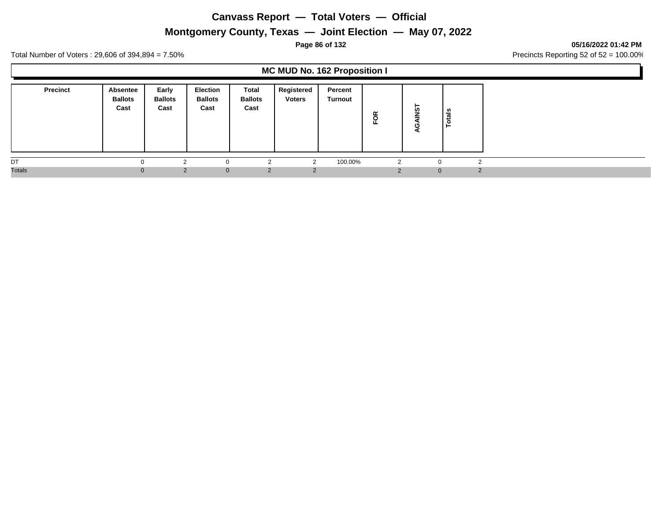# **Montgomery County, Texas — Joint Election — May 07, 2022**

## **Page 86 of 132 05/16/2022 01:42 PM**

Total Number of Voters : 29,606 of 394,894 = 7.50% Precincts Reporting 52 of 52 = 100.00%

## **MC MUD No. 162 Proposition I**

| <b>Precinct</b> | <b>Absentee</b><br><b>Ballots</b><br>Cast | Early<br><b>Ballots</b><br>Cast | <b>Election</b><br><b>Ballots</b><br>Cast | Total<br><b>Ballots</b><br>Cast | Registered<br><b>Voters</b> | Percent<br>Turnout | FOR | ⊢<br><b>in</b> | tais<br>c<br>- |
|-----------------|-------------------------------------------|---------------------------------|-------------------------------------------|---------------------------------|-----------------------------|--------------------|-----|----------------|----------------|
| DT              | <sup>0</sup>                              |                                 |                                           | $\sim$                          | ົ                           | 100.00%            | 2   |                | $\sqrt{2}$     |
| <b>Totals</b>   | $\Omega$                                  | 2                               | $\Omega$                                  | 2                               | 2                           |                    |     | $\mathbf{0}$   | $\mathcal{P}$  |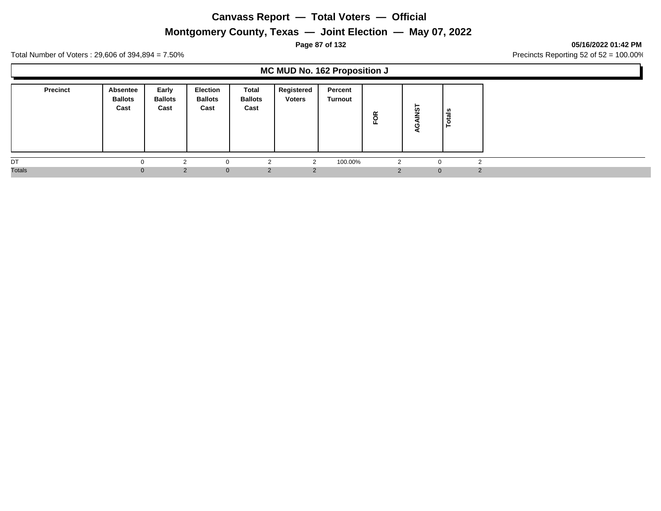# **Montgomery County, Texas — Joint Election — May 07, 2022**

## **Page 87 of 132 05/16/2022 01:42 PM**

Total Number of Voters : 29,606 of 394,894 = 7.50% Precincts Reporting 52 of 52 = 100.00%

## **MC MUD No. 162 Proposition J**

| Precinct      | Absentee<br><b>Ballots</b><br>Cast | Early<br><b>Ballots</b><br>Cast | Election<br><b>Ballots</b><br>Cast | <b>Total</b><br><b>Ballots</b><br>Cast | Registered<br><b>Voters</b> | Percent<br>Turnout | FOR | ⊢<br><b>in</b> | <u>ទី</u><br>-            |
|---------------|------------------------------------|---------------------------------|------------------------------------|----------------------------------------|-----------------------------|--------------------|-----|----------------|---------------------------|
| DT            |                                    | ⌒                               | $\Omega$                           | $\sim$                                 | $\sqrt{2}$                  | 100.00%            | 2   |                | $\sqrt{2}$                |
| <b>Totals</b> |                                    | $\mathcal{P}$<br>0.             | $\Omega$                           | 2                                      | $\mathcal{P}$               |                    |     |                | $\mathcal{P}$<br>$\Omega$ |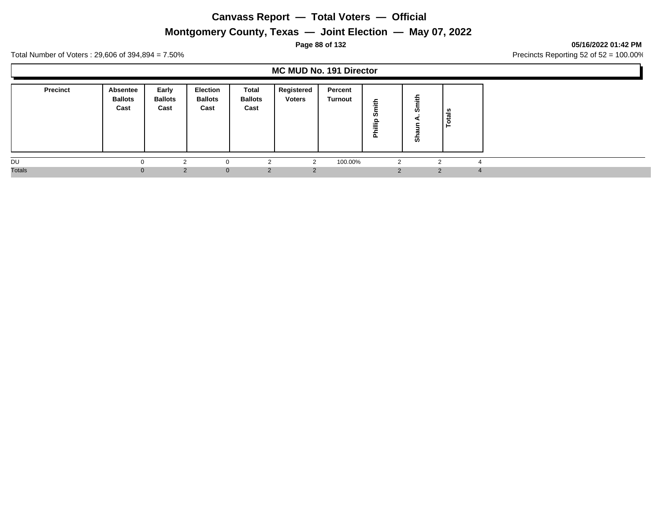# **Montgomery County, Texas — Joint Election — May 07, 2022**

## **Page 88 of 132 05/16/2022 01:42 PM**

Total Number of Voters : 29,606 of 394,894 = 7.50% Precincts Reporting 52 of 52 = 100.00%

## **MC MUD No. 191 Director**

| <b>Precinct</b> | Absentee<br><b>Ballots</b><br>Cast | Early<br><b>Ballots</b><br>Cast | <b>Election</b><br><b>Ballots</b><br>Cast | Total<br><b>Ballots</b><br>Cast | Registered<br><b>Voters</b> | Percent<br><b>Turnout</b> | 着<br>ທ<br>을<br>≔<br>ᄘ | -<br>ø<br>ø | w<br>ಕ<br>تسد            |
|-----------------|------------------------------------|---------------------------------|-------------------------------------------|---------------------------------|-----------------------------|---------------------------|-----------------------|-------------|--------------------------|
| DU              |                                    |                                 |                                           |                                 |                             | 100.00%                   |                       |             | $\overline{\phantom{a}}$ |
| <b>Totals</b>   | $\Omega$                           | $\epsilon$                      | $\mathbf{0}$                              | 2                               |                             |                           | $\Omega$              | 2           | $\overline{4}$           |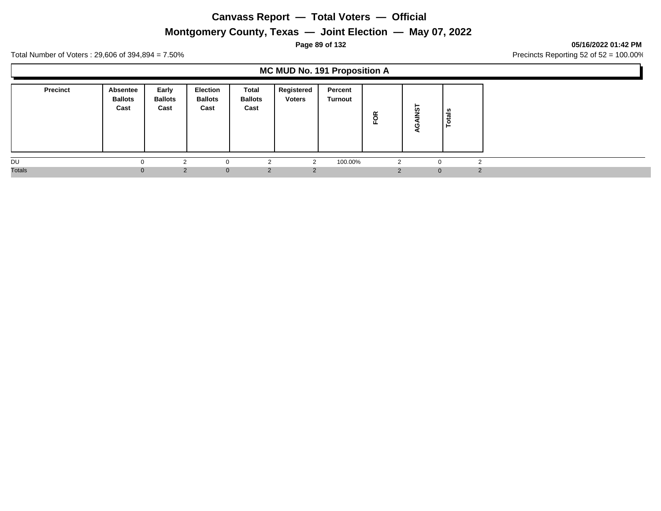# **Montgomery County, Texas — Joint Election — May 07, 2022**

### **Page 89 of 132 05/16/2022 01:42 PM**

Total Number of Voters : 29,606 of 394,894 = 7.50% Precincts Reporting 52 of 52 = 100.00%

## **MC MUD No. 191 Proposition A**

| <b>Precinct</b> | Absentee<br><b>Ballots</b><br>Cast | Early<br><b>Ballots</b><br>Cast | <b>Election</b><br><b>Ballots</b><br>Cast | Total<br><b>Ballots</b><br>Cast | Registered<br><b>Voters</b> | Percent<br>Turnout | õ<br>正 | ⊢<br><b>in</b> | tais<br>c<br>− |   |
|-----------------|------------------------------------|---------------------------------|-------------------------------------------|---------------------------------|-----------------------------|--------------------|--------|----------------|----------------|---|
| DU              |                                    |                                 |                                           | $\sim$                          | ົ                           | 100.00%            | 2      | $\sim$         | ◠              |   |
| <b>Totals</b>   | 0                                  | $\mathcal{P}$                   | $\Omega$                                  | 2                               | 2                           |                    |        | $\mathbf{0}$   |                | 2 |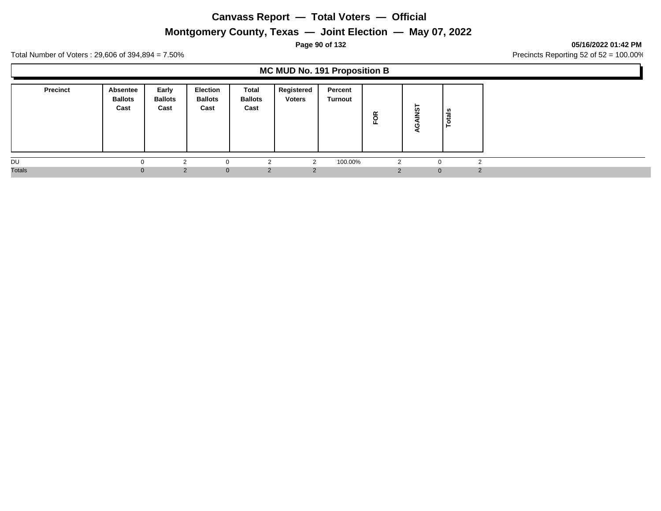# **Montgomery County, Texas — Joint Election — May 07, 2022**

### **Page 90 of 132 05/16/2022 01:42 PM**

Total Number of Voters : 29,606 of 394,894 = 7.50% Precincts Reporting 52 of 52 = 100.00%

## **MC MUD No. 191 Proposition B**

| <b>Precinct</b> | <b>Absentee</b><br><b>Ballots</b><br>Cast | Early<br><b>Ballots</b><br>Cast | <b>Election</b><br><b>Ballots</b><br>Cast | Total<br><b>Ballots</b><br>Cast | Registered<br><b>Voters</b> | Percent<br>Turnout | FOR | -<br>ທ       | als<br>تسه<br>$\circ$ |
|-----------------|-------------------------------------------|---------------------------------|-------------------------------------------|---------------------------------|-----------------------------|--------------------|-----|--------------|-----------------------|
| DU              |                                           | $\sim$                          | $\Omega$                                  |                                 |                             | 100.00%            |     |              | $\sim$                |
| <b>Totals</b>   |                                           | 2                               | $\mathbf{0}$                              | 2                               | $\mathcal{P}$               |                    |     | $\mathbf{0}$ | $\mathcal{P}$         |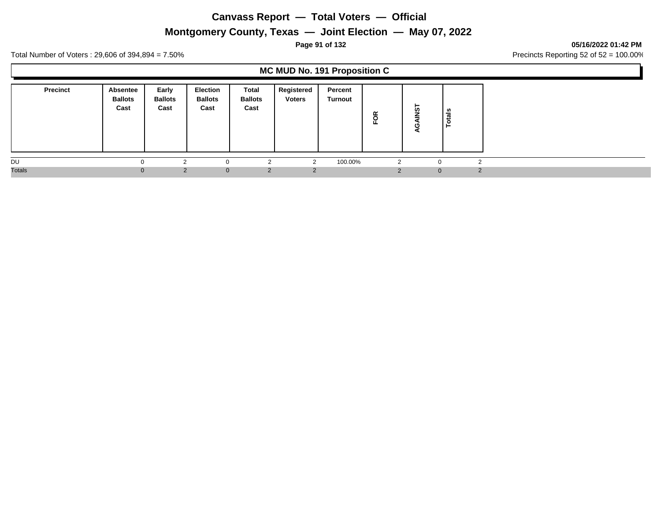# **Montgomery County, Texas — Joint Election — May 07, 2022**

## **Page 91 of 132 05/16/2022 01:42 PM**

Total Number of Voters : 29,606 of 394,894 = 7.50% Precincts Reporting 52 of 52 = 100.00%

## **MC MUD No. 191 Proposition C**

| <b>Precinct</b> | Absentee<br><b>Ballots</b><br>Cast | Early<br><b>Ballots</b><br>Cast | Election<br><b>Ballots</b><br>Cast | Total<br><b>Ballots</b><br>Cast | Registered<br><b>Voters</b> | Percent<br>Turnout | FOR | -<br>ທ       | នឹ<br>تت<br>c |
|-----------------|------------------------------------|---------------------------------|------------------------------------|---------------------------------|-----------------------------|--------------------|-----|--------------|---------------|
| DU              |                                    | ⌒                               | $\Omega$                           | $\sqrt{2}$                      | $\sim$                      | 100.00%            |     |              | $\sqrt{2}$    |
| <b>Totals</b>   | $\Omega$                           | $\mathcal{P}$                   | $\Omega$                           | 2                               | $\mathcal{P}$               |                    |     | $\mathbf{0}$ | $\mathcal{P}$ |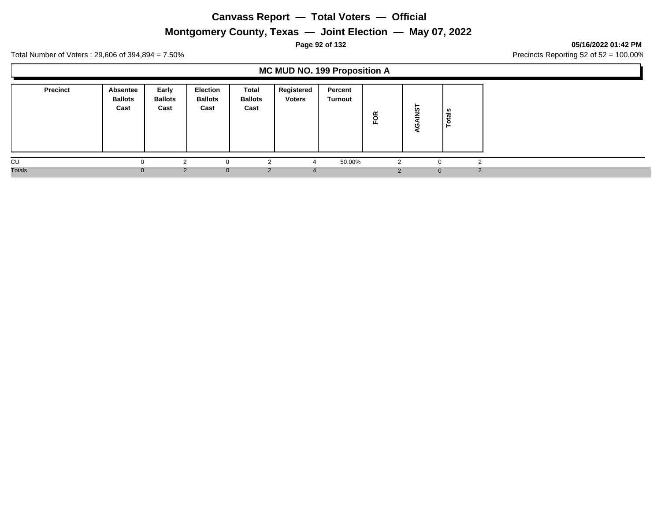# **Montgomery County, Texas — Joint Election — May 07, 2022**

## **Page 92 of 132 05/16/2022 01:42 PM**

Total Number of Voters : 29,606 of 394,894 = 7.50% Precincts Reporting 52 of 52 = 100.00%

## **MC MUD NO. 199 Proposition A**

| <b>Precinct</b> | <b>Absentee</b><br><b>Ballots</b><br>Cast | Early<br><b>Ballots</b><br>Cast | <b>Election</b><br><b>Ballots</b><br>Cast | Total<br><b>Ballots</b><br>Cast | Registered<br><b>Voters</b> | Percent<br>Turnout | ≃<br>$\circ$<br>ш. | ⊢<br>ທ       | tals<br>$\ddot{\mathbf{c}}$<br>⊢ |
|-----------------|-------------------------------------------|---------------------------------|-------------------------------------------|---------------------------------|-----------------------------|--------------------|--------------------|--------------|----------------------------------|
| CU              |                                           |                                 |                                           | r                               |                             | 50.00%             |                    | $\Omega$     |                                  |
| <b>Totals</b>   |                                           | $\overline{2}$                  | $\mathbf{0}$                              | 2                               | $\overline{a}$              |                    |                    | $\mathbf{0}$ | $\mathcal{P}$                    |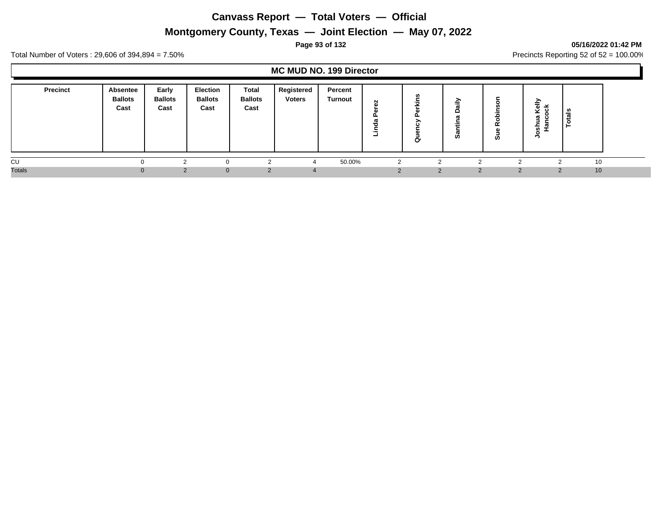# **Montgomery County, Texas — Joint Election — May 07, 2022**

## **Page 93 of 132 05/16/2022 01:42 PM**

Total Number of Voters : 29,606 of 394,894 = 7.50% Precincts Reporting 52 of 52 = 100.00%

## **MC MUD NO. 199 Director**

| <b>Precinct</b> | Absentee<br><b>Ballots</b><br>Cast | Early<br><b>Ballots</b><br>Cast | <b>Election</b><br><b>Ballots</b><br>Cast | <b>Total</b><br><b>Ballots</b><br>Cast | Registered<br><b>Voters</b> | Percent<br>Turnout | N<br>œ | <b>S</b><br>∼<br>$\overline{\phantom{0}}$<br>≂<br>௨<br>∽<br>یت<br>σ | -<br>≂<br><b>SO</b> | .-<br>ഛ<br>$\circ$<br>$\alpha$<br>ທ | ∽<br>≐<br>ັ<br>$\mathbf{\sigma}$<br>ぁ<br>- | ਛ<br><b>A</b> |  |
|-----------------|------------------------------------|---------------------------------|-------------------------------------------|----------------------------------------|-----------------------------|--------------------|--------|---------------------------------------------------------------------|---------------------|-------------------------------------|--------------------------------------------|---------------|--|
| CU              |                                    |                                 |                                           |                                        |                             | 50.00%             |        |                                                                     |                     |                                     |                                            | 10            |  |
| <b>Totals</b>   | $\Omega$                           |                                 | $\Omega$                                  | 2                                      |                             |                    |        |                                                                     | 2                   | 2                                   |                                            | 10            |  |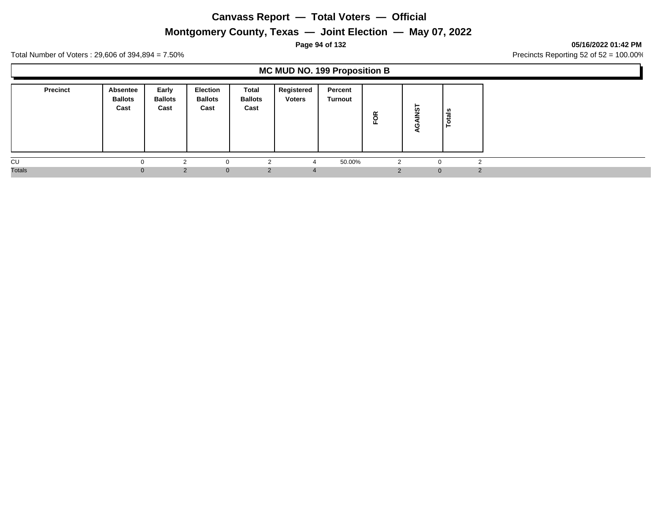# **Montgomery County, Texas — Joint Election — May 07, 2022**

## **Page 94 of 132 05/16/2022 01:42 PM**

Total Number of Voters : 29,606 of 394,894 = 7.50% Precincts Reporting 52 of 52 = 100.00%

## **MC MUD NO. 199 Proposition B**

| <b>Precinct</b> | Absentee<br><b>Ballots</b><br>Cast | Early<br><b>Ballots</b><br>Cast | <b>Election</b><br><b>Ballots</b><br>Cast | Total<br><b>Ballots</b><br>Cast | Registered<br><b>Voters</b> | Percent<br>Turnout | ≃<br>$\overline{\mathsf{o}}$ | ►<br>ທ       | als<br>تسه<br>O<br>⊢ |
|-----------------|------------------------------------|---------------------------------|-------------------------------------------|---------------------------------|-----------------------------|--------------------|------------------------------|--------------|----------------------|
| CU              |                                    |                                 |                                           | റ                               |                             | 50.00%             | 2                            | $\Omega$     | $\sim$               |
| <b>Totals</b>   | $\Omega$                           |                                 | $\Omega$                                  | 2                               | $\sqrt{ }$                  |                    | ◠                            | $\mathbf{0}$ | $\mathcal{D}$        |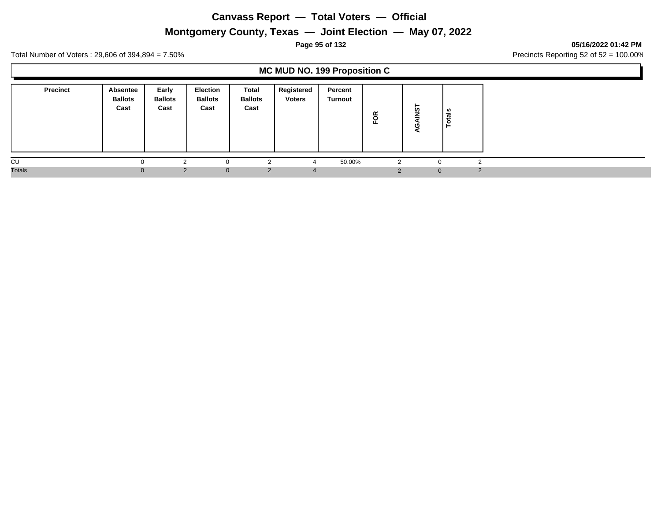# **Montgomery County, Texas — Joint Election — May 07, 2022**

### **Page 95 of 132 05/16/2022 01:42 PM**

Total Number of Voters : 29,606 of 394,894 = 7.50% Precincts Reporting 52 of 52 = 100.00%

## **MC MUD NO. 199 Proposition C**

|               | <b>Precinct</b> | <b>Absentee</b><br><b>Ballots</b><br>Cast | Early<br><b>Ballots</b><br>Cast | <b>Election</b><br><b>Ballots</b><br>Cast | Total<br><b>Ballots</b><br>Cast | Registered<br><b>Voters</b> | Percent<br>Turnout | FOR | ►<br><b>in</b> | tais |   |
|---------------|-----------------|-------------------------------------------|---------------------------------|-------------------------------------------|---------------------------------|-----------------------------|--------------------|-----|----------------|------|---|
| CU            |                 |                                           | $\sim$                          | $\Omega$                                  |                                 |                             | 50.00%             | 2   |                | ົ    |   |
| <b>Totals</b> |                 |                                           | 2                               | $\mathbf{0}$                              | 2                               | $\mathbf{A}$                |                    |     | $\mathbf{0}$   |      | 2 |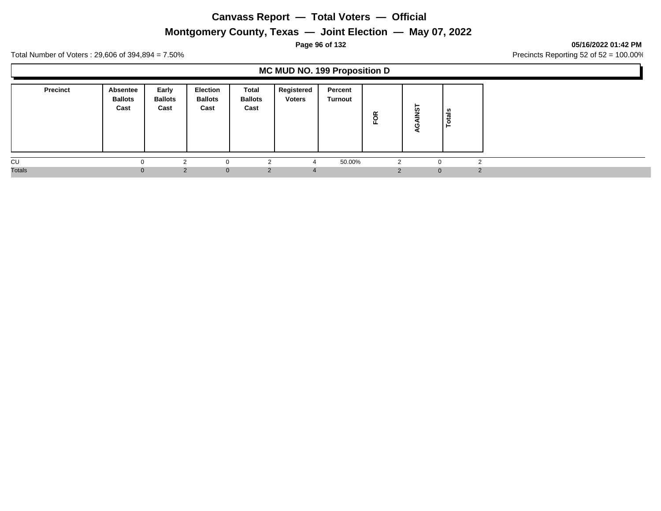# **Montgomery County, Texas — Joint Election — May 07, 2022**

### **Page 96 of 132 05/16/2022 01:42 PM**

Total Number of Voters : 29,606 of 394,894 = 7.50% Precincts Reporting 52 of 52 = 100.00%

## **MC MUD NO. 199 Proposition D**

| <b>Precinct</b> | <b>Absentee</b><br><b>Ballots</b><br>Cast | Early<br><b>Ballots</b><br>Cast | <b>Election</b><br><b>Ballots</b><br>Cast | Total<br><b>Ballots</b><br>Cast | Registered<br><b>Voters</b> | Percent<br>Turnout | ≃<br>$\circ$<br>ш. | ⊢<br>ທ       | tals<br>$\ddot{\mathbf{c}}$<br>⊢ |
|-----------------|-------------------------------------------|---------------------------------|-------------------------------------------|---------------------------------|-----------------------------|--------------------|--------------------|--------------|----------------------------------|
| CU              |                                           |                                 |                                           | r                               |                             | 50.00%             |                    | $\Omega$     |                                  |
| <b>Totals</b>   |                                           | $\overline{2}$                  | $\mathbf{0}$                              | 2                               | $\overline{a}$              |                    |                    | $\mathbf{0}$ | $\mathcal{P}$                    |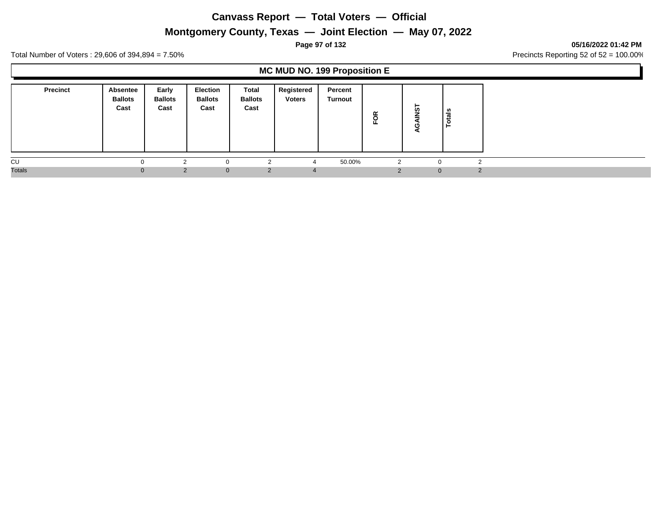# **Montgomery County, Texas — Joint Election — May 07, 2022**

## **Page 97 of 132 05/16/2022 01:42 PM**

Total Number of Voters : 29,606 of 394,894 = 7.50% Precincts Reporting 52 of 52 = 100.00%

## **MC MUD NO. 199 Proposition E**

| <b>Precinct</b> | <b>Absentee</b><br><b>Ballots</b><br>Cast | Early<br><b>Ballots</b><br>Cast | <b>Election</b><br><b>Ballots</b><br>Cast | Total<br><b>Ballots</b><br>Cast | Registered<br><b>Voters</b> | Percent<br>Turnout | ≃<br>$\circ$<br>ш. | ⊢<br>ທ       | tals<br>$\ddot{\mathbf{c}}$<br>⊢ |
|-----------------|-------------------------------------------|---------------------------------|-------------------------------------------|---------------------------------|-----------------------------|--------------------|--------------------|--------------|----------------------------------|
| CU              |                                           |                                 |                                           | r                               |                             | 50.00%             |                    | $\Omega$     |                                  |
| <b>Totals</b>   |                                           | $\overline{2}$                  | $\mathbf{0}$                              | 2                               | $\overline{a}$              |                    |                    | $\mathbf{0}$ | $\mathcal{P}$                    |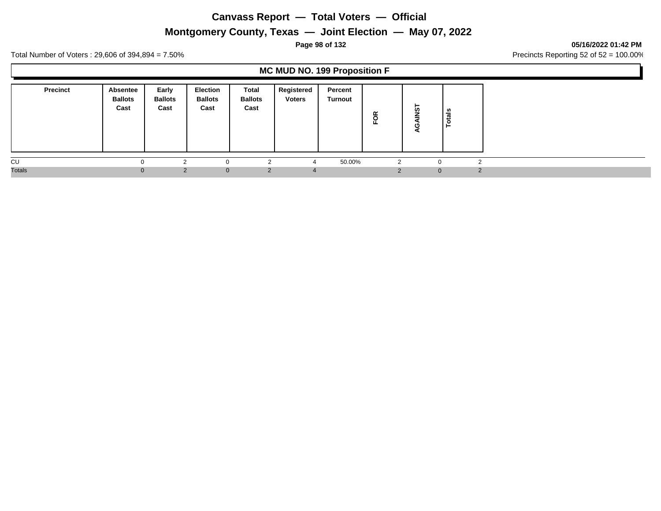# **Montgomery County, Texas — Joint Election — May 07, 2022**

### **Page 98 of 132 05/16/2022 01:42 PM**

Total Number of Voters : 29,606 of 394,894 = 7.50% Precincts Reporting 52 of 52 = 100.00%

## **MC MUD NO. 199 Proposition F**

| <b>Precinct</b> | Absentee<br><b>Ballots</b><br>Cast | Early<br><b>Ballots</b><br>Cast | <b>Election</b><br><b>Ballots</b><br>Cast | Total<br><b>Ballots</b><br>Cast | Registered<br><b>Voters</b> | Percent<br>Turnout | õ        | ⊢<br>ທ       | ta's<br>$\circ$<br>⊢ |
|-----------------|------------------------------------|---------------------------------|-------------------------------------------|---------------------------------|-----------------------------|--------------------|----------|--------------|----------------------|
| CU              |                                    | ⌒                               | $\Omega$                                  | $\sim$                          |                             | 50.00%             | 2        | $\Omega$     | $\sim$               |
| <b>Totals</b>   |                                    | $\mathcal{P}$                   | $\Omega$                                  | 2                               | $\mathcal{L}$               |                    | $\Omega$ | $\mathbf{0}$ | $\mathcal{P}$        |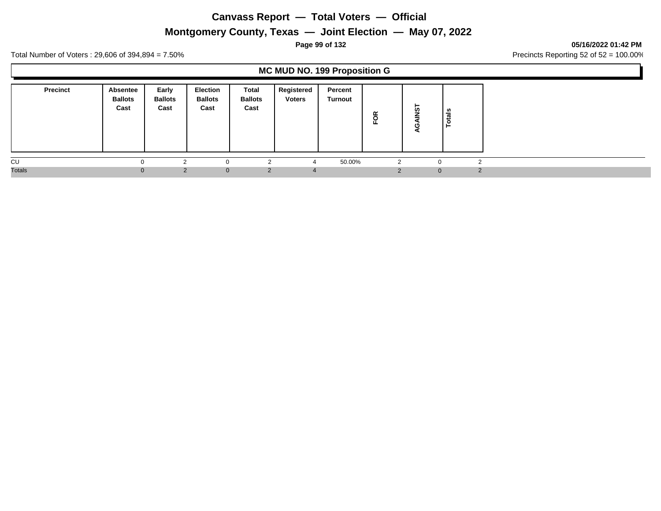# **Montgomery County, Texas — Joint Election — May 07, 2022**

### **Page 99 of 132 05/16/2022 01:42 PM**

Total Number of Voters : 29,606 of 394,894 = 7.50% Precincts Reporting 52 of 52 = 100.00%

## **MC MUD NO. 199 Proposition G**

| <b>Precinct</b> | <b>Absentee</b><br><b>Ballots</b><br>Cast | Early<br><b>Ballots</b><br>Cast | <b>Election</b><br><b>Ballots</b><br>Cast | Total<br><b>Ballots</b><br>Cast | Registered<br><b>Voters</b> | Percent<br>Turnout | ≃<br>$\circ$<br>ш. | ⊢<br>ທ       | tals<br>$\ddot{\mathbf{c}}$<br>⊢ |
|-----------------|-------------------------------------------|---------------------------------|-------------------------------------------|---------------------------------|-----------------------------|--------------------|--------------------|--------------|----------------------------------|
| CU              |                                           |                                 |                                           | r                               |                             | 50.00%             |                    | $\Omega$     |                                  |
| <b>Totals</b>   |                                           | $\overline{2}$                  | $\mathbf{0}$                              | 2                               | $\overline{a}$              |                    |                    | $\mathbf{0}$ | $\mathcal{P}$                    |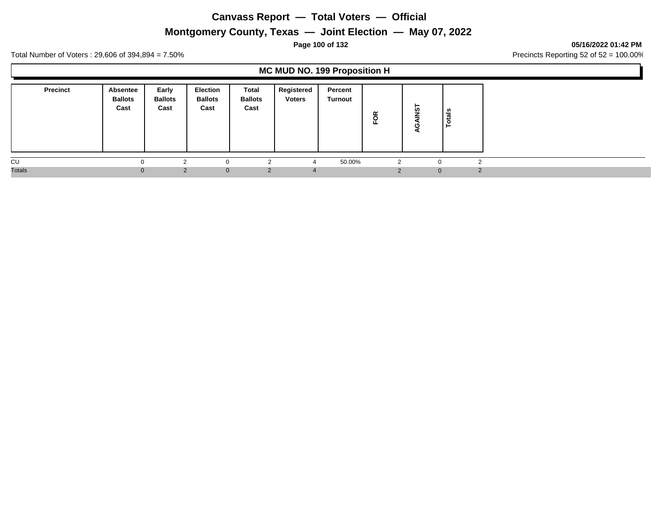# **Montgomery County, Texas — Joint Election — May 07, 2022**

## **Page 100 of 132 05/16/2022 01:42 PM**

Total Number of Voters : 29,606 of 394,894 = 7.50% Precincts Reporting 52 of 52 = 100.00%

## **MC MUD NO. 199 Proposition H**

| <b>Precinct</b> | <b>Absentee</b><br><b>Ballots</b><br>Cast | Early<br><b>Ballots</b><br>Cast | <b>Election</b><br><b>Ballots</b><br>Cast | Total<br><b>Ballots</b><br>Cast | Registered<br><b>Voters</b> | Percent<br>Turnout | ≃<br>$\circ$<br>ш. | ⊢<br>ທ       | tals<br>$\ddot{\mathbf{c}}$<br>⊢ |
|-----------------|-------------------------------------------|---------------------------------|-------------------------------------------|---------------------------------|-----------------------------|--------------------|--------------------|--------------|----------------------------------|
| CU              |                                           |                                 |                                           | r                               |                             | 50.00%             |                    | $\Omega$     |                                  |
| <b>Totals</b>   |                                           | $\overline{2}$                  | $\mathbf{0}$                              | 2                               | $\overline{a}$              |                    |                    | $\mathbf{0}$ | $\mathcal{P}$                    |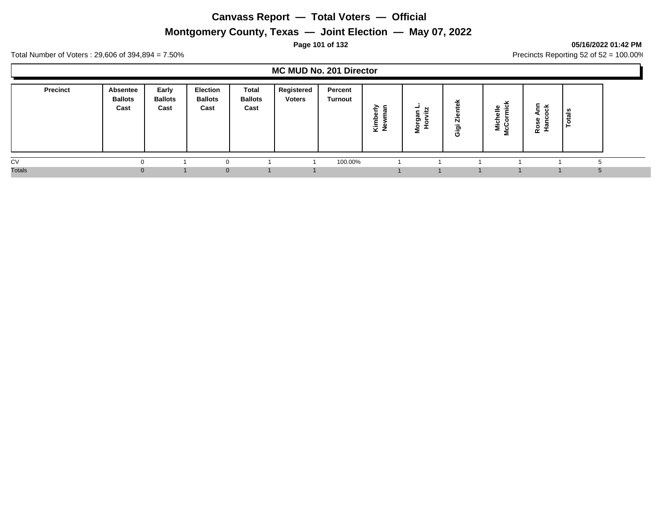# **Montgomery County, Texas — Joint Election — May 07, 2022**

## **Page 101 of 132 05/16/2022 01:42 PM**

Total Number of Voters : 29,606 of 394,894 = 7.50% Precincts Reporting 52 of 52 = 100.00%

## **MC MUD No. 201 Director**

| <b>Precinct</b> | Absentee<br><b>Ballots</b><br>Cast | Early<br><b>Ballots</b><br>Cast | <b>Election</b><br><b>Ballots</b><br>Cast | Total<br><b>Ballots</b><br>Cast | Registered<br><b>Voters</b> | Percent<br>Turnout | ≥ ⊆<br>۵١<br>Kimi<br>New | -<br>ᢁ<br>ත<br>o | Ñ<br>`ಕಾ<br>Ō | ়ু<br>╺ | $\overline{\phantom{a}}$<br>œ | ಕ |  |
|-----------------|------------------------------------|---------------------------------|-------------------------------------------|---------------------------------|-----------------------------|--------------------|--------------------------|------------------|---------------|---------|-------------------------------|---|--|
| CV              |                                    |                                 |                                           |                                 |                             | 100.00%            |                          |                  |               |         |                               |   |  |
| <b>Totals</b>   |                                    |                                 | $\Omega$                                  |                                 |                             |                    |                          |                  |               |         |                               |   |  |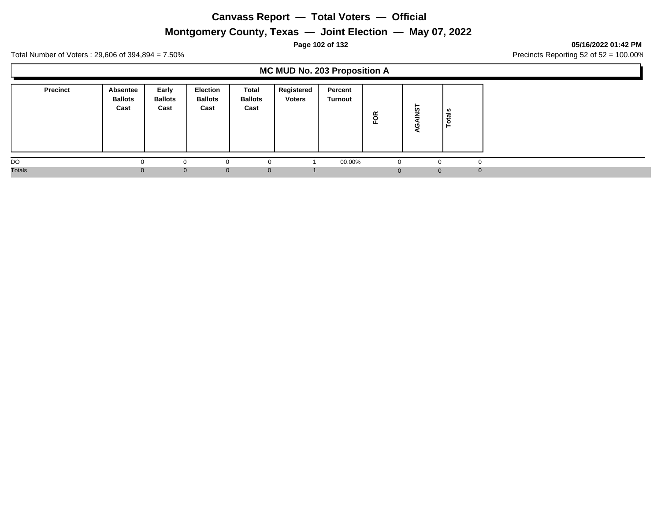# **Montgomery County, Texas — Joint Election — May 07, 2022**

### **Page 102 of 132 05/16/2022 01:42 PM**

Total Number of Voters : 29,606 of 394,894 = 7.50% Precincts Reporting 52 of 52 = 100.00%

## **MC MUD No. 203 Proposition A**

| <b>Precinct</b> | <b>Absentee</b><br><b>Ballots</b><br>Cast | Early<br><b>Ballots</b><br>Cast | <b>Election</b><br><b>Ballots</b><br>Cast | Total<br><b>Ballots</b><br>Cast | Registered<br><b>Voters</b> | Percent<br><b>Turnout</b> | ≃<br>운 | ⊢<br>ທ       | als<br>-<br>- |
|-----------------|-------------------------------------------|---------------------------------|-------------------------------------------|---------------------------------|-----------------------------|---------------------------|--------|--------------|---------------|
| DO              |                                           |                                 | 0                                         | $\Omega$                        |                             | 00.00%                    | - 0    | $\Omega$     |               |
| <b>Totals</b>   |                                           | $\Omega$                        | $\mathbf{0}$                              | $\mathbf{0}$                    |                             |                           | 0      | $\mathbf{0}$ |               |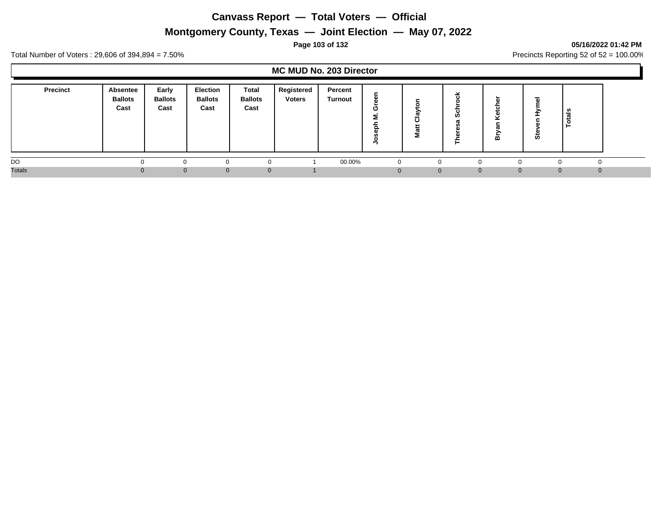# **Montgomery County, Texas — Joint Election — May 07, 2022**

## **Page 103 of 132 05/16/2022 01:42 PM**

Total Number of Voters : 29,606 of 394,894 = 7.50% Precincts Reporting 52 of 52 = 100.00%

## **MC MUD No. 203 Director**

| <b>Precinct</b> | <b>Absentee</b><br><b>Ballots</b><br>Cast | Early<br><b>Ballots</b><br>Cast | <b>Election</b><br><b>Ballots</b><br>Cast | <b>Total</b><br><b>Ballots</b><br>Cast | Registered<br><b>Voters</b> | Percent<br>Turnout | ∼<br>α<br>o<br>о | o<br>-2<br>-<br>පි<br>ŧ.<br>Š | <b>SC</b> | മ                              | <b>in</b> | ਨ<br>ت   |  |
|-----------------|-------------------------------------------|---------------------------------|-------------------------------------------|----------------------------------------|-----------------------------|--------------------|------------------|-------------------------------|-----------|--------------------------------|-----------|----------|--|
| DO              |                                           |                                 |                                           |                                        |                             | 00.00%             |                  |                               | ∩         |                                |           |          |  |
| <b>Totals</b>   | $\mathbf{U}$                              | $\Omega$                        | $\mathbf{0}$                              | $\Omega$                               |                             |                    | $\Omega$         |                               | $\Omega$  | $\mathbf{0}$<br>$\overline{0}$ | $\Omega$  | $\Omega$ |  |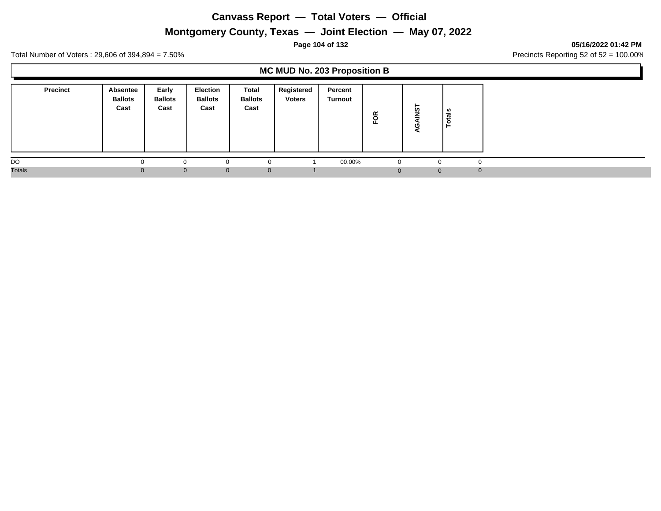# **Montgomery County, Texas — Joint Election — May 07, 2022**

#### **Page 104 of 132 05/16/2022 01:42 PM**

Total Number of Voters : 29,606 of 394,894 = 7.50% Precincts Reporting 52 of 52 = 100.00%

## **MC MUD No. 203 Proposition B**

| <b>Precinct</b> | <b>Absentee</b><br><b>Ballots</b><br>Cast | Early<br><b>Ballots</b><br>Cast | <b>Election</b><br><b>Ballots</b><br>Cast | Total<br><b>Ballots</b><br>Cast | Registered<br><b>Voters</b> | Percent<br>Turnout | FOR      | ┕<br><b>in</b> | ທ<br>त्त<br>تسد |
|-----------------|-------------------------------------------|---------------------------------|-------------------------------------------|---------------------------------|-----------------------------|--------------------|----------|----------------|-----------------|
| DO              |                                           |                                 | 0                                         | 0                               |                             | 00.00%             | $\Omega$ |                |                 |
| <b>Totals</b>   |                                           | $\Omega$                        | $\mathbf{0}$                              | $\mathbf 0$                     |                             |                    | 0        | $\mathbf{0}$   | $\Omega$        |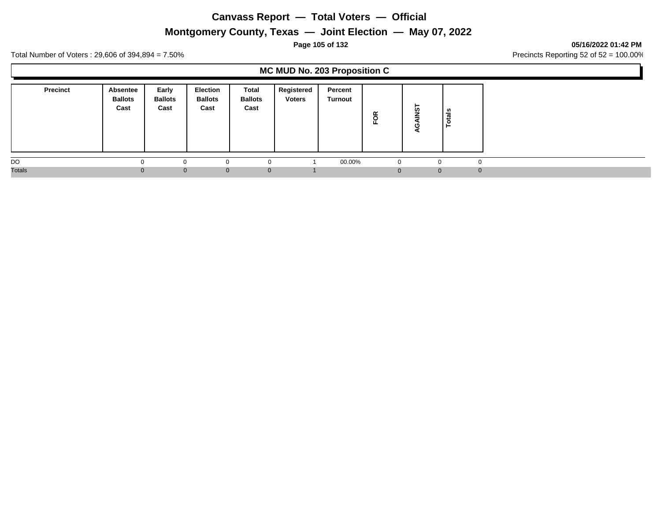# **Montgomery County, Texas — Joint Election — May 07, 2022**

### **Page 105 of 132 05/16/2022 01:42 PM**

Total Number of Voters : 29,606 of 394,894 = 7.50% Precincts Reporting 52 of 52 = 100.00%

## **MC MUD No. 203 Proposition C**

| <b>Precinct</b> | <b>Absentee</b><br><b>Ballots</b><br>Cast | Early<br><b>Ballots</b><br>Cast | <b>Election</b><br><b>Ballots</b><br>Cast | Total<br><b>Ballots</b><br>Cast | Registered<br><b>Voters</b> | Percent<br>Turnout | FOR         | ⊢<br><b>in</b> | n,<br>ಕ<br>تسد<br>O |          |
|-----------------|-------------------------------------------|---------------------------------|-------------------------------------------|---------------------------------|-----------------------------|--------------------|-------------|----------------|---------------------|----------|
| DO              |                                           |                                 | 0                                         | $\Omega$                        |                             | 00.00%             | $\mathbf 0$ |                |                     |          |
| <b>Totals</b>   |                                           | $\Omega$                        | $\mathbf{0}$                              | $\mathbf{0}$                    |                             |                    | 0           |                | $\Omega$            | $\Omega$ |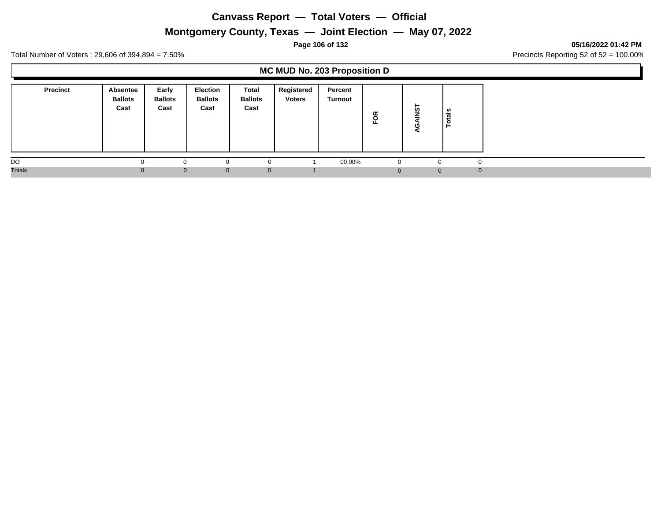# **Montgomery County, Texas — Joint Election — May 07, 2022**

### **Page 106 of 132 05/16/2022 01:42 PM**

Total Number of Voters : 29,606 of 394,894 = 7.50% Precincts Reporting 52 of 52 = 100.00%

## **MC MUD No. 203 Proposition D**

| <b>Precinct</b> | <b>Absentee</b><br><b>Ballots</b><br>Cast | Early<br><b>Ballots</b><br>Cast | <b>Election</b><br><b>Ballots</b><br>Cast | Total<br><b>Ballots</b><br>Cast | Registered<br><b>Voters</b> | Percent<br>Turnout | FOR | ►<br><b>in</b> | tais<br>$\circ$      |
|-----------------|-------------------------------------------|---------------------------------|-------------------------------------------|---------------------------------|-----------------------------|--------------------|-----|----------------|----------------------|
| DO              |                                           |                                 | $\Omega$                                  |                                 |                             | 00.00%             |     |                | $\Omega$             |
| <b>Totals</b>   |                                           | $\Omega$                        | $\mathbf{0}$                              | $\mathbf{0}$                    |                             |                    |     |                | $\Omega$<br>$\Omega$ |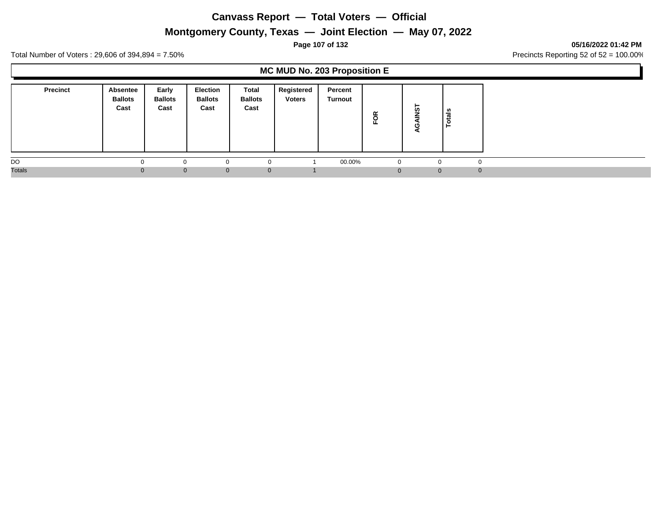# **Montgomery County, Texas — Joint Election — May 07, 2022**

### **Page 107 of 132 05/16/2022 01:42 PM**

Total Number of Voters : 29,606 of 394,894 = 7.50% Precincts Reporting 52 of 52 = 100.00%

## **MC MUD No. 203 Proposition E**

| <b>Precinct</b> | Absentee<br><b>Ballots</b><br>Cast | Early<br><b>Ballots</b><br>Cast | <b>Election</b><br><b>Ballots</b><br>Cast | Total<br><b>Ballots</b><br>Cast | Registered<br><b>Voters</b> | Percent<br>Turnout | FOR      | ⊢<br><b>in</b> | als<br>ت<br>Ö |
|-----------------|------------------------------------|---------------------------------|-------------------------------------------|---------------------------------|-----------------------------|--------------------|----------|----------------|---------------|
| DO              | <sup>0</sup>                       |                                 | 0                                         | $\Omega$                        |                             | 00.00%             | $\Omega$ |                | $\Omega$      |
| <b>Totals</b>   | $\Omega$                           | $\Omega$                        | $\mathbf{0}$                              | $\mathbf{0}$                    |                             |                    | U        | $\mathbf{0}$   | $\Omega$      |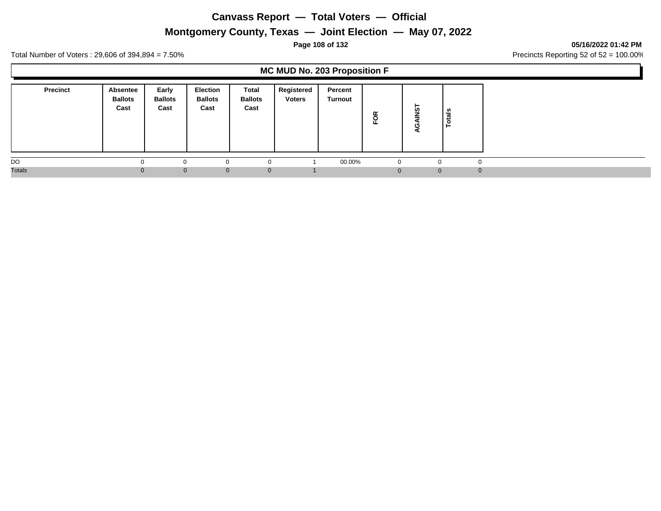# **Montgomery County, Texas — Joint Election — May 07, 2022**

#### **Page 108 of 132 05/16/2022 01:42 PM**

Total Number of Voters : 29,606 of 394,894 = 7.50% Precincts Reporting 52 of 52 = 100.00%

## **MC MUD No. 203 Proposition F**

| <b>Precinct</b> | Absentee<br><b>Ballots</b><br>Cast | Early<br><b>Ballots</b><br>Cast | <b>Election</b><br><b>Ballots</b><br>Cast | Total<br><b>Ballots</b><br>Cast | Registered<br><b>Voters</b> | Percent<br>Turnout | FOR | -<br>ທ   | als<br>تسه<br>$\circ$ |
|-----------------|------------------------------------|---------------------------------|-------------------------------------------|---------------------------------|-----------------------------|--------------------|-----|----------|-----------------------|
| DO              |                                    |                                 | $\Omega$                                  |                                 |                             | 00.00%             |     |          | $\Omega$              |
| <b>Totals</b>   |                                    | $\Omega$                        | $\mathbf{0}$                              | $\mathbf{0}$                    |                             |                    |     | $\Omega$ | $\Omega$              |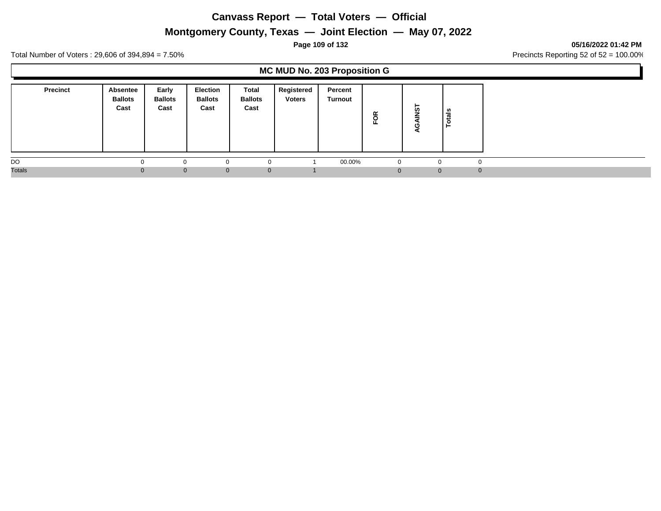# **Montgomery County, Texas — Joint Election — May 07, 2022**

### **Page 109 of 132 05/16/2022 01:42 PM**

Total Number of Voters : 29,606 of 394,894 = 7.50% Precincts Reporting 52 of 52 = 100.00%

### **MC MUD No. 203 Proposition G**

| <b>Precinct</b> | <b>Absentee</b><br><b>Ballots</b><br>Cast | Early<br><b>Ballots</b><br>Cast | <b>Election</b><br><b>Ballots</b><br>Cast | Total<br><b>Ballots</b><br>Cast | Registered<br><b>Voters</b> | Percent<br>Turnout | FOR | -<br>ທ   | als<br>تسه<br>$\circ$ |
|-----------------|-------------------------------------------|---------------------------------|-------------------------------------------|---------------------------------|-----------------------------|--------------------|-----|----------|-----------------------|
| DO              |                                           |                                 | $\Omega$                                  |                                 |                             | 00.00%             |     |          | $\Omega$              |
| <b>Totals</b>   |                                           | $\Omega$                        | $\mathbf{0}$                              | $\mathbf{0}$                    |                             |                    |     | $\Omega$ | $\Omega$              |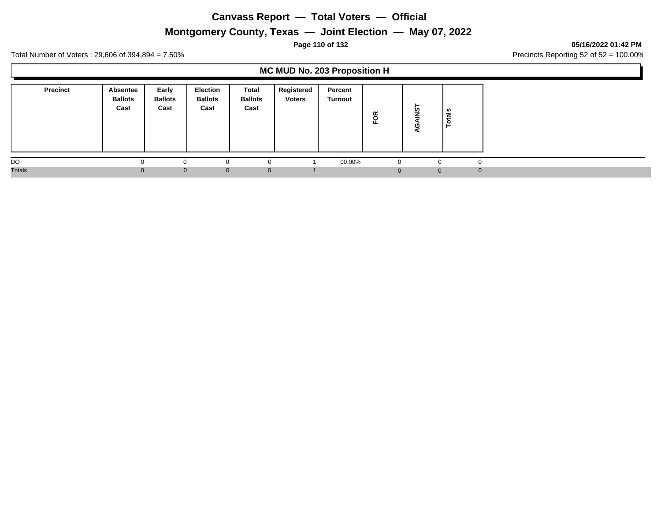# **Montgomery County, Texas — Joint Election — May 07, 2022**

### **Page 110 of 132 05/16/2022 01:42 PM**

Total Number of Voters : 29,606 of 394,894 = 7.50% Precincts Reporting 52 of 52 = 100.00%

### **MC MUD No. 203 Proposition H**

| <b>Precinct</b> | Absentee<br><b>Ballots</b><br>Cast | Early<br><b>Ballots</b><br>Cast | <b>Election</b><br><b>Ballots</b><br>Cast | Total<br><b>Ballots</b><br>Cast | Registered<br><b>Voters</b> | Percent<br>Turnout | FOR | <b>in</b>    | - ഗ<br>ਰ<br>-44 |
|-----------------|------------------------------------|---------------------------------|-------------------------------------------|---------------------------------|-----------------------------|--------------------|-----|--------------|-----------------|
| DO              |                                    |                                 | $\Omega$                                  | $\Omega$                        |                             | 00.00%             | 0   |              |                 |
| <b>Totals</b>   |                                    | $\Omega$                        | $\mathbf{0}$                              | $\mathbf 0$                     |                             |                    | 0   | $\mathbf{0}$ | $\Omega$        |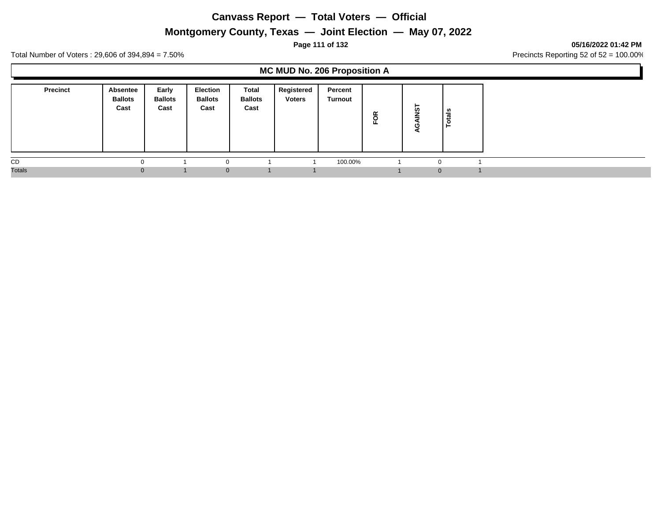# **Montgomery County, Texas — Joint Election — May 07, 2022**

#### **Page 111 of 132 05/16/2022 01:42 PM**

Total Number of Voters : 29,606 of 394,894 = 7.50% Precincts Reporting 52 of 52 = 100.00%

### **MC MUD No. 206 Proposition A**

| <b>Precinct</b> | Absentee<br><b>Ballots</b><br>Cast | Early<br><b>Ballots</b><br>Cast | <b>Election</b><br><b>Ballots</b><br>Cast | Total<br><b>Ballots</b><br>Cast | Registered<br><b>Voters</b> | Percent<br>Turnout | ≃<br>$\overline{\mathbf{o}}$ | ►<br>ທ   | als<br>-44<br>.o<br>⊢ |  |
|-----------------|------------------------------------|---------------------------------|-------------------------------------------|---------------------------------|-----------------------------|--------------------|------------------------------|----------|-----------------------|--|
| CD              |                                    |                                 |                                           |                                 |                             | 100.00%            |                              | $\Omega$ |                       |  |
| <b>Totals</b>   | $\Omega$                           |                                 | $\Omega$                                  |                                 |                             |                    |                              |          | $\mathbf{0}$          |  |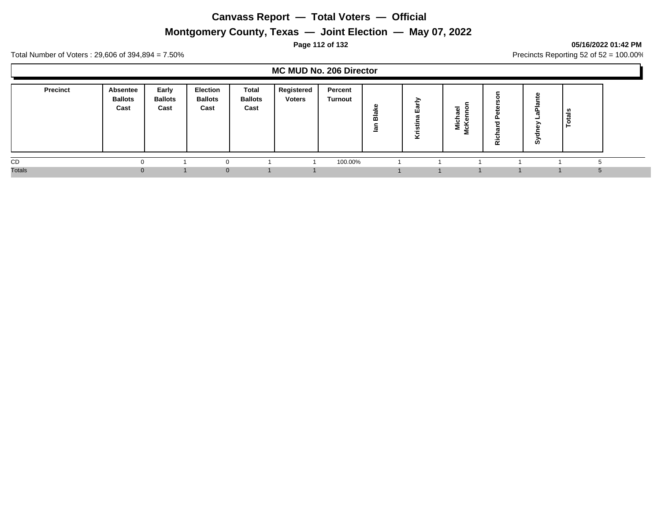# **Montgomery County, Texas — Joint Election — May 07, 2022**

### **Page 112 of 132 05/16/2022 01:42 PM**

Total Number of Voters : 29,606 of 394,894 = 7.50% Precincts Reporting 52 of 52 = 100.00%

### **MC MUD No. 206 Director**

| <b>Precinct</b> | Absentee<br><b>Ballots</b><br>Cast | Early<br><b>Ballots</b><br>Cast | <b>Election</b><br><b>Ballots</b><br>Cast | Total<br><b>Ballots</b><br>Cast | Registered<br><b>Voters</b> | Percent<br>Turnout | ω<br>×.<br>ω<br>$\overline{m}$<br>⊡ | ∽<br>÷<br>ಥ<br>ш<br>Σ<br>Ф<br><u>ີທ</u><br>호 | -<br>౿<br>⋍ | <br>$\alpha$ | <b>SC</b> | ಕ<br>تسد |  |
|-----------------|------------------------------------|---------------------------------|-------------------------------------------|---------------------------------|-----------------------------|--------------------|-------------------------------------|----------------------------------------------|-------------|--------------|-----------|----------|--|
| CD              |                                    |                                 | 0                                         |                                 |                             | 100.00%            |                                     |                                              |             |              |           |          |  |
| <b>Totals</b>   | $\Omega$                           |                                 | $\Omega$                                  |                                 |                             |                    |                                     |                                              |             |              |           |          |  |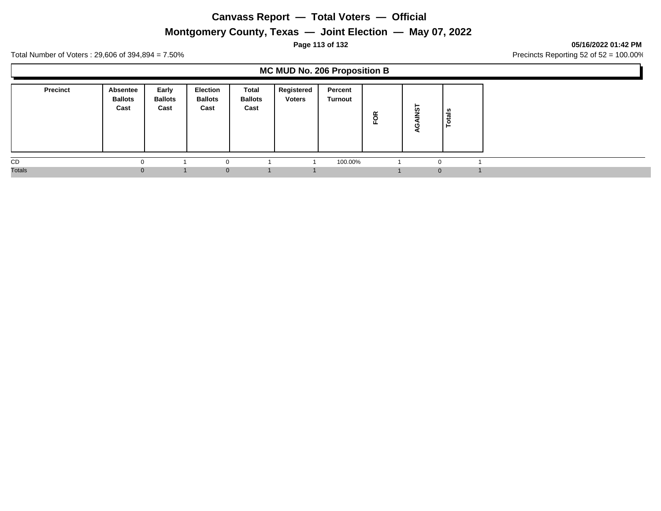# **Montgomery County, Texas — Joint Election — May 07, 2022**

### **Page 113 of 132 05/16/2022 01:42 PM**

Total Number of Voters : 29,606 of 394,894 = 7.50% Precincts Reporting 52 of 52 = 100.00%

### **MC MUD No. 206 Proposition B**

|               | <b>Precinct</b> | Absentee<br><b>Ballots</b><br>Cast | Early<br><b>Ballots</b><br>Cast | <b>Election</b><br><b>Ballots</b><br>Cast | Total<br><b>Ballots</b><br>Cast | Registered<br><b>Voters</b> | Percent<br>Turnout | õ<br>正 | ⊢<br><b>in</b> | tais<br>c<br>− |
|---------------|-----------------|------------------------------------|---------------------------------|-------------------------------------------|---------------------------------|-----------------------------|--------------------|--------|----------------|----------------|
| CD            |                 |                                    |                                 |                                           |                                 |                             | 100.00%            |        | $\sim$         |                |
| <b>Totals</b> |                 | 0                                  |                                 | $\Omega$                                  |                                 |                             |                    |        | $\Omega$       |                |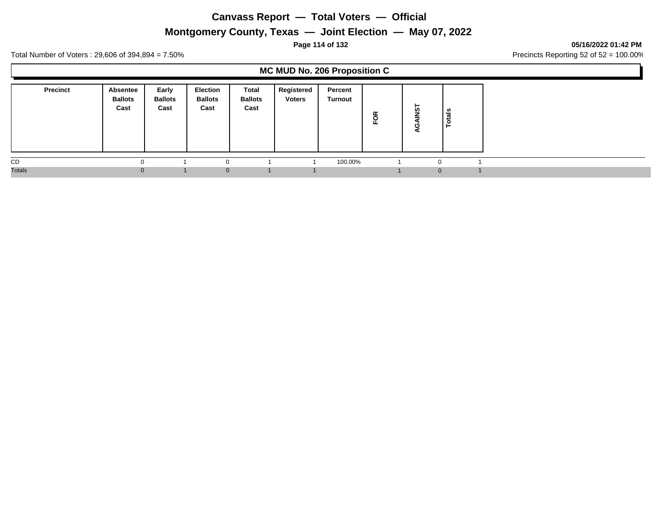**Montgomery County, Texas — Joint Election — May 07, 2022**

### **Page 114 of 132 05/16/2022 01:42 PM**

Total Number of Voters : 29,606 of 394,894 = 7.50% Precincts Reporting 52 of 52 = 100.00%

### **MC MUD No. 206 Proposition C**

|               | <b>Precinct</b> | Absentee<br><b>Ballots</b><br>Cast | Early<br><b>Ballots</b><br>Cast | <b>Election</b><br><b>Ballots</b><br>Cast | Total<br><b>Ballots</b><br>Cast | Registered<br><b>Voters</b> | Percent<br>Turnout | õ<br>正 | ⊢<br><b>in</b> | tais<br>c<br>− |
|---------------|-----------------|------------------------------------|---------------------------------|-------------------------------------------|---------------------------------|-----------------------------|--------------------|--------|----------------|----------------|
| CD            |                 |                                    |                                 |                                           |                                 |                             | 100.00%            |        | $\sim$         |                |
| <b>Totals</b> |                 | 0                                  |                                 | $\Omega$                                  |                                 |                             |                    |        | $\Omega$       |                |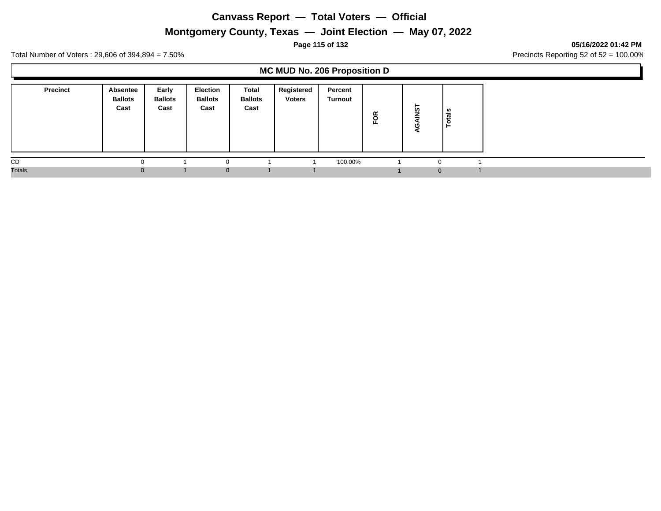**Montgomery County, Texas — Joint Election — May 07, 2022**

### **Page 115 of 132 05/16/2022 01:42 PM**

Total Number of Voters : 29,606 of 394,894 = 7.50% Precincts Reporting 52 of 52 = 100.00%

### **MC MUD No. 206 Proposition D**

| <b>Precinct</b> | Absentee<br><b>Ballots</b><br>Cast | Early<br><b>Ballots</b><br>Cast | Election<br><b>Ballots</b><br>Cast | Total<br><b>Ballots</b><br>Cast | Registered<br><b>Voters</b> | Percent<br>Turnout | FOR | -<br>ທ   | tais<br>c<br>- |
|-----------------|------------------------------------|---------------------------------|------------------------------------|---------------------------------|-----------------------------|--------------------|-----|----------|----------------|
| CD              |                                    |                                 | $\Omega$                           |                                 |                             | 100.00%            |     |          |                |
| <b>Totals</b>   | o                                  |                                 | $\Omega$                           |                                 |                             |                    |     | $\Omega$ |                |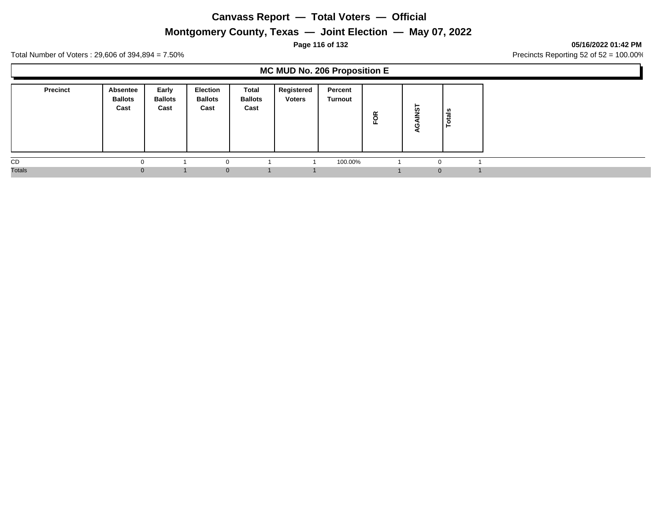**Montgomery County, Texas — Joint Election — May 07, 2022**

**Page 116 of 132 05/16/2022 01:42 PM**

Total Number of Voters : 29,606 of 394,894 = 7.50% Precincts Reporting 52 of 52 = 100.00%

### **MC MUD No. 206 Proposition E**

| <b>Precinct</b> | Absentee<br><b>Ballots</b><br>Cast | Early<br><b>Ballots</b><br>Cast | <b>Election</b><br><b>Ballots</b><br>Cast | Total<br><b>Ballots</b><br>Cast | Registered<br><b>Voters</b> | Percent<br>Turnout | ≃<br>$\overline{\mathbf{o}}$ | ►<br>ທ   | als<br>-44<br>.o<br>⊢ |  |
|-----------------|------------------------------------|---------------------------------|-------------------------------------------|---------------------------------|-----------------------------|--------------------|------------------------------|----------|-----------------------|--|
| CD              |                                    |                                 |                                           |                                 |                             | 100.00%            |                              | $\Omega$ |                       |  |
| <b>Totals</b>   | $\Omega$                           |                                 | $\Omega$                                  |                                 |                             |                    |                              |          | $\mathbf{0}$          |  |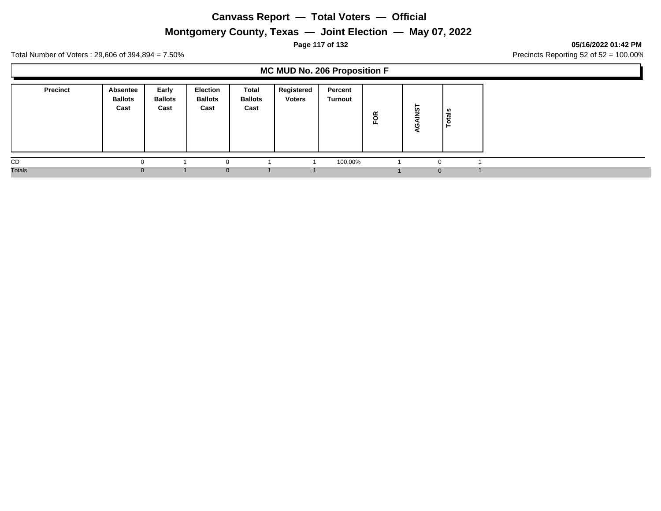# **Montgomery County, Texas — Joint Election — May 07, 2022**

### **Page 117 of 132 05/16/2022 01:42 PM**

Total Number of Voters : 29,606 of 394,894 = 7.50% Precincts Reporting 52 of 52 = 100.00%

### **MC MUD No. 206 Proposition F**

| <b>Precinct</b> | <b>Absentee</b><br><b>Ballots</b><br>Cast | Early<br><b>Ballots</b><br>Cast | Election<br><b>Ballots</b><br>Cast | Total<br><b>Ballots</b><br>Cast | Registered<br><b>Voters</b> | Percent<br>Turnout | FOR | ►<br><b>in</b> | tais<br>c<br>− |  |
|-----------------|-------------------------------------------|---------------------------------|------------------------------------|---------------------------------|-----------------------------|--------------------|-----|----------------|----------------|--|
| CD              |                                           |                                 | $\Omega$                           |                                 |                             | 100.00%            |     |                |                |  |
| <b>Totals</b>   | $\Omega$                                  |                                 | $\Omega$                           |                                 |                             |                    |     | $\Omega$       |                |  |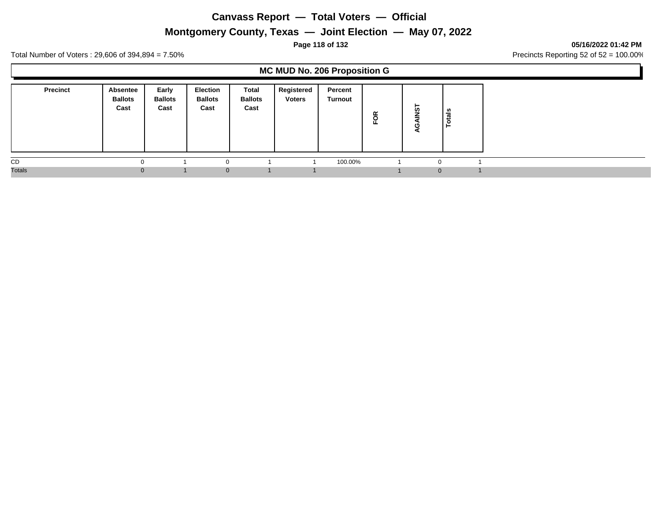**Montgomery County, Texas — Joint Election — May 07, 2022**

### **Page 118 of 132 05/16/2022 01:42 PM**

Total Number of Voters : 29,606 of 394,894 = 7.50% Precincts Reporting 52 of 52 = 100.00%

### **MC MUD No. 206 Proposition G**

|               | <b>Precinct</b> | Absentee<br><b>Ballots</b><br>Cast | Early<br><b>Ballots</b><br>Cast | <b>Election</b><br><b>Ballots</b><br>Cast | Total<br><b>Ballots</b><br>Cast | Registered<br><b>Voters</b> | Percent<br>Turnout | õ<br>正 | ⊢<br><b>in</b> | tais<br>c<br>− |
|---------------|-----------------|------------------------------------|---------------------------------|-------------------------------------------|---------------------------------|-----------------------------|--------------------|--------|----------------|----------------|
| CD            |                 |                                    |                                 |                                           |                                 |                             | 100.00%            |        | $\sim$         |                |
| <b>Totals</b> |                 | 0                                  |                                 | $\Omega$                                  |                                 |                             |                    |        | $\Omega$       |                |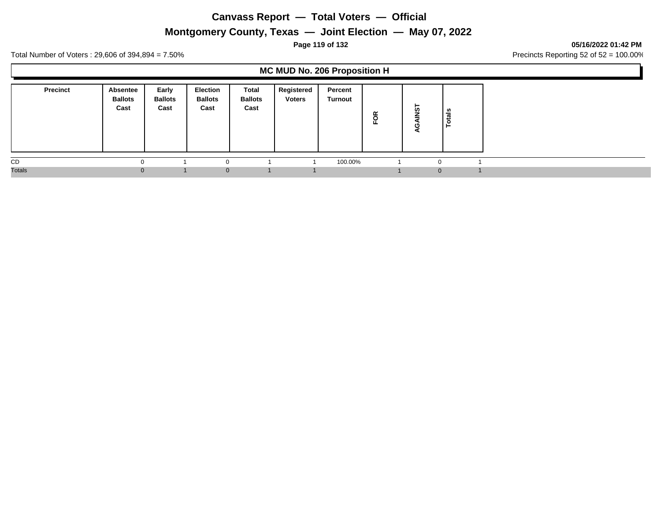# **Montgomery County, Texas — Joint Election — May 07, 2022**

### **Page 119 of 132 05/16/2022 01:42 PM**

Total Number of Voters : 29,606 of 394,894 = 7.50% Precincts Reporting 52 of 52 = 100.00%

### **MC MUD No. 206 Proposition H**

| <b>Precinct</b> | Absentee<br><b>Ballots</b><br>Cast | Early<br><b>Ballots</b><br>Cast | Election<br><b>Ballots</b><br>Cast | Total<br><b>Ballots</b><br>Cast | Registered<br><b>Voters</b> | Percent<br>Turnout | FOR | -<br>ທ   | tais<br>c<br>- |
|-----------------|------------------------------------|---------------------------------|------------------------------------|---------------------------------|-----------------------------|--------------------|-----|----------|----------------|
| CD              |                                    |                                 | $\Omega$                           |                                 |                             | 100.00%            |     |          |                |
| <b>Totals</b>   | o                                  |                                 | $\Omega$                           |                                 |                             |                    |     | $\Omega$ |                |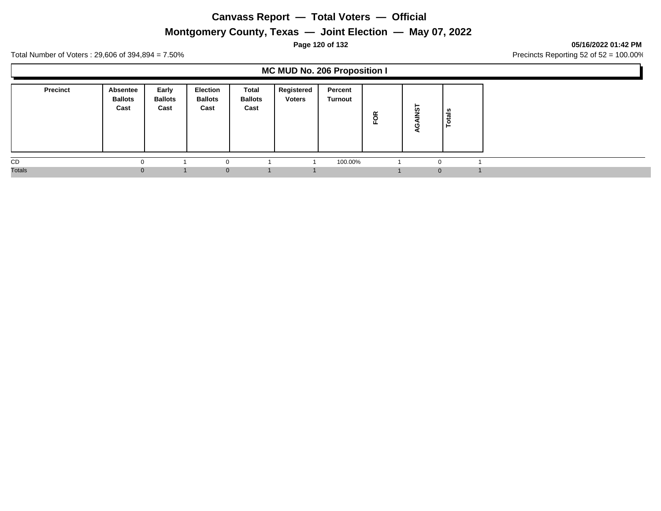# **Montgomery County, Texas — Joint Election — May 07, 2022**

### **Page 120 of 132 05/16/2022 01:42 PM**

Total Number of Voters : 29,606 of 394,894 = 7.50% Precincts Reporting 52 of 52 = 100.00%

### **MC MUD No. 206 Proposition I**

| <b>Precinct</b> | Absentee<br><b>Ballots</b><br>Cast | Early<br><b>Ballots</b><br>Cast | <b>Election</b><br><b>Ballots</b><br>Cast | Total<br><b>Ballots</b><br>Cast | Registered<br><b>Voters</b> | Percent<br>Turnout | ≃<br>$\overline{\mathbf{o}}$ | ►<br>ທ   | als<br>-44<br>.o<br>⊢ |  |
|-----------------|------------------------------------|---------------------------------|-------------------------------------------|---------------------------------|-----------------------------|--------------------|------------------------------|----------|-----------------------|--|
| CD              |                                    |                                 |                                           |                                 |                             | 100.00%            |                              | $\Omega$ |                       |  |
| <b>Totals</b>   | $\Omega$                           |                                 | $\Omega$                                  |                                 |                             |                    |                              |          | $\mathbf{0}$          |  |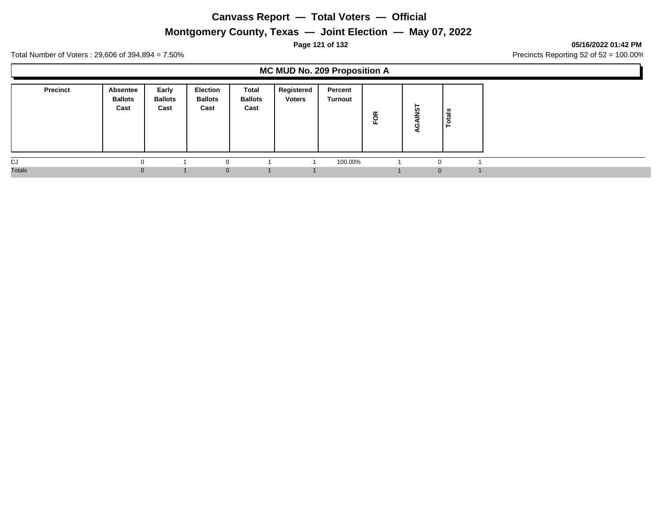# **Montgomery County, Texas — Joint Election — May 07, 2022**

### **Page 121 of 132 05/16/2022 01:42 PM**

Total Number of Voters : 29,606 of 394,894 = 7.50% Precincts Reporting 52 of 52 = 100.00%

### **MC MUD No. 209 Proposition A**

| <b>Precinct</b> | Absentee<br><b>Ballots</b><br>Cast | Early<br><b>Ballots</b><br>Cast | <b>Election</b><br><b>Ballots</b><br>Cast | Total<br><b>Ballots</b><br>Cast | Registered<br><b>Voters</b> | Percent<br>Turnout | ≃<br>$\circ$<br>щ. | ທ            | als<br>− |
|-----------------|------------------------------------|---------------------------------|-------------------------------------------|---------------------------------|-----------------------------|--------------------|--------------------|--------------|----------|
| CJ              | $\Omega$                           |                                 |                                           |                                 |                             | 100.00%            |                    | $\Omega$     |          |
| <b>Totals</b>   | $\Omega$                           |                                 | $\Omega$                                  |                                 |                             |                    |                    | $\mathbf{0}$ |          |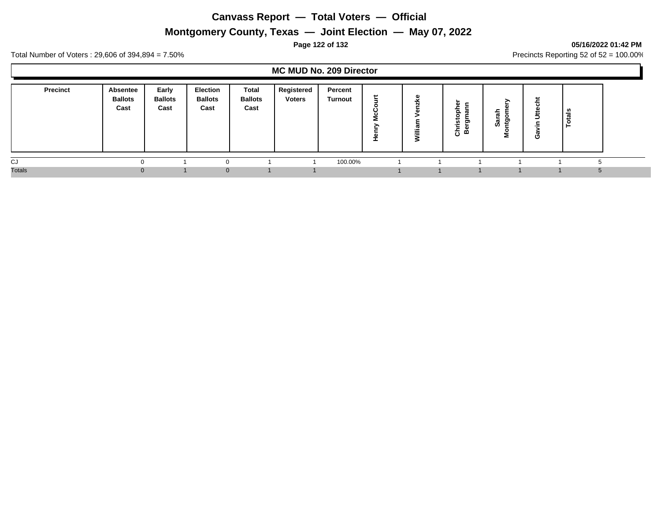# **Montgomery County, Texas — Joint Election — May 07, 2022**

### **Page 122 of 132 05/16/2022 01:42 PM**

Total Number of Voters : 29,606 of 394,894 = 7.50% Precincts Reporting 52 of 52 = 100.00%

### **MC MUD No. 209 Director**

| <b>Precinct</b> | <b>Absentee</b><br><b>Ballots</b><br>Cast | Early<br><b>Ballots</b><br>Cast | <b>Election</b><br><b>Ballots</b><br>Cast | Total<br><b>Ballots</b><br>Cast | Registered<br><b>Voters</b> | Percent<br>Turnout | سم<br>►<br>=<br>61 | ್ಲಿ<br>ᆩ<br>illia | ີ<br>n<br>--<br>ஂ<br>$\overline{o}$ | $\boldsymbol{\varpi}$<br>o<br>ທ<br>2 | त्त<br>ت |  |
|-----------------|-------------------------------------------|---------------------------------|-------------------------------------------|---------------------------------|-----------------------------|--------------------|--------------------|-------------------|-------------------------------------|--------------------------------------|----------|--|
| CJ              |                                           |                                 | 0                                         |                                 |                             | 100.00%            |                    |                   |                                     |                                      |          |  |
| <b>Totals</b>   | $\Omega$                                  |                                 | $\Omega$                                  |                                 |                             |                    |                    |                   |                                     |                                      |          |  |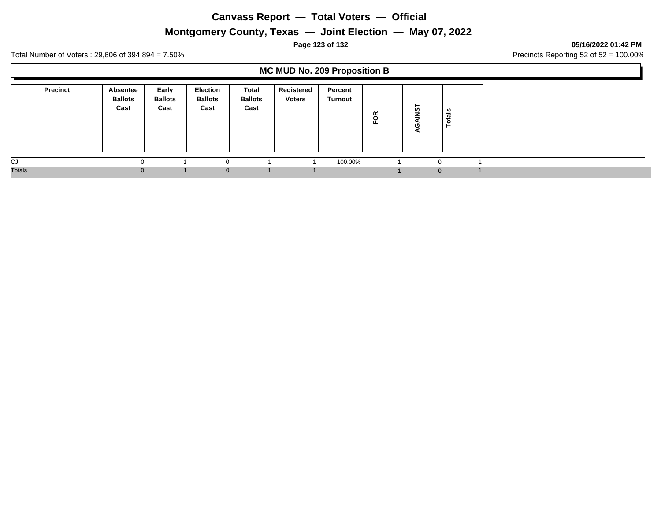# **Montgomery County, Texas — Joint Election — May 07, 2022**

### **Page 123 of 132 05/16/2022 01:42 PM**

Total Number of Voters : 29,606 of 394,894 = 7.50% Precincts Reporting 52 of 52 = 100.00%

### **MC MUD No. 209 Proposition B**

|               | <b>Precinct</b> | <b>Absentee</b><br><b>Ballots</b><br>Cast | Early<br><b>Ballots</b><br>Cast | Election<br><b>Ballots</b><br>Cast | Total<br><b>Ballots</b><br>Cast | Registered<br><b>Voters</b> | Percent<br>Turnout | g | ⊢<br>ທ   | als<br>ت<br>$\circ$<br>► |  |
|---------------|-----------------|-------------------------------------------|---------------------------------|------------------------------------|---------------------------------|-----------------------------|--------------------|---|----------|--------------------------|--|
| CJ            |                 | $\Omega$                                  |                                 |                                    |                                 |                             | 100.00%            |   | $\Omega$ |                          |  |
| <b>Totals</b> |                 | $\Omega$                                  |                                 | $\Omega$                           |                                 |                             |                    |   | $\Omega$ |                          |  |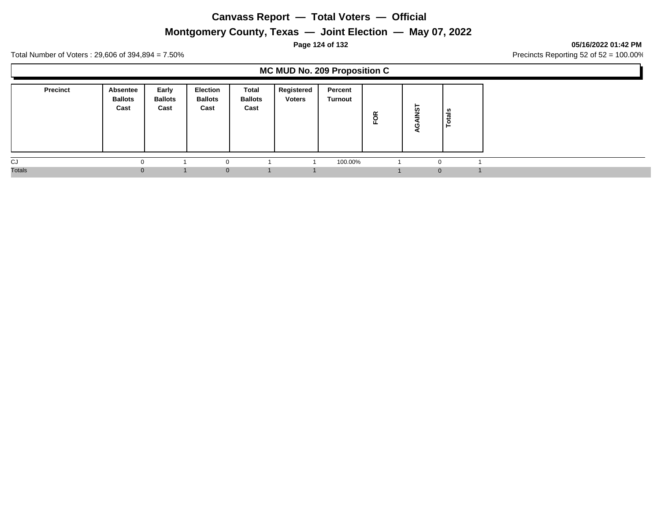# **Montgomery County, Texas — Joint Election — May 07, 2022**

### **Page 124 of 132 05/16/2022 01:42 PM**

Total Number of Voters : 29,606 of 394,894 = 7.50% Precincts Reporting 52 of 52 = 100.00%

### **MC MUD No. 209 Proposition C**

| <b>Precinct</b> | Absentee<br><b>Ballots</b><br>Cast | Early<br><b>Ballots</b><br>Cast | <b>Election</b><br><b>Ballots</b><br>Cast | Total<br><b>Ballots</b><br>Cast | Registered<br><b>Voters</b> | Percent<br>Turnout | ≃<br>$\circ$<br>ட | -<br><b>in</b> | ្លូ<br>-<br>c<br>− |  |
|-----------------|------------------------------------|---------------------------------|-------------------------------------------|---------------------------------|-----------------------------|--------------------|-------------------|----------------|--------------------|--|
| CJ              |                                    |                                 |                                           |                                 |                             | 100.00%            |                   | $\Omega$       |                    |  |
| <b>Totals</b>   | $\Omega$                           |                                 | $\Omega$                                  |                                 |                             |                    |                   | $\mathbf{0}$   |                    |  |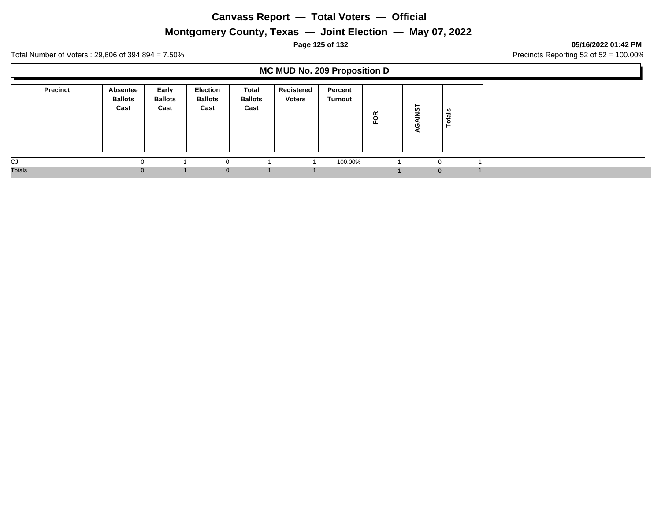# **Montgomery County, Texas — Joint Election — May 07, 2022**

### **Page 125 of 132 05/16/2022 01:42 PM**

Total Number of Voters : 29,606 of 394,894 = 7.50% Precincts Reporting 52 of 52 = 100.00%

### **MC MUD No. 209 Proposition D**

| <b>Precinct</b> | <b>Absentee</b><br><b>Ballots</b><br>Cast | Early<br><b>Ballots</b><br>Cast | <b>Election</b><br><b>Ballots</b><br>Cast | Total<br><b>Ballots</b><br>Cast | Registered<br><b>Voters</b> | Percent<br>Turnout | FOR | ►<br><b>in</b> | tais<br>c<br>╺ |
|-----------------|-------------------------------------------|---------------------------------|-------------------------------------------|---------------------------------|-----------------------------|--------------------|-----|----------------|----------------|
| CJ              | $\Omega$                                  |                                 |                                           |                                 |                             | 100.00%            |     | $\sim$         |                |
| <b>Totals</b>   | $\Omega$                                  |                                 | $\Omega$                                  |                                 |                             |                    |     | $\Omega$       |                |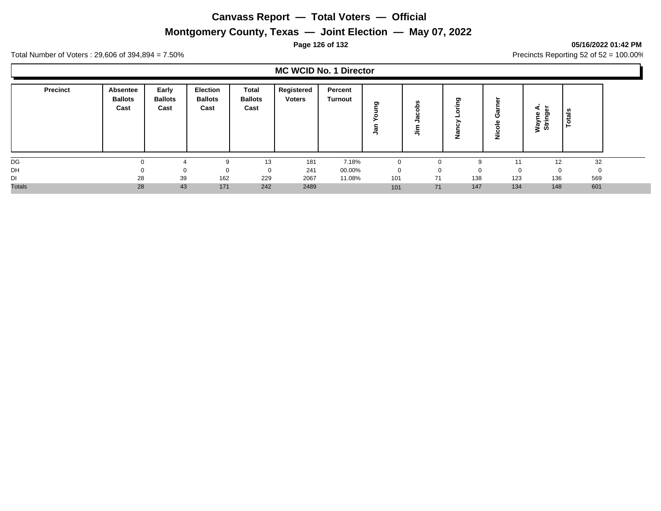# **Montgomery County, Texas — Joint Election — May 07, 2022**

### **Page 126 of 132 05/16/2022 01:42 PM**

Total Number of Voters : 29,606 of 394,894 = 7.50% Precincts Reporting 52 of 52 = 100.00%

### **MC WCID No. 1 Director**

| Precinct      | Absentee<br><b>Ballots</b><br>Cast | Early<br><b>Ballots</b><br>Cast | <b>Election</b><br><b>Ballots</b><br>Cast | <b>Total</b><br><b>Ballots</b><br>Cast | Registered<br><b>Voters</b> | Percent<br>Turnout | ත<br>-<br>$\overline{\omega}$ | n<br>응<br>$\mathbf c$<br>오<br>高 | ರಾ       | n<br>O<br>л.<br>ပ<br>ž | $\overline{\phantom{0}}$<br>ii<br>Stri | ឹ<br>تسد |  |
|---------------|------------------------------------|---------------------------------|-------------------------------------------|----------------------------------------|-----------------------------|--------------------|-------------------------------|---------------------------------|----------|------------------------|----------------------------------------|----------|--|
| DG            |                                    |                                 | 9                                         | 13                                     | 181                         | 7.18%              |                               |                                 | q        | 11                     | 12                                     | 32       |  |
| DH            |                                    |                                 | 0                                         | 0                                      | 241                         | 00.00%             | $\Omega$                      |                                 | $\Omega$ |                        |                                        | 0        |  |
| DI            | 28                                 | 39                              | 162                                       | 229                                    | 2067                        | 11.08%             | 101                           | 71                              | 138      | 123                    | 136                                    | 569      |  |
| <b>Totals</b> | 28                                 | 43                              | 171                                       | 242                                    | 2489                        |                    | 101                           | 71                              | 147      | 134                    | 148                                    | 601      |  |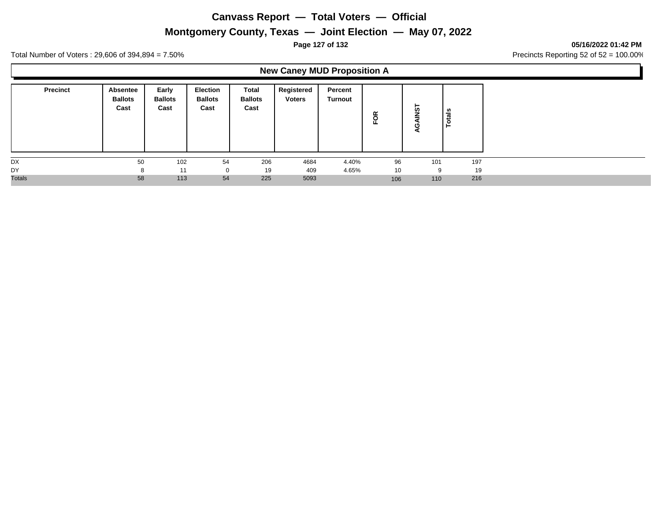# **Montgomery County, Texas — Joint Election — May 07, 2022**

**Page 127 of 132 05/16/2022 01:42 PM**

Total Number of Voters : 29,606 of 394,894 = 7.50% Precincts Reporting 52 of 52 = 100.00%

# **New Caney MUD Proposition A**

| <b>Precinct</b> | Absentee<br><b>Ballots</b><br>Cast | Early<br><b>Ballots</b><br>Cast | <b>Election</b><br><b>Ballots</b><br>Cast | Total<br><b>Ballots</b><br>Cast | Registered<br><b>Voters</b> | Percent<br>Turnout | FOR | -<br>້ທ<br>ω<br>c | tals<br>$\circ$<br>− |
|-----------------|------------------------------------|---------------------------------|-------------------------------------------|---------------------------------|-----------------------------|--------------------|-----|-------------------|----------------------|
| DX              | 50                                 | 102                             | 54                                        | 206                             | 4684                        | 4.40%              | 96  | 101               | 197                  |
| DY              | 8                                  | 11                              | 0                                         | 19                              | 409                         | 4.65%              | 10  | 9                 | 19                   |
| <b>Totals</b>   | 58                                 | 113                             | 54                                        | 225                             | 5093                        |                    | 106 | 110               | 216                  |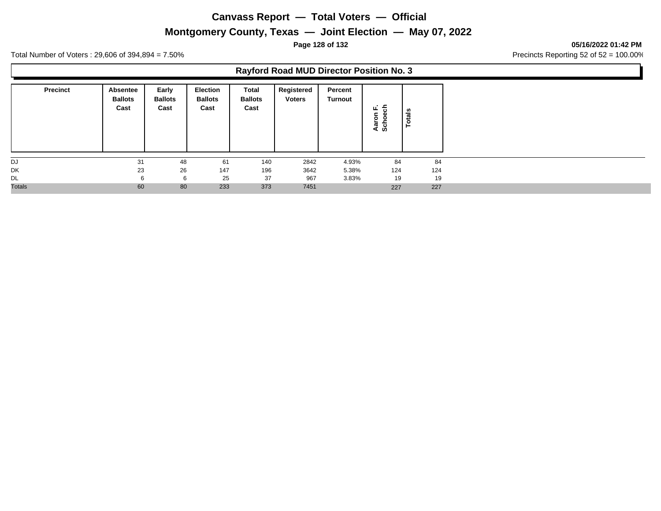# **Montgomery County, Texas — Joint Election — May 07, 2022**

**Page 128 of 132 05/16/2022 01:42 PM**

Total Number of Voters : 29,606 of 394,894 = 7.50% Precincts Reporting 52 of 52 = 100.00%

### **Rayford Road MUD Director Position No. 3**

| <b>Precinct</b> | Absentee<br><b>Ballots</b><br>Cast | Early<br><b>Ballots</b><br>Cast | <b>Election</b><br><b>Ballots</b><br>Cast | Total<br><b>Ballots</b><br>Cast | Registered<br><b>Voters</b> | Percent<br><b>Turnout</b> | ᅩ<br>ш.<br>$\cdots$<br>કે<br>$\blacksquare$ | tals<br>$\circ$<br>⊢ |
|-----------------|------------------------------------|---------------------------------|-------------------------------------------|---------------------------------|-----------------------------|---------------------------|---------------------------------------------|----------------------|
| DJ              | 31                                 | 48                              | 61                                        | 140                             | 2842                        | 4.93%                     | 84                                          | 84                   |
| DK              | 23                                 | 26                              | 147                                       | 196                             | 3642                        | 5.38%                     | 124                                         | 124                  |
| DL              | 6                                  | 6                               | 25                                        | 37                              | 967                         | 3.83%                     | 19                                          | 19                   |
| <b>Totals</b>   | 60                                 | 80                              | 233                                       | 373                             | 7451                        |                           | 227                                         | 227                  |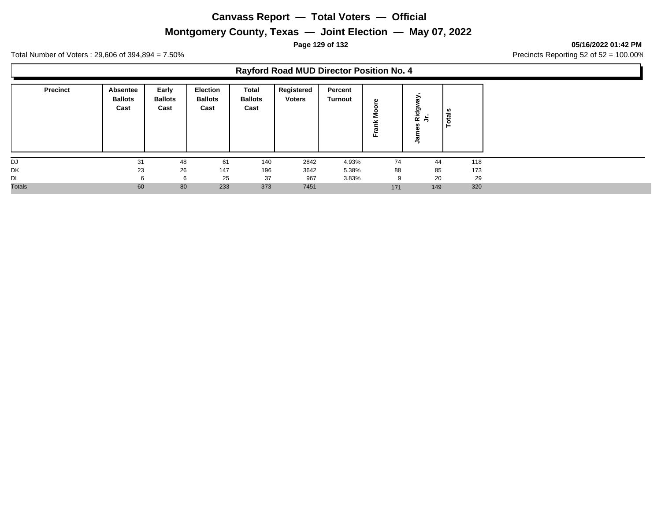# **Montgomery County, Texas — Joint Election — May 07, 2022**

**Page 129 of 132 05/16/2022 01:42 PM**

Total Number of Voters : 29,606 of 394,894 = 7.50% Precincts Reporting 52 of 52 = 100.00%

### **Rayford Road MUD Director Position No. 4**

| <b>Precinct</b> | Absentee<br><b>Ballots</b><br>Cast | Early<br><b>Ballots</b><br>Cast | <b>Election</b><br><b>Ballots</b><br>Cast | Total<br><b>Ballots</b><br>Cast | Registered<br><b>Voters</b> | Percent<br><b>Turnout</b> | ω<br>ட | ><br>Ridg<br>≛<br>۹, | otals |
|-----------------|------------------------------------|---------------------------------|-------------------------------------------|---------------------------------|-----------------------------|---------------------------|--------|----------------------|-------|
| DJ              | 31                                 | 48                              | 61                                        | 140                             | 2842                        | 4.93%                     | 74     | 44                   | 118   |
| DK              | 23                                 | 26                              | 147                                       | 196                             | 3642                        | 5.38%                     | 88     | 85                   | 173   |
| <b>DL</b>       |                                    | 6                               | 25                                        | 37                              | 967                         | 3.83%                     | 9      | 20                   | 29    |
| <b>Totals</b>   | 60                                 | 80                              | 233                                       | 373                             | 7451                        |                           | 171    | 149                  | 320   |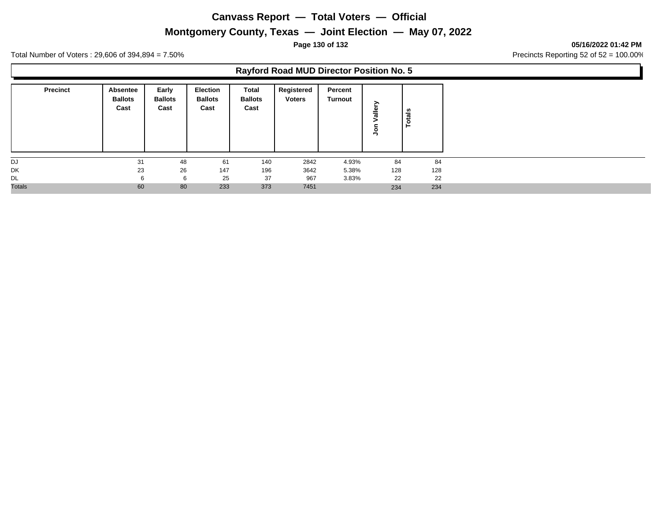# **Montgomery County, Texas — Joint Election — May 07, 2022**

**Page 130 of 132 05/16/2022 01:42 PM**

Total Number of Voters : 29,606 of 394,894 = 7.50% Precincts Reporting 52 of 52 = 100.00%

### **Rayford Road MUD Director Position No. 5**

| <b>Precinct</b> | Absentee<br><b>Ballots</b><br>Cast | Early<br><b>Ballots</b><br>Cast | <b>Election</b><br><b>Ballots</b><br>Cast | Total<br><b>Ballots</b><br>Cast | Registered<br><b>Voters</b> | Percent<br><b>Turnout</b> |     | <b>Totals</b> |
|-----------------|------------------------------------|---------------------------------|-------------------------------------------|---------------------------------|-----------------------------|---------------------------|-----|---------------|
| DJ              | 31                                 | 48                              | 61                                        | 140                             | 2842                        | 4.93%                     | 84  | 84            |
| DK              | 23                                 | 26                              | 147                                       | 196                             | 3642                        | 5.38%                     | 128 | 128           |
| DL              | 6                                  | 6                               | 25                                        | 37                              | 967                         | 3.83%                     | 22  | 22            |
| <b>Totals</b>   | 60                                 | 80                              | 233                                       | 373                             | 7451                        |                           | 234 | 234           |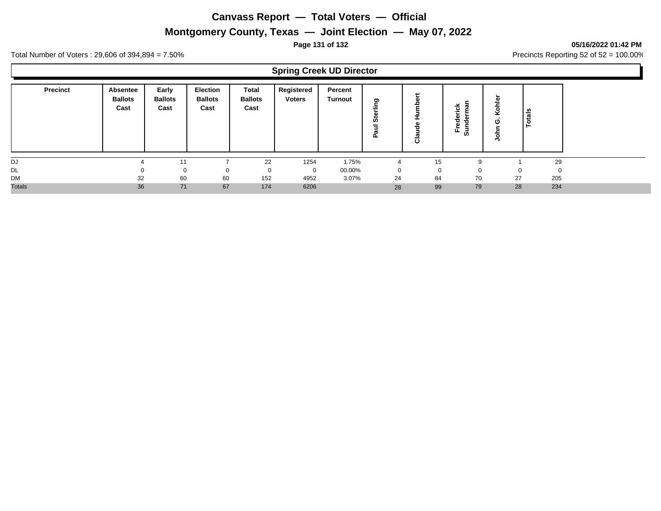# **Montgomery County, Texas — Joint Election — May 07, 2022**

### **Page 131 of 132 05/16/2022 01:42 PM**

Total Number of Voters : 29,606 of 394,894 = 7.50% Precincts Reporting 52 of 52 = 100.00%

### **Spring Creek UD Director**

| <b>Precinct</b> | Absentee<br><b>Ballots</b><br>Cast | Early<br><b>Ballots</b><br>Cast | <b>Election</b><br><b>Ballots</b><br>Cast | Total<br><b>Ballots</b><br>Cast | Registered<br><b>Voters</b> | Percent<br><b>Turnout</b> | פ<br><br>ທ<br>௳ | C<br>읔<br>ω<br>Ō<br>σ<br>5 | ັ<br>ក្ខា<br>る<br>ъ<br>ഗ | $\circ$<br>o | otals        |  |
|-----------------|------------------------------------|---------------------------------|-------------------------------------------|---------------------------------|-----------------------------|---------------------------|-----------------|----------------------------|--------------------------|--------------|--------------|--|
| DJ              |                                    | 11                              |                                           | 22                              | 1254                        | 1.75%                     |                 | 15                         |                          |              | 29           |  |
| <b>DL</b>       |                                    |                                 | 0                                         | 0                               | $\mathbf 0$                 | 00.00%                    | $\mathbf 0$     | 0                          |                          |              | $\mathbf{0}$ |  |
| DM              | 32                                 | 60                              | 60                                        | 152                             | 4952                        | 3.07%                     | 24              | 84                         | 70                       | 27           | 205          |  |
| <b>Totals</b>   | 36                                 | 71                              | 67                                        | 174                             | 6206                        |                           | 28              | 99                         | 79                       | 28           | 234          |  |